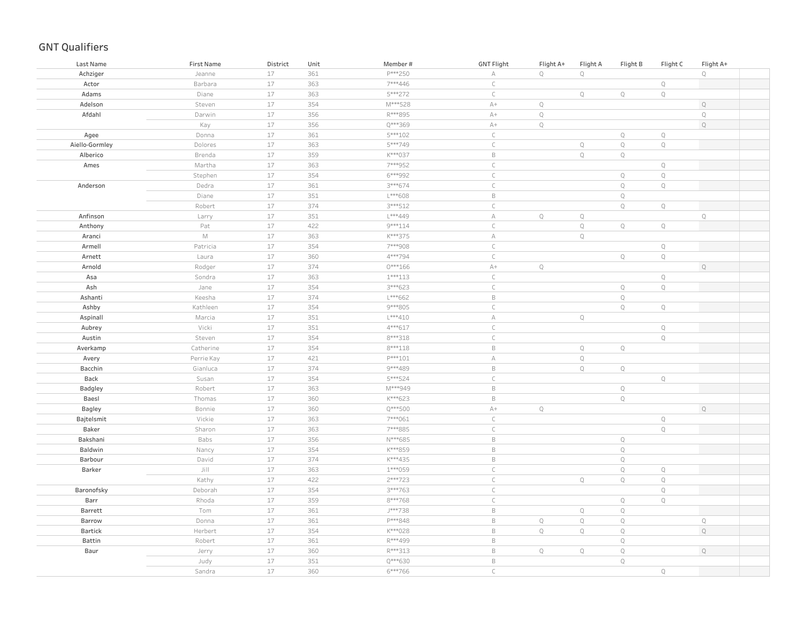| P***250<br>$\mathsf{Q}$<br>$17\,$<br>361<br>$\mathbf Q$<br>$\mathbb Q$<br>Achziger<br>Jeanne<br>$\mathbb A$<br>17<br>$\mathsf C$<br>363<br>7***446<br>$\mathbb Q$<br>Actor<br>Barbara<br>17<br>5***272<br>$\subset$<br>Adams<br>363<br>$\mathbb Q$<br>$\mathbb Q$<br>$\mathbb Q$<br>Diane<br>Adelson<br>17<br>354<br>M***528<br>$A+$<br>$\mathbb{Q}$<br>$\mathbb Q$<br>Steven<br>17<br>356<br>R***895<br>$A+$<br>$\mathbb{Q}$<br>$\mathbb{Q}$<br>Afdahl<br>Darwin<br>17<br>Q***369<br>$A+$<br>$\mathbb Q$<br>$\mathbb Q$<br>Kay<br>356<br>$17\,$<br>361<br>5***102<br>$\mathsf C$<br>$\mathbb Q$<br>$\mathbb Q$<br>Donna<br>Agee<br>$17\,$<br>363<br>5***749<br>$\mathsf C$<br>$\mathbb Q$<br>$\mathbb Q$<br>$\mathbb Q$<br>Aiello-Gormley<br>Dolores<br>$17\,$<br>359<br>K***037<br>$\,$ B<br>$\mathbb Q$<br>Alberico<br>Brenda<br>$\mathbb Q$<br>$17\,$<br>7***952<br>$\mathsf C$<br>$\mathbb Q$<br>Ames<br>Martha<br>363<br>17<br>$\mathsf C$<br>$\mathbb Q$<br>354<br>6***992<br>$\mathbb{Q}$<br>Stephen<br>$17\,$<br>$\mathsf{C}$<br>$\mathbb{Q}$<br>$\mathsf Q$<br>361<br>3***674<br>Anderson<br>Dedra<br>$17\,$<br>L***608<br>$\,$ B<br>$\mathbb{Q}$<br>351<br>Diane<br>$17\,$<br>374<br>$3***512$<br>$\mathsf C$<br>$\mathbb{Q}$<br>$\mathbb Q$<br>Robert<br>17<br>Anfinson<br>351<br>L***449<br>$\mathbb A$<br>$\mathbb{Q}$<br>$\mathbb Q$<br>$\mathsf Q$<br>Larry<br>$17$<br>422<br>9 *** 114<br>$\mathsf C$<br>$\mathbb Q$<br>$\mathbb Q$<br>$\mathbb Q$<br>Anthony<br>Pat<br>$\mathbb M$<br>17<br>K***375<br>$\mathbb A$<br>$\mathbb{Q}$<br>Aranci<br>363<br>$17\,$<br>$\subset$<br>$\mathbb Q$<br>Armell<br>Patricia<br>354<br>7***908<br>17<br>4***794<br>$\subset$<br>Q<br>Arnett<br>360<br>Q<br>Laura<br>17<br>374<br>$0***166$<br>$A+$<br>$\mathbb Q$<br>$\mathbb Q$<br>Arnold<br>Rodger<br>$\mathsf C$<br>17<br>$\mathbb Q$<br>Asa<br>363<br>$1***113$<br>Sondra<br>17<br>$\subset$<br>$\mathbb Q$<br>3***623<br>$\mathsf Q$<br>Ash<br>Jane<br>354<br>17<br>$L***662$<br>$\,$ B<br>$\mathbb{Q}$<br>Ashanti<br>Keesha<br>374<br>17<br>9 *** 805<br>$\mathsf C$<br>$\mathbb{Q}$<br>$\mathbb Q$<br>Ashby<br>Kathleen<br>354<br>17<br>$L***410$<br>Aspinall<br>Marcia<br>351<br>$\mathbb A$<br>$\mathbb Q$<br>Vicki<br>17<br>351<br>4***617<br>$\mathsf C$<br>$\mathbb Q$<br>Aubrey<br>$17$<br>8 *** 318<br>$\mathsf C$<br>$\mathbb Q$<br>Austin<br>Steven<br>354<br>17<br>354<br>$8***118$<br>$\,$ B<br>Averkamp<br>Catherine<br>$\mathbb Q$<br>$\mathbb Q$<br>$17\,$<br>$P***101$<br>$\mathbb Q$<br>421<br>$\mathbb A$<br>Avery<br>Perrie Kay<br>17<br>$\,$ B<br>374<br>9***489<br>$\mathbb Q$<br>Bacchin<br>Gianluca<br>$\mathbb Q$<br>$17\,$<br>354<br>5***524<br>$\mathsf C$<br>$\mathbb Q$<br>Back<br>Susan<br>17<br>$\,$ B<br>363<br>M***949<br>$\mathbb Q$<br>Robert<br>Badgley<br>17<br>360<br>K***623<br>$\,$ B<br>$\mathbb Q$<br>Baesl<br>Thomas<br>17<br>Q***500<br>$A+$<br>$\mathbb{Q}$<br>$\mathbb Q$<br>Bonnie<br>360<br>Bagley<br>$17$<br>7***061<br>$\subset$<br>$\mathbb Q$<br>Vickie<br>363<br>Bajtelsmit<br>17<br>7***885<br>$\subset$<br>$\mathbb Q$<br>Baker<br>Sharon<br>363<br>$17\,$<br>$\,$ B<br>$\mathbb Q$<br>Bakshani<br>Babs<br>356<br>N***685<br>17<br>$\,$ B<br>$\mathbb Q$<br>Baldwin<br>354<br>K***859<br>Nancy<br>$17\,$<br>$\,$ B<br>$\mathbb Q$<br>374<br>K***435<br>Barbour<br>David<br>17<br>$\mathsf C$<br>$\mathbb Q$<br>Barker<br>Jill<br>363<br>$1***059$<br>$\mathbb Q$<br>$\subset$<br>17<br>422<br>2 *** 723<br>$\mathbb Q$<br>$\mathbb Q$<br>$\mathbb Q$<br>Kathy<br>17<br>3***763<br>$\mathsf C$<br>$\mathbb Q$<br>354<br>Baronofsky<br>Deborah<br>17<br>8***768<br>$\mathsf C$<br>$\mathbb Q$<br>$\mathbb Q$<br>Barr<br>Rhoda<br>359<br>17<br>361<br>J***738<br>$\,$ B<br>$\mathbb Q$<br>$\mathbb Q$<br>Barrett<br>Tom<br>17<br>P***848<br>$\,$ B<br>$\mathbb Q$<br>$\mathbb Q$<br>$\mathbb Q$<br>Donna<br>361<br>$\mathbb Q$<br>Barrow<br>Bartick<br>Herbert<br>17<br>354<br>K***028<br>$\,$ B<br>$\mathbb Q$<br>$\mathbb Q$<br>$\mathbb Q$<br>$\mathbb Q$<br>17<br>R***499<br>$\,$ B<br>Battin<br>Robert<br>361<br>$\mathbb Q$<br>$17\,$<br>R***313<br>$\,$ B<br>Q<br>360<br>$\mathbb Q$<br>$\mathbb Q$<br>$\mathbb Q$<br>Baur<br>Jerry<br>17<br>$Q***630$<br>$\,$ B<br>Judy<br>351<br>$\mathbb{Q}$<br>17<br>$6***766$<br>360<br>$\mathsf{C}$<br>$\mathsf{Q}$<br>Sandra | Last Name | First Name | District | Unit | Member# | <b>GNT Flight</b> | Flight A+ | Flight A | Flight B | Flight C | Flight A+ |  |
|------------------------------------------------------------------------------------------------------------------------------------------------------------------------------------------------------------------------------------------------------------------------------------------------------------------------------------------------------------------------------------------------------------------------------------------------------------------------------------------------------------------------------------------------------------------------------------------------------------------------------------------------------------------------------------------------------------------------------------------------------------------------------------------------------------------------------------------------------------------------------------------------------------------------------------------------------------------------------------------------------------------------------------------------------------------------------------------------------------------------------------------------------------------------------------------------------------------------------------------------------------------------------------------------------------------------------------------------------------------------------------------------------------------------------------------------------------------------------------------------------------------------------------------------------------------------------------------------------------------------------------------------------------------------------------------------------------------------------------------------------------------------------------------------------------------------------------------------------------------------------------------------------------------------------------------------------------------------------------------------------------------------------------------------------------------------------------------------------------------------------------------------------------------------------------------------------------------------------------------------------------------------------------------------------------------------------------------------------------------------------------------------------------------------------------------------------------------------------------------------------------------------------------------------------------------------------------------------------------------------------------------------------------------------------------------------------------------------------------------------------------------------------------------------------------------------------------------------------------------------------------------------------------------------------------------------------------------------------------------------------------------------------------------------------------------------------------------------------------------------------------------------------------------------------------------------------------------------------------------------------------------------------------------------------------------------------------------------------------------------------------------------------------------------------------------------------------------------------------------------------------------------------------------------------------------------------------------------------------------------------------------------------------------------------------------------------------------------------------------------------------------------------------------------------------------------------------------------------------------------------------------------------------------------------------------------------------------------------------------------------------------------------------------------------------------------------------------------------------------------------------------------------------------------------------------------------------------------------------------------------------------------------------------------------------------------------------------|-----------|------------|----------|------|---------|-------------------|-----------|----------|----------|----------|-----------|--|
|                                                                                                                                                                                                                                                                                                                                                                                                                                                                                                                                                                                                                                                                                                                                                                                                                                                                                                                                                                                                                                                                                                                                                                                                                                                                                                                                                                                                                                                                                                                                                                                                                                                                                                                                                                                                                                                                                                                                                                                                                                                                                                                                                                                                                                                                                                                                                                                                                                                                                                                                                                                                                                                                                                                                                                                                                                                                                                                                                                                                                                                                                                                                                                                                                                                                                                                                                                                                                                                                                                                                                                                                                                                                                                                                                                                                                                                                                                                                                                                                                                                                                                                                                                                                                                                                                                                                          |           |            |          |      |         |                   |           |          |          |          |           |  |
|                                                                                                                                                                                                                                                                                                                                                                                                                                                                                                                                                                                                                                                                                                                                                                                                                                                                                                                                                                                                                                                                                                                                                                                                                                                                                                                                                                                                                                                                                                                                                                                                                                                                                                                                                                                                                                                                                                                                                                                                                                                                                                                                                                                                                                                                                                                                                                                                                                                                                                                                                                                                                                                                                                                                                                                                                                                                                                                                                                                                                                                                                                                                                                                                                                                                                                                                                                                                                                                                                                                                                                                                                                                                                                                                                                                                                                                                                                                                                                                                                                                                                                                                                                                                                                                                                                                                          |           |            |          |      |         |                   |           |          |          |          |           |  |
|                                                                                                                                                                                                                                                                                                                                                                                                                                                                                                                                                                                                                                                                                                                                                                                                                                                                                                                                                                                                                                                                                                                                                                                                                                                                                                                                                                                                                                                                                                                                                                                                                                                                                                                                                                                                                                                                                                                                                                                                                                                                                                                                                                                                                                                                                                                                                                                                                                                                                                                                                                                                                                                                                                                                                                                                                                                                                                                                                                                                                                                                                                                                                                                                                                                                                                                                                                                                                                                                                                                                                                                                                                                                                                                                                                                                                                                                                                                                                                                                                                                                                                                                                                                                                                                                                                                                          |           |            |          |      |         |                   |           |          |          |          |           |  |
|                                                                                                                                                                                                                                                                                                                                                                                                                                                                                                                                                                                                                                                                                                                                                                                                                                                                                                                                                                                                                                                                                                                                                                                                                                                                                                                                                                                                                                                                                                                                                                                                                                                                                                                                                                                                                                                                                                                                                                                                                                                                                                                                                                                                                                                                                                                                                                                                                                                                                                                                                                                                                                                                                                                                                                                                                                                                                                                                                                                                                                                                                                                                                                                                                                                                                                                                                                                                                                                                                                                                                                                                                                                                                                                                                                                                                                                                                                                                                                                                                                                                                                                                                                                                                                                                                                                                          |           |            |          |      |         |                   |           |          |          |          |           |  |
|                                                                                                                                                                                                                                                                                                                                                                                                                                                                                                                                                                                                                                                                                                                                                                                                                                                                                                                                                                                                                                                                                                                                                                                                                                                                                                                                                                                                                                                                                                                                                                                                                                                                                                                                                                                                                                                                                                                                                                                                                                                                                                                                                                                                                                                                                                                                                                                                                                                                                                                                                                                                                                                                                                                                                                                                                                                                                                                                                                                                                                                                                                                                                                                                                                                                                                                                                                                                                                                                                                                                                                                                                                                                                                                                                                                                                                                                                                                                                                                                                                                                                                                                                                                                                                                                                                                                          |           |            |          |      |         |                   |           |          |          |          |           |  |
|                                                                                                                                                                                                                                                                                                                                                                                                                                                                                                                                                                                                                                                                                                                                                                                                                                                                                                                                                                                                                                                                                                                                                                                                                                                                                                                                                                                                                                                                                                                                                                                                                                                                                                                                                                                                                                                                                                                                                                                                                                                                                                                                                                                                                                                                                                                                                                                                                                                                                                                                                                                                                                                                                                                                                                                                                                                                                                                                                                                                                                                                                                                                                                                                                                                                                                                                                                                                                                                                                                                                                                                                                                                                                                                                                                                                                                                                                                                                                                                                                                                                                                                                                                                                                                                                                                                                          |           |            |          |      |         |                   |           |          |          |          |           |  |
|                                                                                                                                                                                                                                                                                                                                                                                                                                                                                                                                                                                                                                                                                                                                                                                                                                                                                                                                                                                                                                                                                                                                                                                                                                                                                                                                                                                                                                                                                                                                                                                                                                                                                                                                                                                                                                                                                                                                                                                                                                                                                                                                                                                                                                                                                                                                                                                                                                                                                                                                                                                                                                                                                                                                                                                                                                                                                                                                                                                                                                                                                                                                                                                                                                                                                                                                                                                                                                                                                                                                                                                                                                                                                                                                                                                                                                                                                                                                                                                                                                                                                                                                                                                                                                                                                                                                          |           |            |          |      |         |                   |           |          |          |          |           |  |
|                                                                                                                                                                                                                                                                                                                                                                                                                                                                                                                                                                                                                                                                                                                                                                                                                                                                                                                                                                                                                                                                                                                                                                                                                                                                                                                                                                                                                                                                                                                                                                                                                                                                                                                                                                                                                                                                                                                                                                                                                                                                                                                                                                                                                                                                                                                                                                                                                                                                                                                                                                                                                                                                                                                                                                                                                                                                                                                                                                                                                                                                                                                                                                                                                                                                                                                                                                                                                                                                                                                                                                                                                                                                                                                                                                                                                                                                                                                                                                                                                                                                                                                                                                                                                                                                                                                                          |           |            |          |      |         |                   |           |          |          |          |           |  |
|                                                                                                                                                                                                                                                                                                                                                                                                                                                                                                                                                                                                                                                                                                                                                                                                                                                                                                                                                                                                                                                                                                                                                                                                                                                                                                                                                                                                                                                                                                                                                                                                                                                                                                                                                                                                                                                                                                                                                                                                                                                                                                                                                                                                                                                                                                                                                                                                                                                                                                                                                                                                                                                                                                                                                                                                                                                                                                                                                                                                                                                                                                                                                                                                                                                                                                                                                                                                                                                                                                                                                                                                                                                                                                                                                                                                                                                                                                                                                                                                                                                                                                                                                                                                                                                                                                                                          |           |            |          |      |         |                   |           |          |          |          |           |  |
|                                                                                                                                                                                                                                                                                                                                                                                                                                                                                                                                                                                                                                                                                                                                                                                                                                                                                                                                                                                                                                                                                                                                                                                                                                                                                                                                                                                                                                                                                                                                                                                                                                                                                                                                                                                                                                                                                                                                                                                                                                                                                                                                                                                                                                                                                                                                                                                                                                                                                                                                                                                                                                                                                                                                                                                                                                                                                                                                                                                                                                                                                                                                                                                                                                                                                                                                                                                                                                                                                                                                                                                                                                                                                                                                                                                                                                                                                                                                                                                                                                                                                                                                                                                                                                                                                                                                          |           |            |          |      |         |                   |           |          |          |          |           |  |
|                                                                                                                                                                                                                                                                                                                                                                                                                                                                                                                                                                                                                                                                                                                                                                                                                                                                                                                                                                                                                                                                                                                                                                                                                                                                                                                                                                                                                                                                                                                                                                                                                                                                                                                                                                                                                                                                                                                                                                                                                                                                                                                                                                                                                                                                                                                                                                                                                                                                                                                                                                                                                                                                                                                                                                                                                                                                                                                                                                                                                                                                                                                                                                                                                                                                                                                                                                                                                                                                                                                                                                                                                                                                                                                                                                                                                                                                                                                                                                                                                                                                                                                                                                                                                                                                                                                                          |           |            |          |      |         |                   |           |          |          |          |           |  |
|                                                                                                                                                                                                                                                                                                                                                                                                                                                                                                                                                                                                                                                                                                                                                                                                                                                                                                                                                                                                                                                                                                                                                                                                                                                                                                                                                                                                                                                                                                                                                                                                                                                                                                                                                                                                                                                                                                                                                                                                                                                                                                                                                                                                                                                                                                                                                                                                                                                                                                                                                                                                                                                                                                                                                                                                                                                                                                                                                                                                                                                                                                                                                                                                                                                                                                                                                                                                                                                                                                                                                                                                                                                                                                                                                                                                                                                                                                                                                                                                                                                                                                                                                                                                                                                                                                                                          |           |            |          |      |         |                   |           |          |          |          |           |  |
|                                                                                                                                                                                                                                                                                                                                                                                                                                                                                                                                                                                                                                                                                                                                                                                                                                                                                                                                                                                                                                                                                                                                                                                                                                                                                                                                                                                                                                                                                                                                                                                                                                                                                                                                                                                                                                                                                                                                                                                                                                                                                                                                                                                                                                                                                                                                                                                                                                                                                                                                                                                                                                                                                                                                                                                                                                                                                                                                                                                                                                                                                                                                                                                                                                                                                                                                                                                                                                                                                                                                                                                                                                                                                                                                                                                                                                                                                                                                                                                                                                                                                                                                                                                                                                                                                                                                          |           |            |          |      |         |                   |           |          |          |          |           |  |
|                                                                                                                                                                                                                                                                                                                                                                                                                                                                                                                                                                                                                                                                                                                                                                                                                                                                                                                                                                                                                                                                                                                                                                                                                                                                                                                                                                                                                                                                                                                                                                                                                                                                                                                                                                                                                                                                                                                                                                                                                                                                                                                                                                                                                                                                                                                                                                                                                                                                                                                                                                                                                                                                                                                                                                                                                                                                                                                                                                                                                                                                                                                                                                                                                                                                                                                                                                                                                                                                                                                                                                                                                                                                                                                                                                                                                                                                                                                                                                                                                                                                                                                                                                                                                                                                                                                                          |           |            |          |      |         |                   |           |          |          |          |           |  |
|                                                                                                                                                                                                                                                                                                                                                                                                                                                                                                                                                                                                                                                                                                                                                                                                                                                                                                                                                                                                                                                                                                                                                                                                                                                                                                                                                                                                                                                                                                                                                                                                                                                                                                                                                                                                                                                                                                                                                                                                                                                                                                                                                                                                                                                                                                                                                                                                                                                                                                                                                                                                                                                                                                                                                                                                                                                                                                                                                                                                                                                                                                                                                                                                                                                                                                                                                                                                                                                                                                                                                                                                                                                                                                                                                                                                                                                                                                                                                                                                                                                                                                                                                                                                                                                                                                                                          |           |            |          |      |         |                   |           |          |          |          |           |  |
|                                                                                                                                                                                                                                                                                                                                                                                                                                                                                                                                                                                                                                                                                                                                                                                                                                                                                                                                                                                                                                                                                                                                                                                                                                                                                                                                                                                                                                                                                                                                                                                                                                                                                                                                                                                                                                                                                                                                                                                                                                                                                                                                                                                                                                                                                                                                                                                                                                                                                                                                                                                                                                                                                                                                                                                                                                                                                                                                                                                                                                                                                                                                                                                                                                                                                                                                                                                                                                                                                                                                                                                                                                                                                                                                                                                                                                                                                                                                                                                                                                                                                                                                                                                                                                                                                                                                          |           |            |          |      |         |                   |           |          |          |          |           |  |
|                                                                                                                                                                                                                                                                                                                                                                                                                                                                                                                                                                                                                                                                                                                                                                                                                                                                                                                                                                                                                                                                                                                                                                                                                                                                                                                                                                                                                                                                                                                                                                                                                                                                                                                                                                                                                                                                                                                                                                                                                                                                                                                                                                                                                                                                                                                                                                                                                                                                                                                                                                                                                                                                                                                                                                                                                                                                                                                                                                                                                                                                                                                                                                                                                                                                                                                                                                                                                                                                                                                                                                                                                                                                                                                                                                                                                                                                                                                                                                                                                                                                                                                                                                                                                                                                                                                                          |           |            |          |      |         |                   |           |          |          |          |           |  |
|                                                                                                                                                                                                                                                                                                                                                                                                                                                                                                                                                                                                                                                                                                                                                                                                                                                                                                                                                                                                                                                                                                                                                                                                                                                                                                                                                                                                                                                                                                                                                                                                                                                                                                                                                                                                                                                                                                                                                                                                                                                                                                                                                                                                                                                                                                                                                                                                                                                                                                                                                                                                                                                                                                                                                                                                                                                                                                                                                                                                                                                                                                                                                                                                                                                                                                                                                                                                                                                                                                                                                                                                                                                                                                                                                                                                                                                                                                                                                                                                                                                                                                                                                                                                                                                                                                                                          |           |            |          |      |         |                   |           |          |          |          |           |  |
|                                                                                                                                                                                                                                                                                                                                                                                                                                                                                                                                                                                                                                                                                                                                                                                                                                                                                                                                                                                                                                                                                                                                                                                                                                                                                                                                                                                                                                                                                                                                                                                                                                                                                                                                                                                                                                                                                                                                                                                                                                                                                                                                                                                                                                                                                                                                                                                                                                                                                                                                                                                                                                                                                                                                                                                                                                                                                                                                                                                                                                                                                                                                                                                                                                                                                                                                                                                                                                                                                                                                                                                                                                                                                                                                                                                                                                                                                                                                                                                                                                                                                                                                                                                                                                                                                                                                          |           |            |          |      |         |                   |           |          |          |          |           |  |
|                                                                                                                                                                                                                                                                                                                                                                                                                                                                                                                                                                                                                                                                                                                                                                                                                                                                                                                                                                                                                                                                                                                                                                                                                                                                                                                                                                                                                                                                                                                                                                                                                                                                                                                                                                                                                                                                                                                                                                                                                                                                                                                                                                                                                                                                                                                                                                                                                                                                                                                                                                                                                                                                                                                                                                                                                                                                                                                                                                                                                                                                                                                                                                                                                                                                                                                                                                                                                                                                                                                                                                                                                                                                                                                                                                                                                                                                                                                                                                                                                                                                                                                                                                                                                                                                                                                                          |           |            |          |      |         |                   |           |          |          |          |           |  |
|                                                                                                                                                                                                                                                                                                                                                                                                                                                                                                                                                                                                                                                                                                                                                                                                                                                                                                                                                                                                                                                                                                                                                                                                                                                                                                                                                                                                                                                                                                                                                                                                                                                                                                                                                                                                                                                                                                                                                                                                                                                                                                                                                                                                                                                                                                                                                                                                                                                                                                                                                                                                                                                                                                                                                                                                                                                                                                                                                                                                                                                                                                                                                                                                                                                                                                                                                                                                                                                                                                                                                                                                                                                                                                                                                                                                                                                                                                                                                                                                                                                                                                                                                                                                                                                                                                                                          |           |            |          |      |         |                   |           |          |          |          |           |  |
|                                                                                                                                                                                                                                                                                                                                                                                                                                                                                                                                                                                                                                                                                                                                                                                                                                                                                                                                                                                                                                                                                                                                                                                                                                                                                                                                                                                                                                                                                                                                                                                                                                                                                                                                                                                                                                                                                                                                                                                                                                                                                                                                                                                                                                                                                                                                                                                                                                                                                                                                                                                                                                                                                                                                                                                                                                                                                                                                                                                                                                                                                                                                                                                                                                                                                                                                                                                                                                                                                                                                                                                                                                                                                                                                                                                                                                                                                                                                                                                                                                                                                                                                                                                                                                                                                                                                          |           |            |          |      |         |                   |           |          |          |          |           |  |
|                                                                                                                                                                                                                                                                                                                                                                                                                                                                                                                                                                                                                                                                                                                                                                                                                                                                                                                                                                                                                                                                                                                                                                                                                                                                                                                                                                                                                                                                                                                                                                                                                                                                                                                                                                                                                                                                                                                                                                                                                                                                                                                                                                                                                                                                                                                                                                                                                                                                                                                                                                                                                                                                                                                                                                                                                                                                                                                                                                                                                                                                                                                                                                                                                                                                                                                                                                                                                                                                                                                                                                                                                                                                                                                                                                                                                                                                                                                                                                                                                                                                                                                                                                                                                                                                                                                                          |           |            |          |      |         |                   |           |          |          |          |           |  |
|                                                                                                                                                                                                                                                                                                                                                                                                                                                                                                                                                                                                                                                                                                                                                                                                                                                                                                                                                                                                                                                                                                                                                                                                                                                                                                                                                                                                                                                                                                                                                                                                                                                                                                                                                                                                                                                                                                                                                                                                                                                                                                                                                                                                                                                                                                                                                                                                                                                                                                                                                                                                                                                                                                                                                                                                                                                                                                                                                                                                                                                                                                                                                                                                                                                                                                                                                                                                                                                                                                                                                                                                                                                                                                                                                                                                                                                                                                                                                                                                                                                                                                                                                                                                                                                                                                                                          |           |            |          |      |         |                   |           |          |          |          |           |  |
|                                                                                                                                                                                                                                                                                                                                                                                                                                                                                                                                                                                                                                                                                                                                                                                                                                                                                                                                                                                                                                                                                                                                                                                                                                                                                                                                                                                                                                                                                                                                                                                                                                                                                                                                                                                                                                                                                                                                                                                                                                                                                                                                                                                                                                                                                                                                                                                                                                                                                                                                                                                                                                                                                                                                                                                                                                                                                                                                                                                                                                                                                                                                                                                                                                                                                                                                                                                                                                                                                                                                                                                                                                                                                                                                                                                                                                                                                                                                                                                                                                                                                                                                                                                                                                                                                                                                          |           |            |          |      |         |                   |           |          |          |          |           |  |
|                                                                                                                                                                                                                                                                                                                                                                                                                                                                                                                                                                                                                                                                                                                                                                                                                                                                                                                                                                                                                                                                                                                                                                                                                                                                                                                                                                                                                                                                                                                                                                                                                                                                                                                                                                                                                                                                                                                                                                                                                                                                                                                                                                                                                                                                                                                                                                                                                                                                                                                                                                                                                                                                                                                                                                                                                                                                                                                                                                                                                                                                                                                                                                                                                                                                                                                                                                                                                                                                                                                                                                                                                                                                                                                                                                                                                                                                                                                                                                                                                                                                                                                                                                                                                                                                                                                                          |           |            |          |      |         |                   |           |          |          |          |           |  |
|                                                                                                                                                                                                                                                                                                                                                                                                                                                                                                                                                                                                                                                                                                                                                                                                                                                                                                                                                                                                                                                                                                                                                                                                                                                                                                                                                                                                                                                                                                                                                                                                                                                                                                                                                                                                                                                                                                                                                                                                                                                                                                                                                                                                                                                                                                                                                                                                                                                                                                                                                                                                                                                                                                                                                                                                                                                                                                                                                                                                                                                                                                                                                                                                                                                                                                                                                                                                                                                                                                                                                                                                                                                                                                                                                                                                                                                                                                                                                                                                                                                                                                                                                                                                                                                                                                                                          |           |            |          |      |         |                   |           |          |          |          |           |  |
|                                                                                                                                                                                                                                                                                                                                                                                                                                                                                                                                                                                                                                                                                                                                                                                                                                                                                                                                                                                                                                                                                                                                                                                                                                                                                                                                                                                                                                                                                                                                                                                                                                                                                                                                                                                                                                                                                                                                                                                                                                                                                                                                                                                                                                                                                                                                                                                                                                                                                                                                                                                                                                                                                                                                                                                                                                                                                                                                                                                                                                                                                                                                                                                                                                                                                                                                                                                                                                                                                                                                                                                                                                                                                                                                                                                                                                                                                                                                                                                                                                                                                                                                                                                                                                                                                                                                          |           |            |          |      |         |                   |           |          |          |          |           |  |
|                                                                                                                                                                                                                                                                                                                                                                                                                                                                                                                                                                                                                                                                                                                                                                                                                                                                                                                                                                                                                                                                                                                                                                                                                                                                                                                                                                                                                                                                                                                                                                                                                                                                                                                                                                                                                                                                                                                                                                                                                                                                                                                                                                                                                                                                                                                                                                                                                                                                                                                                                                                                                                                                                                                                                                                                                                                                                                                                                                                                                                                                                                                                                                                                                                                                                                                                                                                                                                                                                                                                                                                                                                                                                                                                                                                                                                                                                                                                                                                                                                                                                                                                                                                                                                                                                                                                          |           |            |          |      |         |                   |           |          |          |          |           |  |
|                                                                                                                                                                                                                                                                                                                                                                                                                                                                                                                                                                                                                                                                                                                                                                                                                                                                                                                                                                                                                                                                                                                                                                                                                                                                                                                                                                                                                                                                                                                                                                                                                                                                                                                                                                                                                                                                                                                                                                                                                                                                                                                                                                                                                                                                                                                                                                                                                                                                                                                                                                                                                                                                                                                                                                                                                                                                                                                                                                                                                                                                                                                                                                                                                                                                                                                                                                                                                                                                                                                                                                                                                                                                                                                                                                                                                                                                                                                                                                                                                                                                                                                                                                                                                                                                                                                                          |           |            |          |      |         |                   |           |          |          |          |           |  |
|                                                                                                                                                                                                                                                                                                                                                                                                                                                                                                                                                                                                                                                                                                                                                                                                                                                                                                                                                                                                                                                                                                                                                                                                                                                                                                                                                                                                                                                                                                                                                                                                                                                                                                                                                                                                                                                                                                                                                                                                                                                                                                                                                                                                                                                                                                                                                                                                                                                                                                                                                                                                                                                                                                                                                                                                                                                                                                                                                                                                                                                                                                                                                                                                                                                                                                                                                                                                                                                                                                                                                                                                                                                                                                                                                                                                                                                                                                                                                                                                                                                                                                                                                                                                                                                                                                                                          |           |            |          |      |         |                   |           |          |          |          |           |  |
|                                                                                                                                                                                                                                                                                                                                                                                                                                                                                                                                                                                                                                                                                                                                                                                                                                                                                                                                                                                                                                                                                                                                                                                                                                                                                                                                                                                                                                                                                                                                                                                                                                                                                                                                                                                                                                                                                                                                                                                                                                                                                                                                                                                                                                                                                                                                                                                                                                                                                                                                                                                                                                                                                                                                                                                                                                                                                                                                                                                                                                                                                                                                                                                                                                                                                                                                                                                                                                                                                                                                                                                                                                                                                                                                                                                                                                                                                                                                                                                                                                                                                                                                                                                                                                                                                                                                          |           |            |          |      |         |                   |           |          |          |          |           |  |
|                                                                                                                                                                                                                                                                                                                                                                                                                                                                                                                                                                                                                                                                                                                                                                                                                                                                                                                                                                                                                                                                                                                                                                                                                                                                                                                                                                                                                                                                                                                                                                                                                                                                                                                                                                                                                                                                                                                                                                                                                                                                                                                                                                                                                                                                                                                                                                                                                                                                                                                                                                                                                                                                                                                                                                                                                                                                                                                                                                                                                                                                                                                                                                                                                                                                                                                                                                                                                                                                                                                                                                                                                                                                                                                                                                                                                                                                                                                                                                                                                                                                                                                                                                                                                                                                                                                                          |           |            |          |      |         |                   |           |          |          |          |           |  |
|                                                                                                                                                                                                                                                                                                                                                                                                                                                                                                                                                                                                                                                                                                                                                                                                                                                                                                                                                                                                                                                                                                                                                                                                                                                                                                                                                                                                                                                                                                                                                                                                                                                                                                                                                                                                                                                                                                                                                                                                                                                                                                                                                                                                                                                                                                                                                                                                                                                                                                                                                                                                                                                                                                                                                                                                                                                                                                                                                                                                                                                                                                                                                                                                                                                                                                                                                                                                                                                                                                                                                                                                                                                                                                                                                                                                                                                                                                                                                                                                                                                                                                                                                                                                                                                                                                                                          |           |            |          |      |         |                   |           |          |          |          |           |  |
|                                                                                                                                                                                                                                                                                                                                                                                                                                                                                                                                                                                                                                                                                                                                                                                                                                                                                                                                                                                                                                                                                                                                                                                                                                                                                                                                                                                                                                                                                                                                                                                                                                                                                                                                                                                                                                                                                                                                                                                                                                                                                                                                                                                                                                                                                                                                                                                                                                                                                                                                                                                                                                                                                                                                                                                                                                                                                                                                                                                                                                                                                                                                                                                                                                                                                                                                                                                                                                                                                                                                                                                                                                                                                                                                                                                                                                                                                                                                                                                                                                                                                                                                                                                                                                                                                                                                          |           |            |          |      |         |                   |           |          |          |          |           |  |
|                                                                                                                                                                                                                                                                                                                                                                                                                                                                                                                                                                                                                                                                                                                                                                                                                                                                                                                                                                                                                                                                                                                                                                                                                                                                                                                                                                                                                                                                                                                                                                                                                                                                                                                                                                                                                                                                                                                                                                                                                                                                                                                                                                                                                                                                                                                                                                                                                                                                                                                                                                                                                                                                                                                                                                                                                                                                                                                                                                                                                                                                                                                                                                                                                                                                                                                                                                                                                                                                                                                                                                                                                                                                                                                                                                                                                                                                                                                                                                                                                                                                                                                                                                                                                                                                                                                                          |           |            |          |      |         |                   |           |          |          |          |           |  |
|                                                                                                                                                                                                                                                                                                                                                                                                                                                                                                                                                                                                                                                                                                                                                                                                                                                                                                                                                                                                                                                                                                                                                                                                                                                                                                                                                                                                                                                                                                                                                                                                                                                                                                                                                                                                                                                                                                                                                                                                                                                                                                                                                                                                                                                                                                                                                                                                                                                                                                                                                                                                                                                                                                                                                                                                                                                                                                                                                                                                                                                                                                                                                                                                                                                                                                                                                                                                                                                                                                                                                                                                                                                                                                                                                                                                                                                                                                                                                                                                                                                                                                                                                                                                                                                                                                                                          |           |            |          |      |         |                   |           |          |          |          |           |  |
|                                                                                                                                                                                                                                                                                                                                                                                                                                                                                                                                                                                                                                                                                                                                                                                                                                                                                                                                                                                                                                                                                                                                                                                                                                                                                                                                                                                                                                                                                                                                                                                                                                                                                                                                                                                                                                                                                                                                                                                                                                                                                                                                                                                                                                                                                                                                                                                                                                                                                                                                                                                                                                                                                                                                                                                                                                                                                                                                                                                                                                                                                                                                                                                                                                                                                                                                                                                                                                                                                                                                                                                                                                                                                                                                                                                                                                                                                                                                                                                                                                                                                                                                                                                                                                                                                                                                          |           |            |          |      |         |                   |           |          |          |          |           |  |
|                                                                                                                                                                                                                                                                                                                                                                                                                                                                                                                                                                                                                                                                                                                                                                                                                                                                                                                                                                                                                                                                                                                                                                                                                                                                                                                                                                                                                                                                                                                                                                                                                                                                                                                                                                                                                                                                                                                                                                                                                                                                                                                                                                                                                                                                                                                                                                                                                                                                                                                                                                                                                                                                                                                                                                                                                                                                                                                                                                                                                                                                                                                                                                                                                                                                                                                                                                                                                                                                                                                                                                                                                                                                                                                                                                                                                                                                                                                                                                                                                                                                                                                                                                                                                                                                                                                                          |           |            |          |      |         |                   |           |          |          |          |           |  |
|                                                                                                                                                                                                                                                                                                                                                                                                                                                                                                                                                                                                                                                                                                                                                                                                                                                                                                                                                                                                                                                                                                                                                                                                                                                                                                                                                                                                                                                                                                                                                                                                                                                                                                                                                                                                                                                                                                                                                                                                                                                                                                                                                                                                                                                                                                                                                                                                                                                                                                                                                                                                                                                                                                                                                                                                                                                                                                                                                                                                                                                                                                                                                                                                                                                                                                                                                                                                                                                                                                                                                                                                                                                                                                                                                                                                                                                                                                                                                                                                                                                                                                                                                                                                                                                                                                                                          |           |            |          |      |         |                   |           |          |          |          |           |  |
|                                                                                                                                                                                                                                                                                                                                                                                                                                                                                                                                                                                                                                                                                                                                                                                                                                                                                                                                                                                                                                                                                                                                                                                                                                                                                                                                                                                                                                                                                                                                                                                                                                                                                                                                                                                                                                                                                                                                                                                                                                                                                                                                                                                                                                                                                                                                                                                                                                                                                                                                                                                                                                                                                                                                                                                                                                                                                                                                                                                                                                                                                                                                                                                                                                                                                                                                                                                                                                                                                                                                                                                                                                                                                                                                                                                                                                                                                                                                                                                                                                                                                                                                                                                                                                                                                                                                          |           |            |          |      |         |                   |           |          |          |          |           |  |
|                                                                                                                                                                                                                                                                                                                                                                                                                                                                                                                                                                                                                                                                                                                                                                                                                                                                                                                                                                                                                                                                                                                                                                                                                                                                                                                                                                                                                                                                                                                                                                                                                                                                                                                                                                                                                                                                                                                                                                                                                                                                                                                                                                                                                                                                                                                                                                                                                                                                                                                                                                                                                                                                                                                                                                                                                                                                                                                                                                                                                                                                                                                                                                                                                                                                                                                                                                                                                                                                                                                                                                                                                                                                                                                                                                                                                                                                                                                                                                                                                                                                                                                                                                                                                                                                                                                                          |           |            |          |      |         |                   |           |          |          |          |           |  |
|                                                                                                                                                                                                                                                                                                                                                                                                                                                                                                                                                                                                                                                                                                                                                                                                                                                                                                                                                                                                                                                                                                                                                                                                                                                                                                                                                                                                                                                                                                                                                                                                                                                                                                                                                                                                                                                                                                                                                                                                                                                                                                                                                                                                                                                                                                                                                                                                                                                                                                                                                                                                                                                                                                                                                                                                                                                                                                                                                                                                                                                                                                                                                                                                                                                                                                                                                                                                                                                                                                                                                                                                                                                                                                                                                                                                                                                                                                                                                                                                                                                                                                                                                                                                                                                                                                                                          |           |            |          |      |         |                   |           |          |          |          |           |  |
|                                                                                                                                                                                                                                                                                                                                                                                                                                                                                                                                                                                                                                                                                                                                                                                                                                                                                                                                                                                                                                                                                                                                                                                                                                                                                                                                                                                                                                                                                                                                                                                                                                                                                                                                                                                                                                                                                                                                                                                                                                                                                                                                                                                                                                                                                                                                                                                                                                                                                                                                                                                                                                                                                                                                                                                                                                                                                                                                                                                                                                                                                                                                                                                                                                                                                                                                                                                                                                                                                                                                                                                                                                                                                                                                                                                                                                                                                                                                                                                                                                                                                                                                                                                                                                                                                                                                          |           |            |          |      |         |                   |           |          |          |          |           |  |
|                                                                                                                                                                                                                                                                                                                                                                                                                                                                                                                                                                                                                                                                                                                                                                                                                                                                                                                                                                                                                                                                                                                                                                                                                                                                                                                                                                                                                                                                                                                                                                                                                                                                                                                                                                                                                                                                                                                                                                                                                                                                                                                                                                                                                                                                                                                                                                                                                                                                                                                                                                                                                                                                                                                                                                                                                                                                                                                                                                                                                                                                                                                                                                                                                                                                                                                                                                                                                                                                                                                                                                                                                                                                                                                                                                                                                                                                                                                                                                                                                                                                                                                                                                                                                                                                                                                                          |           |            |          |      |         |                   |           |          |          |          |           |  |
|                                                                                                                                                                                                                                                                                                                                                                                                                                                                                                                                                                                                                                                                                                                                                                                                                                                                                                                                                                                                                                                                                                                                                                                                                                                                                                                                                                                                                                                                                                                                                                                                                                                                                                                                                                                                                                                                                                                                                                                                                                                                                                                                                                                                                                                                                                                                                                                                                                                                                                                                                                                                                                                                                                                                                                                                                                                                                                                                                                                                                                                                                                                                                                                                                                                                                                                                                                                                                                                                                                                                                                                                                                                                                                                                                                                                                                                                                                                                                                                                                                                                                                                                                                                                                                                                                                                                          |           |            |          |      |         |                   |           |          |          |          |           |  |
|                                                                                                                                                                                                                                                                                                                                                                                                                                                                                                                                                                                                                                                                                                                                                                                                                                                                                                                                                                                                                                                                                                                                                                                                                                                                                                                                                                                                                                                                                                                                                                                                                                                                                                                                                                                                                                                                                                                                                                                                                                                                                                                                                                                                                                                                                                                                                                                                                                                                                                                                                                                                                                                                                                                                                                                                                                                                                                                                                                                                                                                                                                                                                                                                                                                                                                                                                                                                                                                                                                                                                                                                                                                                                                                                                                                                                                                                                                                                                                                                                                                                                                                                                                                                                                                                                                                                          |           |            |          |      |         |                   |           |          |          |          |           |  |
|                                                                                                                                                                                                                                                                                                                                                                                                                                                                                                                                                                                                                                                                                                                                                                                                                                                                                                                                                                                                                                                                                                                                                                                                                                                                                                                                                                                                                                                                                                                                                                                                                                                                                                                                                                                                                                                                                                                                                                                                                                                                                                                                                                                                                                                                                                                                                                                                                                                                                                                                                                                                                                                                                                                                                                                                                                                                                                                                                                                                                                                                                                                                                                                                                                                                                                                                                                                                                                                                                                                                                                                                                                                                                                                                                                                                                                                                                                                                                                                                                                                                                                                                                                                                                                                                                                                                          |           |            |          |      |         |                   |           |          |          |          |           |  |
|                                                                                                                                                                                                                                                                                                                                                                                                                                                                                                                                                                                                                                                                                                                                                                                                                                                                                                                                                                                                                                                                                                                                                                                                                                                                                                                                                                                                                                                                                                                                                                                                                                                                                                                                                                                                                                                                                                                                                                                                                                                                                                                                                                                                                                                                                                                                                                                                                                                                                                                                                                                                                                                                                                                                                                                                                                                                                                                                                                                                                                                                                                                                                                                                                                                                                                                                                                                                                                                                                                                                                                                                                                                                                                                                                                                                                                                                                                                                                                                                                                                                                                                                                                                                                                                                                                                                          |           |            |          |      |         |                   |           |          |          |          |           |  |
|                                                                                                                                                                                                                                                                                                                                                                                                                                                                                                                                                                                                                                                                                                                                                                                                                                                                                                                                                                                                                                                                                                                                                                                                                                                                                                                                                                                                                                                                                                                                                                                                                                                                                                                                                                                                                                                                                                                                                                                                                                                                                                                                                                                                                                                                                                                                                                                                                                                                                                                                                                                                                                                                                                                                                                                                                                                                                                                                                                                                                                                                                                                                                                                                                                                                                                                                                                                                                                                                                                                                                                                                                                                                                                                                                                                                                                                                                                                                                                                                                                                                                                                                                                                                                                                                                                                                          |           |            |          |      |         |                   |           |          |          |          |           |  |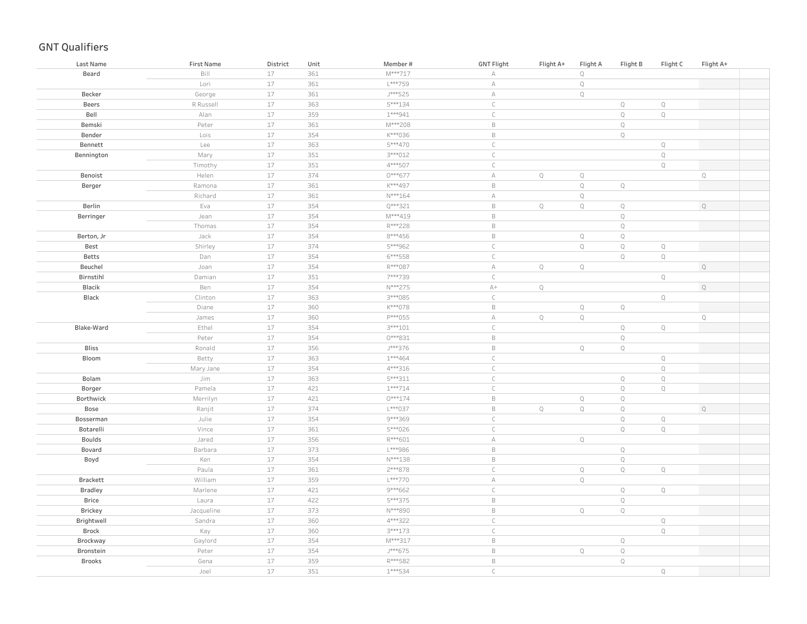| Last Name      | <b>First Name</b> | District | Unit | Member#      | <b>GNT Flight</b> | Flight A+   | Flight A    | Flight B     | Flight C    | Flight A+   |  |
|----------------|-------------------|----------|------|--------------|-------------------|-------------|-------------|--------------|-------------|-------------|--|
| Beard          | Bill              | $17$     | 361  | M***717      | А                 |             | $\mathbb Q$ |              |             |             |  |
|                | Lori              | $17$     | 361  | $L^{***}759$ | $\forall$         |             | $\mathbb Q$ |              |             |             |  |
| Becker         | George            | $17$     | 361  | J***525      | $\forall$         |             | $\mathbb Q$ |              |             |             |  |
| Beers          | R Russell         | $17$     | 363  | 5***134      | $\mathsf C$       |             |             | $\mathbb Q$  | $\mathbb Q$ |             |  |
| Bell           | Alan              | $17$     | 359  | $1***941$    | $\mathsf C$       |             |             | $\mathbb Q$  | $\mathbb Q$ |             |  |
| Bemski         | Peter             | $17$     | 361  | M***208      | $\mathsf B$       |             |             | $\mathbb Q$  |             |             |  |
| Bender         | Lois              | $17$     | 354  | K***036      | $\mathsf B$       |             |             | $\mathbb Q$  |             |             |  |
| Bennett        | Lee               | $17$     | 363  | 5 *** 470    | $\mathsf{C}$      |             |             |              | $\mathbb Q$ |             |  |
| Bennington     | Mary              | 17       | 351  | 3***012      | $\subset$         |             |             |              | $\mathbb Q$ |             |  |
|                | Timothy           | 17       | 351  | 4 *** 507    | $\subset$         |             |             |              | Q           |             |  |
| Benoist        | Helen             | 17       | 374  | 0***677      | А                 | $\mathbb Q$ | $\mathbb Q$ |              |             | Q           |  |
| Berger         | Ramona            | $17$     | 361  | K***497      | $\mathsf B$       |             | $\mathbb Q$ | $\mathbb Q$  |             |             |  |
|                | Richard           | $17$     | 361  | $N***164$    | А                 |             | $\mathbb Q$ |              |             |             |  |
| Berlin         | Eva               | 17       | 354  | Q***321      | $\mathsf B$       | $\mathbb Q$ | $\mathbb Q$ | $\mathbb Q$  |             | $\mathbb Q$ |  |
| Berringer      | Jean              | 17       | 354  | M***419      | $\mathsf B$       |             |             | $\mathbb Q$  |             |             |  |
|                | Thomas            | 17       | 354  | R***228      | $\mathsf B$       |             |             | $\mathbb Q$  |             |             |  |
| Berton, Jr     | Jack              | 17       | 354  | $8***456$    | $\mathsf B$       |             | $\mathbb Q$ | $\mathbb Q$  |             |             |  |
| Best           | Shirley           | 17       | 374  | 5***962      | $\subset$         |             | $\mathbb Q$ | $\mathbb Q$  | $\mathbb Q$ |             |  |
| Betts          | Dan               | 17       | 354  | 6***558      | $\subset$         |             |             | $\mathbb{Q}$ | $\mathbb Q$ |             |  |
| Beuchel        | Joan              | 17       | 354  | R***087      | $\forall$         | $\mathbb Q$ | $\mathbb Q$ |              |             | $\mathbb Q$ |  |
| Birnstihl      | Damian            | 17       | 351  | 7***739      | $\mathsf C$       |             |             |              | $\mathbb Q$ |             |  |
| Blacik         | Ben               | $17\,$   | 354  | N***275      | $\mathbb{A}+$     | $\mathbb Q$ |             |              |             | $\mathbb Q$ |  |
| Black          | Clinton           | 17       | 363  | 3 *** 085    | $\mathsf C$       |             |             |              | $\mathbb Q$ |             |  |
|                | Diane             | 17       | 360  | K***078      | $\mathsf B$       |             | $\mathbb Q$ | $\mathbb Q$  |             |             |  |
|                | James             | 17       | 360  | P***055      | $\mathbb A$       | $\mathbb Q$ | $\mathbb Q$ |              |             | $\mathbb Q$ |  |
| Blake-Ward     | Ethel             | 17       | 354  | 3 *** 101    | $\subset$         |             |             | $\mathbb Q$  | $\mathbb Q$ |             |  |
|                | Peter             | 17       | 354  | 0 *** 831    | $\mathsf B$       |             |             | $\mathbb Q$  |             |             |  |
| <b>Bliss</b>   | Ronald            | $17$     | 356  | J***376      | $\mathsf B$       |             | $\mathbb Q$ | $\mathbb Q$  |             |             |  |
| Bloom          | Betty             | 17       | 363  | $1***464$    | $\subset$         |             |             |              | $\mathbb Q$ |             |  |
|                | Mary Jane         | $17$     | 354  | 4 *** 316    | $\subset$         |             |             |              | $\mathbb Q$ |             |  |
| Bolam          | Jim               | $17$     | 363  | 5***311      | $\mathsf{C}$      |             |             | $\mathbb Q$  | $\mathbb Q$ |             |  |
| Borger         | Pamela            | $17$     | 421  | $1***714$    | $\mathsf{C}$      |             |             | $\mathbb Q$  | $\mathbb Q$ |             |  |
| Borthwick      | Merrilyn          | $17$     | 421  | $0***174$    | $\mathsf B$       |             | $\mathbb Q$ | $\mathbb Q$  |             |             |  |
| Bose           | Ranjit            | 17       | 374  | L***037      | $\mathsf B$       | $\mathbb Q$ | $\mathbb Q$ | $\mathbb Q$  |             | $\mathbb Q$ |  |
| Bosserman      | Julie             | 17       | 354  | 9***369      | $\subset$         |             |             | $\mathbb Q$  | $\mathbb Q$ |             |  |
| Botarelli      | Vince             | 17       | 361  | 5***026      | $\mathsf C$       |             |             | $\mathbb Q$  | $\mathbb Q$ |             |  |
| <b>Boulds</b>  | Jared             | $17$     | 356  | $R***601$    | $\mathbb A$       |             | $\mathbb Q$ |              |             |             |  |
| Bovard         | Barbara           | 17       | 373  | L***986      | $\mathsf B$       |             |             | $\mathbb Q$  |             |             |  |
| Boyd           | Ken               | $17$     | 354  | N***138      | $\mathsf B$       |             |             | $\mathbb Q$  |             |             |  |
|                | Paula             | 17       | 361  | 2***878      | $\subset$         |             | $\mathbb Q$ | $\mathbb Q$  | $\mathbb Q$ |             |  |
| Brackett       | William           | $17$     | 359  | L***770      | $\forall$         |             | $\mathbb Q$ |              |             |             |  |
| <b>Bradley</b> | Marlene           | 17       | 421  | 9***662      | $\mathsf C$       |             |             | $\mathbb Q$  | $\mathbb Q$ |             |  |
| Brice          | Laura             | $17$     | 422  | 5***375      | $\mathsf B$       |             |             | $\mathbb Q$  |             |             |  |
| Brickey        | Jacqueline        | 17       | 373  | N***890      | $\mathsf B$       |             | $\mathbb Q$ | $\mathbb Q$  |             |             |  |
| Brightwell     | Sandra            | $17$     | 360  | 4***322      | $\mathsf C$       |             |             |              | $\mathbb Q$ |             |  |
| Brock          | Kay               | $17$     | 360  | 3 *** 173    | $\subset$         |             |             |              | $\mathbb Q$ |             |  |
| Brockway       | Gaylord           | $17$     | 354  | M***317      | $\mathsf B$       |             |             | $\mathbb Q$  |             |             |  |
| Bronstein      | Peter             | $17$     | 354  | J***675      | $\mathsf B$       |             | $\mathbb Q$ | $\mathbb Q$  |             |             |  |
| <b>Brooks</b>  | Gena              | $17$     | 359  | R***582      | $\mathsf B$       |             |             | $\mathbb Q$  |             |             |  |
|                | Joel              | 17       | 351  | $1***534$    | $\mathcal{C}$     |             |             |              | $\mathbb Q$ |             |  |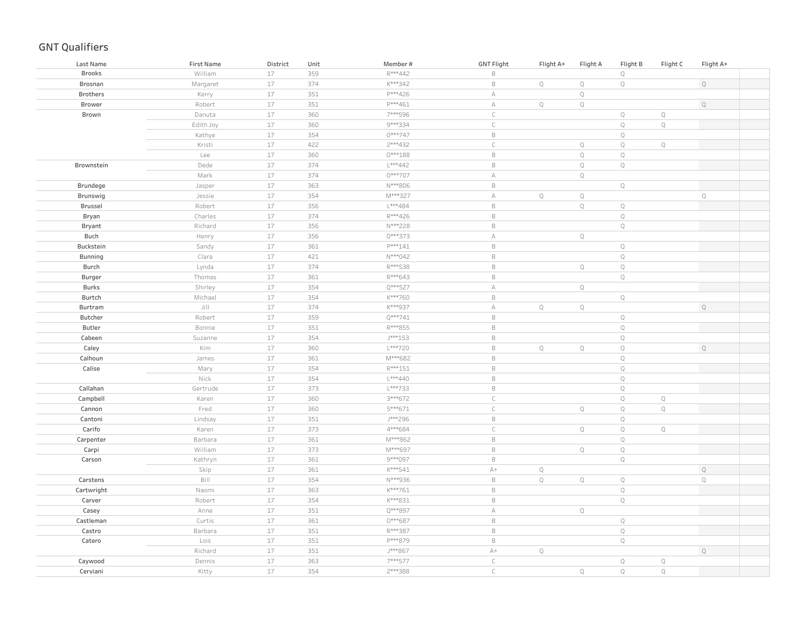| Last Name       | <b>First Name</b> | District | Unit | Member#   | <b>GNT Flight</b> | Flight A+   | Flight A    | Flight B     | Flight C    | Flight A+   |  |
|-----------------|-------------------|----------|------|-----------|-------------------|-------------|-------------|--------------|-------------|-------------|--|
| <b>Brooks</b>   | William           | 17       | 359  | R***442   | $\,$ B            |             |             | $\mathbb Q$  |             |             |  |
| Brosnan         | Margaret          | 17       | 374  | K***342   | $\mathsf B$       | $\mathbb Q$ | $\mathbb Q$ | $\mathbb Q$  |             | $\mathbb Q$ |  |
| <b>Brothers</b> | Kerry             | 17       | 351  | P***426   | $\mathbb A$       |             | $\mathbf Q$ |              |             |             |  |
| Brower          | Robert            | 17       | 351  | P***461   | $\mathbb A$       | $\mathbb Q$ | $\mathbb Q$ |              |             | $\mathbb Q$ |  |
| Brown           | Danuta            | 17       | 360  | 7***596   | $\subset$         |             |             | $\mathbb Q$  | $\mathbb Q$ |             |  |
|                 | Edith Joy         | 17       | 360  | 9 *** 334 | $\subset$         |             |             | $\mathbb Q$  | $\mathbb Q$ |             |  |
|                 | Kathye            | 17       | 354  | $0***747$ | $\,$ B            |             |             | $\mathbb Q$  |             |             |  |
|                 | Kristi            | 17       | 422  | 2 *** 432 | $\mathsf C$       |             | $\mathbb Q$ | $\mathbb Q$  | $\mathbb Q$ |             |  |
|                 | Lee               | $17$     | 360  | $0***188$ | $\,$ B            |             | $\mathbb Q$ | $\mathbb Q$  |             |             |  |
| Brownstein      | Dede              | 17       | 374  | L***442   | $\,$ B            |             | $\mathbb Q$ | $\mathbb Q$  |             |             |  |
|                 | Mark              | $17$     | 374  | 0***707   | $\mathbb A$       |             | $\mathbb Q$ |              |             |             |  |
| Brundege        | Jasper            | 17       | 363  | N***806   | $\,$ B            |             |             | $\mathbb Q$  |             |             |  |
| Brunswig        | Jessie            | 17       | 354  | M***327   | $\mathbb A$       | $\mathbb Q$ | $\mathbb Q$ |              |             | $\mathbb Q$ |  |
| Brussel         | Robert            | $17\,$   | 356  | $L***484$ | $\,$ B            |             | $\mathbb Q$ | $\mathbb Q$  |             |             |  |
| Bryan           | Charles           | 17       | 374  | R***426   | $\,$ B            |             |             | $\mathbb Q$  |             |             |  |
| Bryant          | Richard           | 17       | 356  | N***228   | $\,$ B            |             |             | $\mathbb Q$  |             |             |  |
| Buch            | Henry             | 17       | 356  | 0***373   | $\forall$         |             | $\mathbb Q$ |              |             |             |  |
| Buckstein       | Sandy             | 17       | 361  | P***141   | $\,$ B            |             |             | $\mathbb Q$  |             |             |  |
| Bunning         | Clara             | 17       | 421  | N***042   | $\,$ B            |             |             | $\mathbb Q$  |             |             |  |
| Burch           | Lynda             | 17       | 374  | R***538   | $\,$ B            |             | $\mathbb Q$ | $\mathbb Q$  |             |             |  |
| Burger          | Thomas            | 17       | 361  | R***643   | $\,$ B            |             |             | $\mathbf Q$  |             |             |  |
| Burks           | Shirley           | 17       | 354  | Q***527   | $\mathbb A$       |             | $\mathbb Q$ |              |             |             |  |
| Burtch          | Michael           | 17       | 354  | K***760   | $\,$ B            |             |             | $\mathbb Q$  |             |             |  |
| Burtram         | Jill              | 17       | 374  | K***937   | $\mathbb A$       | $\mathbb Q$ | $\mathbb Q$ |              |             | $\mathbb Q$ |  |
| Butcher         | Robert            | 17       | 359  | Q***741   | $\,$ B            |             |             | $\mathbb Q$  |             |             |  |
| Butler          | Bonnie            | 17       | 351  | R***855   | $\,$ B            |             |             | $\mathbb Q$  |             |             |  |
| Cabeen          | Suzanne           | 17       | 354  | $J***153$ | $\,$ B            |             |             | $\mathbb Q$  |             |             |  |
| Caley           | Kim               | 17       | 360  | $L***720$ | $\,$ B            | $\mathbb Q$ | $\mathbb Q$ | $\mathbb Q$  |             | $\mathbb Q$ |  |
| Calhoun         | James             | 17       | 361  | M***682   | $\,$ B            |             |             | $\mathbb Q$  |             |             |  |
| Calise          | Mary              | 17       | 354  | $R***151$ | $\,$ B            |             |             | $\mathbb Q$  |             |             |  |
|                 | Nick              | 17       | 354  | $L***440$ | $\,$ B            |             |             | $\mathbb Q$  |             |             |  |
| Callahan        | Gertrude          | 17       | 373  | L***733   | $\,$ B            |             |             | $\mathbb Q$  |             |             |  |
| Campbell        | Karen             | 17       | 360  | 3***672   | $\mathsf C$       |             |             | $\mathbb Q$  | $\mathbb Q$ |             |  |
| Cannon          | Fred              | 17       | 360  | 5 *** 671 | $\mathsf C$       |             | $\mathbb Q$ | $\mathbb Q$  | $\mathbb Q$ |             |  |
| Cantoni         | Lindsay           | 17       | 351  | J***296   | $\,$ B            |             |             | $\mathbb Q$  |             |             |  |
| Carifo          | Karen             | $17$     | 373  | 4***684   | $\mathsf C$       |             | $\mathbb Q$ | $\mathbb Q$  | $\mathbb Q$ |             |  |
| Carpenter       | Barbara           | 17       | 361  | M***862   | $\,$ B            |             |             | $\mathbb Q$  |             |             |  |
| Carpi           | William           | $17$     | 373  | M***697   | $\,$ B            |             | $\mathbb Q$ | $\mathbb Q$  |             |             |  |
| Carson          | Kathryn           | 17       | 361  | 9***097   | $\,$ B            |             |             | $\mathbf Q$  |             |             |  |
|                 | Skip              | 17       | 361  | K***541   | $A+$              | $\mathbb Q$ |             |              |             | $\mathbb Q$ |  |
| Carstens        | Bill              | 17       | 354  | N***936   | $\,$ B            | $\mathbb Q$ | $\mathbb Q$ | $\mathbb Q$  |             | $\mathbb Q$ |  |
| Cartwright      | Naomi             | 17       | 363  | K***761   | $\,$ B            |             |             | $\mathbb Q$  |             |             |  |
| Carver          | Robert            | 17       | 354  | K***831   | $\,$ B            |             |             | $\mathbb Q$  |             |             |  |
| Casey           | Anne              | 17       | 351  | Q***897   | $\mathbb A$       |             | $\mathbb Q$ |              |             |             |  |
| Castleman       | Curtis            | 17       | 361  | 0***687   | $\,$ B            |             |             | $\mathbb Q$  |             |             |  |
| Castro          | Barbara           | 17       | 351  | R***387   | $\,$ B            |             |             | $\mathbb Q$  |             |             |  |
| Catero          | Lois              | 17       | 351  | P***879   | $\,$ B            |             |             | $\mathbb Q$  |             |             |  |
|                 | Richard           | 17       | 351  | J***867   | $\mathbb{A}+$     | $\mathbb Q$ |             |              |             | Q           |  |
| Caywood         | Dennis            | 17       | 363  | 7***577   | $\mathsf C$       |             |             | $\mathbb Q$  | $\mathbb Q$ |             |  |
| Cerviani        | Kitty             | 17       | 354  | 2***388   | $\mathsf{C}$      |             | $\mathbb Q$ | $\mathbb{Q}$ | $\mathbb Q$ |             |  |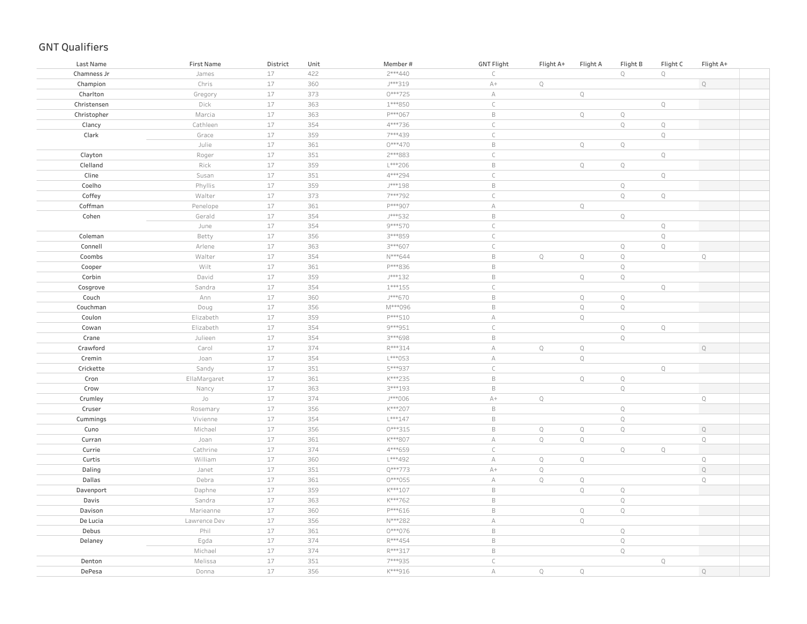| Last Name   | <b>First Name</b>  | District | Unit | Member#   | <b>GNT Flight</b> | Flight A+   | Flight A    | Flight B    | Flight C    | Flight A+   |
|-------------|--------------------|----------|------|-----------|-------------------|-------------|-------------|-------------|-------------|-------------|
| Chamness Jr | James              | 17       | 422  | 2 *** 440 | $\subset$         |             |             | $\mathbb Q$ | $\mathbb Q$ |             |
| Champion    | Chris              | 17       | 360  | J***319   | $A+$              | $\mathbb Q$ |             |             |             | $\mathbb Q$ |
| Charlton    | Gregory            | 17       | 373  | 0***725   | $\mathbb A$       |             | $\mathbb Q$ |             |             |             |
| Christensen | Dick               | 17       | 363  | 1 *** 850 | $\mathsf C$       |             |             |             | $\mathbb Q$ |             |
| Christopher | Marcia             | 17       | 363  | P***067   | $\,$ B            |             | $\mathbb Q$ | $\mathbb Q$ |             |             |
| Clancy      | Cathleen           | 17       | 354  | 4***736   | $\subset$         |             |             | $\mathbb Q$ | $\mathbb Q$ |             |
| Clark       | Grace              | $17\,$   | 359  | 7***439   | $\mathsf C$       |             |             |             | $\mathbb Q$ |             |
|             | Julie              | $17\,$   | 361  | $0***470$ | $\,$ B            |             | $\mathbb Q$ | $\mathbb Q$ |             |             |
| Clayton     | Roger              | $17\,$   | 351  | 2 *** 883 | $\mathsf{C}$      |             |             |             | $\mathbb Q$ |             |
| Clelland    | Rick               | $17\,$   | 359  | L***206   | $\mathsf B$       |             | $\mathbb Q$ | $\mathbb Q$ |             |             |
| Cline       | Susan              | 17       | 351  | 4***294   | $\mathsf{C}$      |             |             |             | $\mathbb Q$ |             |
| Coelho      | Phyllis            | $17\,$   | 359  | $J***198$ | $\,$ B            |             |             | $\mathbb Q$ |             |             |
| Coffey      | Walter             | $17\,$   | 373  | 7***792   | $\mathsf{C}$      |             |             | $\mathsf Q$ | $\mathsf Q$ |             |
| Coffman     | Penelope           | 17       | 361  | P***907   | $\mathbb A$       |             | $\mathbb Q$ |             |             |             |
| Cohen       | Gerald             | 17       | 354  | J***532   | $\,$ B            |             |             | $\mathbb Q$ |             |             |
|             | June               | 17       | 354  | 9 *** 570 | $\mathsf C$       |             |             |             | $\mathbb Q$ |             |
| Coleman     | Betty              | 17       | 356  | 3***859   | $\mathsf C$       |             |             |             | $\mathbb Q$ |             |
| Connell     | Arlene             | 17       | 363  | 3 *** 607 | $\subset$         |             |             | $\mathbb Q$ | $\mathbb Q$ |             |
| Coombs      | Walter             | 17       | 354  | N***644   | $\,$ B            | $\mathbb Q$ | $\mathbb Q$ | $\mathbb Q$ |             | $\mathbf Q$ |
| Cooper      | Wilt               | 17       | 361  | P***836   | $\,$ B            |             |             | $\mathbb Q$ |             |             |
| Corbin      | David              | 17       | 359  | J***132   | $\,$ B            |             | $\mathbb Q$ | $\mathbb Q$ |             |             |
| Cosgrove    | Sandra             | 17       | 354  | $1***155$ | $\subset$         |             |             |             | $\mathbb Q$ |             |
| Couch       | Ann                | 17       | 360  | J***670   | $\,$ B            |             | $\mathbb Q$ | $\mathbb Q$ |             |             |
| Couchman    | Doug               | 17       | 356  | M***096   | $\,$ B            |             | $\mathbb Q$ | $\mathbb Q$ |             |             |
| Coulon      | Elizabeth          | 17       | 359  | P***510   | $\mathbb A$       |             | $\mathbb Q$ |             |             |             |
| Cowan       | Elizabeth          | 17       | 354  | 9 *** 951 | $\mathsf C$       |             |             | $\mathbb Q$ | $\mathbb Q$ |             |
| Crane       | Julieen            | 17       | 354  | 3***698   | $\,$ B            |             |             | $\mathbb Q$ |             |             |
| Crawford    | Carol              | 17       | 374  | R***314   | $\forall$         | $\mathbb Q$ | $\mathbb Q$ |             |             | $\mathbb Q$ |
| Cremin      | Joan               | 17       | 354  | L***053   | $\forall$         |             | $\mathbb Q$ |             |             |             |
| Crickette   | Sandy              | 17       | 351  | 5***937   | $\subset$         |             |             |             | $\mathbb Q$ |             |
| Cron        | EllaMargaret       | 17       | 361  | K***235   | $\,$ B            |             | $\mathbb Q$ | $\mathbb Q$ |             |             |
| Crow        | Nancy              | 17       | 363  | 3 *** 193 | $\,$ B            |             |             | $\mathbb Q$ |             |             |
| Crumley     | ${\mathsf J}\circ$ | 17       | 374  | J***006   | $A+$              | $\mathbb Q$ |             |             |             | $\mathbb Q$ |
| Cruser      | Rosemary           | 17       | 356  | K***207   | $\,$ B            |             |             | $\mathbb Q$ |             |             |
| Cummings    | Vivienne           | 17       | 354  | $L***147$ | $\,$ B            |             |             | $\mathbb Q$ |             |             |
| Cuno        | Michael            | 17       | 356  | $0***315$ | $\,$ B            | $\mathbb Q$ | $\mathbb Q$ | $\mathbb Q$ |             | $\mathbb Q$ |
| Curran      | Joan               | 17       | 361  | K***807   | $\mathbb A$       | $\mathbb Q$ | $\mathbb Q$ |             |             | $\mathbb Q$ |
| Currie      | Cathrine           | 17       | 374  | 4***659   | $\subset$         |             |             | $\mathbb Q$ | $\mathbb Q$ |             |
| Curtis      | William            | 17       | 360  | L***492   | $\mathbb A$       | $\mathbb Q$ | $\mathbb Q$ |             |             | $\mathbb Q$ |
| Daling      | Janet              | 17       | 351  | Q***773   | $A+$              | $\mathbb Q$ |             |             |             | $\mathbb Q$ |
| Dallas      | Debra              | 17       | 361  | $0***055$ | $\mathbb A$       | $\mathbb Q$ | $\mathbb Q$ |             |             | $\mathbb Q$ |
| Davenport   | Daphne             | 17       | 359  | K***107   | $\,$ B            |             | $\mathbb Q$ | $\mathbb Q$ |             |             |
| Davis       | Sandra             | 17       | 363  | K***762   | $\,$ B            |             |             | $\mathbb Q$ |             |             |
| Davison     | Marieanne          | 17       | 360  | P***616   | $\,$ B            |             | $\mathbb Q$ | $\mathbb Q$ |             |             |
| De Lucia    | Lawrence Dev       | 17       | 356  | N***282   | $\mathbb A$       |             | $\mathbb Q$ |             |             |             |
| Debus       | Phil               | 17       | 361  | 0***076   | $\,$ B            |             |             | $\mathbb Q$ |             |             |
| Delaney     | Egda               | 17       | 374  | R***454   | $\,$ B            |             |             | $\mathbb Q$ |             |             |
|             | Michael            | 17       | 374  | R***317   | $\,$ B            |             |             | $\mathbb Q$ |             |             |
| Denton      | Melissa            | 17       | 351  | 7***935   | $\mathsf{C}$      |             |             |             | $\mathbb Q$ |             |
| DePesa      | Donna              | 17       | 356  | K***916   | $\mathbb A$       | $\mathbb Q$ | $\mathbb Q$ |             |             | $\mathbb Q$ |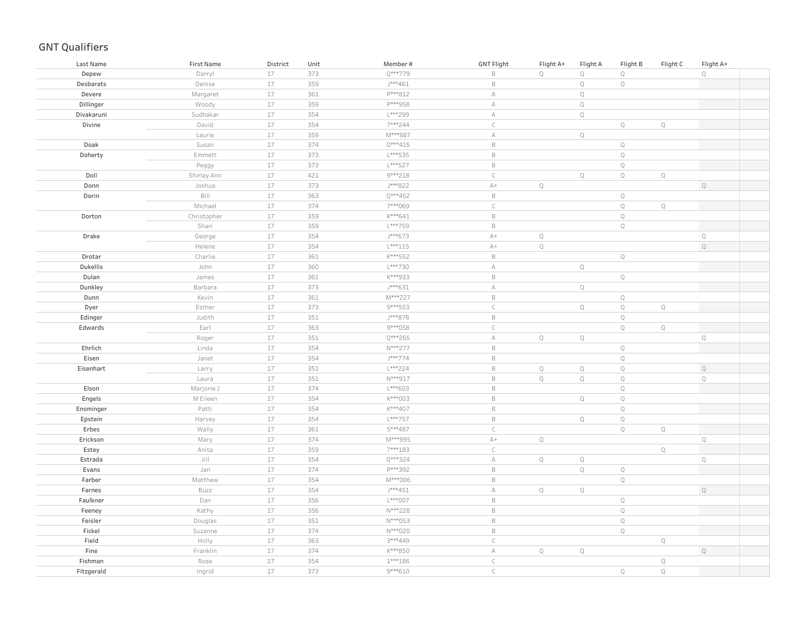| 17<br>$\mathsf B$<br>$\mathbf Q$<br>$\mathbb Q$<br>$\mathsf Q$<br>373<br>$\mathbb Q$<br>Depew<br>Darryl<br>17<br>359<br>J***461<br>$\mathsf B$<br>$\mathbb Q$<br>$\mathbb Q$<br>Desbarats<br>Denise<br>17<br>361<br>P***812<br>$\mathbb A$<br>$\mathbb Q$<br>Devere<br>Margaret<br>Dillinger<br>$17$<br>P***958<br>$\mathbb A$<br>$\mathbb Q$<br>Woody<br>359<br>17<br>354<br>L***299<br>$\mathbb A$<br>$\mathbb Q$<br>Divakaruni<br>Sudhakar<br>17<br>7***244<br>$\subset$<br>$\mathbb Q$<br>$\mathbb Q$<br>Divine<br>David<br>354<br>$17$<br>359<br>M***887<br>Laurie<br>$\forall$<br>$\mathbb Q$<br>$17$<br>374<br>$0***415$<br>$\mathsf B$<br>$\mathbb Q$<br>Doak<br>Susan<br>17<br>L***535<br>$\mathsf B$<br>$\mathbb Q$<br>373<br>Doherty<br>Emmett<br>$17$<br>$\mathsf B$<br>373<br>L***527<br>$\mathbb Q$<br>Peggy<br>$17$<br>421<br>9 *** 218<br>$\mathsf C$<br>$\mathbb Q$<br>$\mathbb Q$<br>$\mathbb Q$<br>Doll<br>Shirley Ann<br>$17\,$<br>373<br>J***822<br>$\mathbb{A}+$<br>$\mathbb Q$<br>$\mathbb Q$<br>Donn<br>Joshua<br>Bill<br>$17$<br>363<br>Q***452<br>$\mathsf B$<br>$\mathbb Q$<br>Dorin<br>$17$<br>374<br>7***069<br>$\mathsf C$<br>$\mathbb Q$<br>Q<br>Michael<br>$17$<br>K***641<br>$\mathsf B$<br>$\mathbb Q$<br>Dorton<br>Christopher<br>359<br>$17$<br>$\mathbb Q$<br>Shari<br>359<br>L***759<br>$\mathsf B$<br>$17$<br>Drake<br>354<br>J***673<br>$\mathbb{A}+$<br>$\mathbb Q$<br>$\mathbb Q$<br>George<br>$17$<br>$\mathbb Q$<br>$\mathbb Q$<br>354<br>$L***115$<br>$\mathbb{A}+$<br>Helene<br>17<br>361<br>K***552<br>$\mathsf B$<br>$\mathbb Q$<br>Drotar<br>Charlie<br>$17$<br>$\mathbb Q$<br>Dukellis<br>John<br>360<br>L***730<br>$\forall$<br>17<br>$\mathsf B$<br>$\mathbb Q$<br>361<br>K***933<br>Dulan<br>James<br>$17$<br>J***631<br>$\mathbb A$<br>$\mathbb Q$<br>373<br>Dunkley<br>Barbara<br>$17$<br>361<br>M***227<br>$\mathsf B$<br>$\mathbb Q$<br>Dunn<br>Kevin<br>$17$<br>9 *** 553<br>$\mathsf C$<br>$\mathbb Q$<br>Esther<br>373<br>$\mathbb Q$<br>$\mathbb Q$<br>Dyer<br>17<br>351<br>J***878<br>$\mathsf B$<br>$\mathbb Q$<br>Edinger<br>Judith<br>$17$<br>9***058<br>Earl<br>363<br>$\subset$<br>$\mathbb Q$<br>$\mathbb Q$<br>Edwards<br>$17$<br>351<br>Q***265<br>$\forall$<br>$\mathbb Q$<br>$\mathbb Q$<br>$\mathbb Q$<br>Roger<br>$17$<br>Ehrlich<br>354<br>N***277<br>$\mathsf B$<br>$\mathbb Q$<br>Linda<br>$17$<br>J***774<br>$\mathbb Q$<br>Eisen<br>354<br>$\mathsf B$<br>Janet<br>17<br>L***224<br>$\mathsf B$<br>$\mathbb Q$<br>$\mathbf Q$<br>$\mathbb Q$<br>351<br>$\mathbb Q$<br>Eisenhart<br>Larry<br>17<br>$N***917$<br>$\mathsf B$<br>$\mathbb{Q}$<br>$\mathbb Q$<br>$\mathbf Q$<br>$\mathsf Q$<br>351<br>Laura<br>17<br>$\mathsf B$<br>374<br>$L***603$<br>$\mathbb Q$<br>Elson<br>Marjorie J<br>17<br>$\mathsf B$<br>354<br>K***003<br>$\mathbb Q$<br>$\mathbb Q$<br>Engels<br>M Eileen<br>17<br>K***407<br>$\mathsf B$<br>$\mathbf Q$<br>Patti<br>354<br>Ensminger<br>$17$<br>354<br>L***757<br>$\mathsf B$<br>$\mathbb Q$<br>$\mathbb Q$<br>Epstein<br>Harvey<br>17<br>5***487<br>$\subset$<br>$\mathbb Q$<br>$\mathbb Q$<br>Erbes<br>Wally<br>361<br>$17\,$<br>374<br>M***895<br>$\mathbb{A}+$<br>$\mathbb Q$<br>$\mathbb Q$<br>Erickson<br>Mary<br>17<br>7***183<br>$\mathsf C$<br>$\mathbb Q$<br>Estey<br>Anita<br>359<br>17<br>Jill<br>Q***324<br>$\mathbb A$<br>$\mathbb Q$<br>$\mathbb Q$<br>$\mathbb Q$<br>Estrada<br>354<br>17<br>P***392<br>$\mathsf B$<br>$\mathbb Q$<br>$\mathbb Q$<br>Evans<br>Jan<br>374<br>17<br>$\mathbb Q$<br>M***006<br>$\mathsf B$<br>Farber<br>Matthew<br>354<br>17<br>J***451<br>$\mathbb A$<br>$\mathbb Q$<br>Farnes<br>354<br>$\mathbb Q$<br>$\mathbb Q$<br>Buzz<br>17<br>L***007<br>$\mathsf B$<br>$\mathbb Q$<br>Dan<br>356<br>Faulkner<br>$17$<br>$\mathbb Q$<br>Kathy<br>356<br>N***228<br>$\mathsf B$<br>Feeney<br>$17$<br>N***053<br>$\mathsf B$<br>$\mathbb Q$<br>Feisler<br>351<br>Douglas<br>Fickel<br>$17$<br>374<br>N***020<br>$\mathsf B$<br>$\mathbb Q$<br>Suzanne<br>$17$<br>3***449<br>$\mathsf C$<br>Field<br>Holly<br>363<br>$\mathbb Q$<br>$17$<br>$\mathbb Q$<br>Fine<br>Franklin<br>374<br>K***850<br>$\forall$<br>$\mathbb Q$<br>$\mathbb Q$<br>17<br>354<br>$1***186$<br>$\mathsf{C}$<br>$\mathbb Q$<br>Fishman<br>Rose | Last Name  | <b>First Name</b> | District | Unit | Member#   | <b>GNT Flight</b> | Flight A+ | Flight A | Flight B | Flight C | Flight A+ |
|----------------------------------------------------------------------------------------------------------------------------------------------------------------------------------------------------------------------------------------------------------------------------------------------------------------------------------------------------------------------------------------------------------------------------------------------------------------------------------------------------------------------------------------------------------------------------------------------------------------------------------------------------------------------------------------------------------------------------------------------------------------------------------------------------------------------------------------------------------------------------------------------------------------------------------------------------------------------------------------------------------------------------------------------------------------------------------------------------------------------------------------------------------------------------------------------------------------------------------------------------------------------------------------------------------------------------------------------------------------------------------------------------------------------------------------------------------------------------------------------------------------------------------------------------------------------------------------------------------------------------------------------------------------------------------------------------------------------------------------------------------------------------------------------------------------------------------------------------------------------------------------------------------------------------------------------------------------------------------------------------------------------------------------------------------------------------------------------------------------------------------------------------------------------------------------------------------------------------------------------------------------------------------------------------------------------------------------------------------------------------------------------------------------------------------------------------------------------------------------------------------------------------------------------------------------------------------------------------------------------------------------------------------------------------------------------------------------------------------------------------------------------------------------------------------------------------------------------------------------------------------------------------------------------------------------------------------------------------------------------------------------------------------------------------------------------------------------------------------------------------------------------------------------------------------------------------------------------------------------------------------------------------------------------------------------------------------------------------------------------------------------------------------------------------------------------------------------------------------------------------------------------------------------------------------------------------------------------------------------------------------------------------------------------------------------------------------------------------------------------------------------------------------------------------------------------------------------------------------------------------------------------------------------------------------------------------------------------------------------------------------------------------------------------------------------------------------------------------------------------------------------------------------------------------------------------------------------------------------------------------------------|------------|-------------------|----------|------|-----------|-------------------|-----------|----------|----------|----------|-----------|
|                                                                                                                                                                                                                                                                                                                                                                                                                                                                                                                                                                                                                                                                                                                                                                                                                                                                                                                                                                                                                                                                                                                                                                                                                                                                                                                                                                                                                                                                                                                                                                                                                                                                                                                                                                                                                                                                                                                                                                                                                                                                                                                                                                                                                                                                                                                                                                                                                                                                                                                                                                                                                                                                                                                                                                                                                                                                                                                                                                                                                                                                                                                                                                                                                                                                                                                                                                                                                                                                                                                                                                                                                                                                                                                                                                                                                                                                                                                                                                                                                                                                                                                                                                                                                                                                |            |                   |          |      | Q***779   |                   |           |          |          |          |           |
|                                                                                                                                                                                                                                                                                                                                                                                                                                                                                                                                                                                                                                                                                                                                                                                                                                                                                                                                                                                                                                                                                                                                                                                                                                                                                                                                                                                                                                                                                                                                                                                                                                                                                                                                                                                                                                                                                                                                                                                                                                                                                                                                                                                                                                                                                                                                                                                                                                                                                                                                                                                                                                                                                                                                                                                                                                                                                                                                                                                                                                                                                                                                                                                                                                                                                                                                                                                                                                                                                                                                                                                                                                                                                                                                                                                                                                                                                                                                                                                                                                                                                                                                                                                                                                                                |            |                   |          |      |           |                   |           |          |          |          |           |
|                                                                                                                                                                                                                                                                                                                                                                                                                                                                                                                                                                                                                                                                                                                                                                                                                                                                                                                                                                                                                                                                                                                                                                                                                                                                                                                                                                                                                                                                                                                                                                                                                                                                                                                                                                                                                                                                                                                                                                                                                                                                                                                                                                                                                                                                                                                                                                                                                                                                                                                                                                                                                                                                                                                                                                                                                                                                                                                                                                                                                                                                                                                                                                                                                                                                                                                                                                                                                                                                                                                                                                                                                                                                                                                                                                                                                                                                                                                                                                                                                                                                                                                                                                                                                                                                |            |                   |          |      |           |                   |           |          |          |          |           |
|                                                                                                                                                                                                                                                                                                                                                                                                                                                                                                                                                                                                                                                                                                                                                                                                                                                                                                                                                                                                                                                                                                                                                                                                                                                                                                                                                                                                                                                                                                                                                                                                                                                                                                                                                                                                                                                                                                                                                                                                                                                                                                                                                                                                                                                                                                                                                                                                                                                                                                                                                                                                                                                                                                                                                                                                                                                                                                                                                                                                                                                                                                                                                                                                                                                                                                                                                                                                                                                                                                                                                                                                                                                                                                                                                                                                                                                                                                                                                                                                                                                                                                                                                                                                                                                                |            |                   |          |      |           |                   |           |          |          |          |           |
|                                                                                                                                                                                                                                                                                                                                                                                                                                                                                                                                                                                                                                                                                                                                                                                                                                                                                                                                                                                                                                                                                                                                                                                                                                                                                                                                                                                                                                                                                                                                                                                                                                                                                                                                                                                                                                                                                                                                                                                                                                                                                                                                                                                                                                                                                                                                                                                                                                                                                                                                                                                                                                                                                                                                                                                                                                                                                                                                                                                                                                                                                                                                                                                                                                                                                                                                                                                                                                                                                                                                                                                                                                                                                                                                                                                                                                                                                                                                                                                                                                                                                                                                                                                                                                                                |            |                   |          |      |           |                   |           |          |          |          |           |
|                                                                                                                                                                                                                                                                                                                                                                                                                                                                                                                                                                                                                                                                                                                                                                                                                                                                                                                                                                                                                                                                                                                                                                                                                                                                                                                                                                                                                                                                                                                                                                                                                                                                                                                                                                                                                                                                                                                                                                                                                                                                                                                                                                                                                                                                                                                                                                                                                                                                                                                                                                                                                                                                                                                                                                                                                                                                                                                                                                                                                                                                                                                                                                                                                                                                                                                                                                                                                                                                                                                                                                                                                                                                                                                                                                                                                                                                                                                                                                                                                                                                                                                                                                                                                                                                |            |                   |          |      |           |                   |           |          |          |          |           |
|                                                                                                                                                                                                                                                                                                                                                                                                                                                                                                                                                                                                                                                                                                                                                                                                                                                                                                                                                                                                                                                                                                                                                                                                                                                                                                                                                                                                                                                                                                                                                                                                                                                                                                                                                                                                                                                                                                                                                                                                                                                                                                                                                                                                                                                                                                                                                                                                                                                                                                                                                                                                                                                                                                                                                                                                                                                                                                                                                                                                                                                                                                                                                                                                                                                                                                                                                                                                                                                                                                                                                                                                                                                                                                                                                                                                                                                                                                                                                                                                                                                                                                                                                                                                                                                                |            |                   |          |      |           |                   |           |          |          |          |           |
|                                                                                                                                                                                                                                                                                                                                                                                                                                                                                                                                                                                                                                                                                                                                                                                                                                                                                                                                                                                                                                                                                                                                                                                                                                                                                                                                                                                                                                                                                                                                                                                                                                                                                                                                                                                                                                                                                                                                                                                                                                                                                                                                                                                                                                                                                                                                                                                                                                                                                                                                                                                                                                                                                                                                                                                                                                                                                                                                                                                                                                                                                                                                                                                                                                                                                                                                                                                                                                                                                                                                                                                                                                                                                                                                                                                                                                                                                                                                                                                                                                                                                                                                                                                                                                                                |            |                   |          |      |           |                   |           |          |          |          |           |
|                                                                                                                                                                                                                                                                                                                                                                                                                                                                                                                                                                                                                                                                                                                                                                                                                                                                                                                                                                                                                                                                                                                                                                                                                                                                                                                                                                                                                                                                                                                                                                                                                                                                                                                                                                                                                                                                                                                                                                                                                                                                                                                                                                                                                                                                                                                                                                                                                                                                                                                                                                                                                                                                                                                                                                                                                                                                                                                                                                                                                                                                                                                                                                                                                                                                                                                                                                                                                                                                                                                                                                                                                                                                                                                                                                                                                                                                                                                                                                                                                                                                                                                                                                                                                                                                |            |                   |          |      |           |                   |           |          |          |          |           |
|                                                                                                                                                                                                                                                                                                                                                                                                                                                                                                                                                                                                                                                                                                                                                                                                                                                                                                                                                                                                                                                                                                                                                                                                                                                                                                                                                                                                                                                                                                                                                                                                                                                                                                                                                                                                                                                                                                                                                                                                                                                                                                                                                                                                                                                                                                                                                                                                                                                                                                                                                                                                                                                                                                                                                                                                                                                                                                                                                                                                                                                                                                                                                                                                                                                                                                                                                                                                                                                                                                                                                                                                                                                                                                                                                                                                                                                                                                                                                                                                                                                                                                                                                                                                                                                                |            |                   |          |      |           |                   |           |          |          |          |           |
|                                                                                                                                                                                                                                                                                                                                                                                                                                                                                                                                                                                                                                                                                                                                                                                                                                                                                                                                                                                                                                                                                                                                                                                                                                                                                                                                                                                                                                                                                                                                                                                                                                                                                                                                                                                                                                                                                                                                                                                                                                                                                                                                                                                                                                                                                                                                                                                                                                                                                                                                                                                                                                                                                                                                                                                                                                                                                                                                                                                                                                                                                                                                                                                                                                                                                                                                                                                                                                                                                                                                                                                                                                                                                                                                                                                                                                                                                                                                                                                                                                                                                                                                                                                                                                                                |            |                   |          |      |           |                   |           |          |          |          |           |
|                                                                                                                                                                                                                                                                                                                                                                                                                                                                                                                                                                                                                                                                                                                                                                                                                                                                                                                                                                                                                                                                                                                                                                                                                                                                                                                                                                                                                                                                                                                                                                                                                                                                                                                                                                                                                                                                                                                                                                                                                                                                                                                                                                                                                                                                                                                                                                                                                                                                                                                                                                                                                                                                                                                                                                                                                                                                                                                                                                                                                                                                                                                                                                                                                                                                                                                                                                                                                                                                                                                                                                                                                                                                                                                                                                                                                                                                                                                                                                                                                                                                                                                                                                                                                                                                |            |                   |          |      |           |                   |           |          |          |          |           |
|                                                                                                                                                                                                                                                                                                                                                                                                                                                                                                                                                                                                                                                                                                                                                                                                                                                                                                                                                                                                                                                                                                                                                                                                                                                                                                                                                                                                                                                                                                                                                                                                                                                                                                                                                                                                                                                                                                                                                                                                                                                                                                                                                                                                                                                                                                                                                                                                                                                                                                                                                                                                                                                                                                                                                                                                                                                                                                                                                                                                                                                                                                                                                                                                                                                                                                                                                                                                                                                                                                                                                                                                                                                                                                                                                                                                                                                                                                                                                                                                                                                                                                                                                                                                                                                                |            |                   |          |      |           |                   |           |          |          |          |           |
|                                                                                                                                                                                                                                                                                                                                                                                                                                                                                                                                                                                                                                                                                                                                                                                                                                                                                                                                                                                                                                                                                                                                                                                                                                                                                                                                                                                                                                                                                                                                                                                                                                                                                                                                                                                                                                                                                                                                                                                                                                                                                                                                                                                                                                                                                                                                                                                                                                                                                                                                                                                                                                                                                                                                                                                                                                                                                                                                                                                                                                                                                                                                                                                                                                                                                                                                                                                                                                                                                                                                                                                                                                                                                                                                                                                                                                                                                                                                                                                                                                                                                                                                                                                                                                                                |            |                   |          |      |           |                   |           |          |          |          |           |
|                                                                                                                                                                                                                                                                                                                                                                                                                                                                                                                                                                                                                                                                                                                                                                                                                                                                                                                                                                                                                                                                                                                                                                                                                                                                                                                                                                                                                                                                                                                                                                                                                                                                                                                                                                                                                                                                                                                                                                                                                                                                                                                                                                                                                                                                                                                                                                                                                                                                                                                                                                                                                                                                                                                                                                                                                                                                                                                                                                                                                                                                                                                                                                                                                                                                                                                                                                                                                                                                                                                                                                                                                                                                                                                                                                                                                                                                                                                                                                                                                                                                                                                                                                                                                                                                |            |                   |          |      |           |                   |           |          |          |          |           |
|                                                                                                                                                                                                                                                                                                                                                                                                                                                                                                                                                                                                                                                                                                                                                                                                                                                                                                                                                                                                                                                                                                                                                                                                                                                                                                                                                                                                                                                                                                                                                                                                                                                                                                                                                                                                                                                                                                                                                                                                                                                                                                                                                                                                                                                                                                                                                                                                                                                                                                                                                                                                                                                                                                                                                                                                                                                                                                                                                                                                                                                                                                                                                                                                                                                                                                                                                                                                                                                                                                                                                                                                                                                                                                                                                                                                                                                                                                                                                                                                                                                                                                                                                                                                                                                                |            |                   |          |      |           |                   |           |          |          |          |           |
|                                                                                                                                                                                                                                                                                                                                                                                                                                                                                                                                                                                                                                                                                                                                                                                                                                                                                                                                                                                                                                                                                                                                                                                                                                                                                                                                                                                                                                                                                                                                                                                                                                                                                                                                                                                                                                                                                                                                                                                                                                                                                                                                                                                                                                                                                                                                                                                                                                                                                                                                                                                                                                                                                                                                                                                                                                                                                                                                                                                                                                                                                                                                                                                                                                                                                                                                                                                                                                                                                                                                                                                                                                                                                                                                                                                                                                                                                                                                                                                                                                                                                                                                                                                                                                                                |            |                   |          |      |           |                   |           |          |          |          |           |
|                                                                                                                                                                                                                                                                                                                                                                                                                                                                                                                                                                                                                                                                                                                                                                                                                                                                                                                                                                                                                                                                                                                                                                                                                                                                                                                                                                                                                                                                                                                                                                                                                                                                                                                                                                                                                                                                                                                                                                                                                                                                                                                                                                                                                                                                                                                                                                                                                                                                                                                                                                                                                                                                                                                                                                                                                                                                                                                                                                                                                                                                                                                                                                                                                                                                                                                                                                                                                                                                                                                                                                                                                                                                                                                                                                                                                                                                                                                                                                                                                                                                                                                                                                                                                                                                |            |                   |          |      |           |                   |           |          |          |          |           |
|                                                                                                                                                                                                                                                                                                                                                                                                                                                                                                                                                                                                                                                                                                                                                                                                                                                                                                                                                                                                                                                                                                                                                                                                                                                                                                                                                                                                                                                                                                                                                                                                                                                                                                                                                                                                                                                                                                                                                                                                                                                                                                                                                                                                                                                                                                                                                                                                                                                                                                                                                                                                                                                                                                                                                                                                                                                                                                                                                                                                                                                                                                                                                                                                                                                                                                                                                                                                                                                                                                                                                                                                                                                                                                                                                                                                                                                                                                                                                                                                                                                                                                                                                                                                                                                                |            |                   |          |      |           |                   |           |          |          |          |           |
|                                                                                                                                                                                                                                                                                                                                                                                                                                                                                                                                                                                                                                                                                                                                                                                                                                                                                                                                                                                                                                                                                                                                                                                                                                                                                                                                                                                                                                                                                                                                                                                                                                                                                                                                                                                                                                                                                                                                                                                                                                                                                                                                                                                                                                                                                                                                                                                                                                                                                                                                                                                                                                                                                                                                                                                                                                                                                                                                                                                                                                                                                                                                                                                                                                                                                                                                                                                                                                                                                                                                                                                                                                                                                                                                                                                                                                                                                                                                                                                                                                                                                                                                                                                                                                                                |            |                   |          |      |           |                   |           |          |          |          |           |
|                                                                                                                                                                                                                                                                                                                                                                                                                                                                                                                                                                                                                                                                                                                                                                                                                                                                                                                                                                                                                                                                                                                                                                                                                                                                                                                                                                                                                                                                                                                                                                                                                                                                                                                                                                                                                                                                                                                                                                                                                                                                                                                                                                                                                                                                                                                                                                                                                                                                                                                                                                                                                                                                                                                                                                                                                                                                                                                                                                                                                                                                                                                                                                                                                                                                                                                                                                                                                                                                                                                                                                                                                                                                                                                                                                                                                                                                                                                                                                                                                                                                                                                                                                                                                                                                |            |                   |          |      |           |                   |           |          |          |          |           |
|                                                                                                                                                                                                                                                                                                                                                                                                                                                                                                                                                                                                                                                                                                                                                                                                                                                                                                                                                                                                                                                                                                                                                                                                                                                                                                                                                                                                                                                                                                                                                                                                                                                                                                                                                                                                                                                                                                                                                                                                                                                                                                                                                                                                                                                                                                                                                                                                                                                                                                                                                                                                                                                                                                                                                                                                                                                                                                                                                                                                                                                                                                                                                                                                                                                                                                                                                                                                                                                                                                                                                                                                                                                                                                                                                                                                                                                                                                                                                                                                                                                                                                                                                                                                                                                                |            |                   |          |      |           |                   |           |          |          |          |           |
|                                                                                                                                                                                                                                                                                                                                                                                                                                                                                                                                                                                                                                                                                                                                                                                                                                                                                                                                                                                                                                                                                                                                                                                                                                                                                                                                                                                                                                                                                                                                                                                                                                                                                                                                                                                                                                                                                                                                                                                                                                                                                                                                                                                                                                                                                                                                                                                                                                                                                                                                                                                                                                                                                                                                                                                                                                                                                                                                                                                                                                                                                                                                                                                                                                                                                                                                                                                                                                                                                                                                                                                                                                                                                                                                                                                                                                                                                                                                                                                                                                                                                                                                                                                                                                                                |            |                   |          |      |           |                   |           |          |          |          |           |
|                                                                                                                                                                                                                                                                                                                                                                                                                                                                                                                                                                                                                                                                                                                                                                                                                                                                                                                                                                                                                                                                                                                                                                                                                                                                                                                                                                                                                                                                                                                                                                                                                                                                                                                                                                                                                                                                                                                                                                                                                                                                                                                                                                                                                                                                                                                                                                                                                                                                                                                                                                                                                                                                                                                                                                                                                                                                                                                                                                                                                                                                                                                                                                                                                                                                                                                                                                                                                                                                                                                                                                                                                                                                                                                                                                                                                                                                                                                                                                                                                                                                                                                                                                                                                                                                |            |                   |          |      |           |                   |           |          |          |          |           |
|                                                                                                                                                                                                                                                                                                                                                                                                                                                                                                                                                                                                                                                                                                                                                                                                                                                                                                                                                                                                                                                                                                                                                                                                                                                                                                                                                                                                                                                                                                                                                                                                                                                                                                                                                                                                                                                                                                                                                                                                                                                                                                                                                                                                                                                                                                                                                                                                                                                                                                                                                                                                                                                                                                                                                                                                                                                                                                                                                                                                                                                                                                                                                                                                                                                                                                                                                                                                                                                                                                                                                                                                                                                                                                                                                                                                                                                                                                                                                                                                                                                                                                                                                                                                                                                                |            |                   |          |      |           |                   |           |          |          |          |           |
|                                                                                                                                                                                                                                                                                                                                                                                                                                                                                                                                                                                                                                                                                                                                                                                                                                                                                                                                                                                                                                                                                                                                                                                                                                                                                                                                                                                                                                                                                                                                                                                                                                                                                                                                                                                                                                                                                                                                                                                                                                                                                                                                                                                                                                                                                                                                                                                                                                                                                                                                                                                                                                                                                                                                                                                                                                                                                                                                                                                                                                                                                                                                                                                                                                                                                                                                                                                                                                                                                                                                                                                                                                                                                                                                                                                                                                                                                                                                                                                                                                                                                                                                                                                                                                                                |            |                   |          |      |           |                   |           |          |          |          |           |
|                                                                                                                                                                                                                                                                                                                                                                                                                                                                                                                                                                                                                                                                                                                                                                                                                                                                                                                                                                                                                                                                                                                                                                                                                                                                                                                                                                                                                                                                                                                                                                                                                                                                                                                                                                                                                                                                                                                                                                                                                                                                                                                                                                                                                                                                                                                                                                                                                                                                                                                                                                                                                                                                                                                                                                                                                                                                                                                                                                                                                                                                                                                                                                                                                                                                                                                                                                                                                                                                                                                                                                                                                                                                                                                                                                                                                                                                                                                                                                                                                                                                                                                                                                                                                                                                |            |                   |          |      |           |                   |           |          |          |          |           |
|                                                                                                                                                                                                                                                                                                                                                                                                                                                                                                                                                                                                                                                                                                                                                                                                                                                                                                                                                                                                                                                                                                                                                                                                                                                                                                                                                                                                                                                                                                                                                                                                                                                                                                                                                                                                                                                                                                                                                                                                                                                                                                                                                                                                                                                                                                                                                                                                                                                                                                                                                                                                                                                                                                                                                                                                                                                                                                                                                                                                                                                                                                                                                                                                                                                                                                                                                                                                                                                                                                                                                                                                                                                                                                                                                                                                                                                                                                                                                                                                                                                                                                                                                                                                                                                                |            |                   |          |      |           |                   |           |          |          |          |           |
|                                                                                                                                                                                                                                                                                                                                                                                                                                                                                                                                                                                                                                                                                                                                                                                                                                                                                                                                                                                                                                                                                                                                                                                                                                                                                                                                                                                                                                                                                                                                                                                                                                                                                                                                                                                                                                                                                                                                                                                                                                                                                                                                                                                                                                                                                                                                                                                                                                                                                                                                                                                                                                                                                                                                                                                                                                                                                                                                                                                                                                                                                                                                                                                                                                                                                                                                                                                                                                                                                                                                                                                                                                                                                                                                                                                                                                                                                                                                                                                                                                                                                                                                                                                                                                                                |            |                   |          |      |           |                   |           |          |          |          |           |
|                                                                                                                                                                                                                                                                                                                                                                                                                                                                                                                                                                                                                                                                                                                                                                                                                                                                                                                                                                                                                                                                                                                                                                                                                                                                                                                                                                                                                                                                                                                                                                                                                                                                                                                                                                                                                                                                                                                                                                                                                                                                                                                                                                                                                                                                                                                                                                                                                                                                                                                                                                                                                                                                                                                                                                                                                                                                                                                                                                                                                                                                                                                                                                                                                                                                                                                                                                                                                                                                                                                                                                                                                                                                                                                                                                                                                                                                                                                                                                                                                                                                                                                                                                                                                                                                |            |                   |          |      |           |                   |           |          |          |          |           |
|                                                                                                                                                                                                                                                                                                                                                                                                                                                                                                                                                                                                                                                                                                                                                                                                                                                                                                                                                                                                                                                                                                                                                                                                                                                                                                                                                                                                                                                                                                                                                                                                                                                                                                                                                                                                                                                                                                                                                                                                                                                                                                                                                                                                                                                                                                                                                                                                                                                                                                                                                                                                                                                                                                                                                                                                                                                                                                                                                                                                                                                                                                                                                                                                                                                                                                                                                                                                                                                                                                                                                                                                                                                                                                                                                                                                                                                                                                                                                                                                                                                                                                                                                                                                                                                                |            |                   |          |      |           |                   |           |          |          |          |           |
|                                                                                                                                                                                                                                                                                                                                                                                                                                                                                                                                                                                                                                                                                                                                                                                                                                                                                                                                                                                                                                                                                                                                                                                                                                                                                                                                                                                                                                                                                                                                                                                                                                                                                                                                                                                                                                                                                                                                                                                                                                                                                                                                                                                                                                                                                                                                                                                                                                                                                                                                                                                                                                                                                                                                                                                                                                                                                                                                                                                                                                                                                                                                                                                                                                                                                                                                                                                                                                                                                                                                                                                                                                                                                                                                                                                                                                                                                                                                                                                                                                                                                                                                                                                                                                                                |            |                   |          |      |           |                   |           |          |          |          |           |
|                                                                                                                                                                                                                                                                                                                                                                                                                                                                                                                                                                                                                                                                                                                                                                                                                                                                                                                                                                                                                                                                                                                                                                                                                                                                                                                                                                                                                                                                                                                                                                                                                                                                                                                                                                                                                                                                                                                                                                                                                                                                                                                                                                                                                                                                                                                                                                                                                                                                                                                                                                                                                                                                                                                                                                                                                                                                                                                                                                                                                                                                                                                                                                                                                                                                                                                                                                                                                                                                                                                                                                                                                                                                                                                                                                                                                                                                                                                                                                                                                                                                                                                                                                                                                                                                |            |                   |          |      |           |                   |           |          |          |          |           |
|                                                                                                                                                                                                                                                                                                                                                                                                                                                                                                                                                                                                                                                                                                                                                                                                                                                                                                                                                                                                                                                                                                                                                                                                                                                                                                                                                                                                                                                                                                                                                                                                                                                                                                                                                                                                                                                                                                                                                                                                                                                                                                                                                                                                                                                                                                                                                                                                                                                                                                                                                                                                                                                                                                                                                                                                                                                                                                                                                                                                                                                                                                                                                                                                                                                                                                                                                                                                                                                                                                                                                                                                                                                                                                                                                                                                                                                                                                                                                                                                                                                                                                                                                                                                                                                                |            |                   |          |      |           |                   |           |          |          |          |           |
|                                                                                                                                                                                                                                                                                                                                                                                                                                                                                                                                                                                                                                                                                                                                                                                                                                                                                                                                                                                                                                                                                                                                                                                                                                                                                                                                                                                                                                                                                                                                                                                                                                                                                                                                                                                                                                                                                                                                                                                                                                                                                                                                                                                                                                                                                                                                                                                                                                                                                                                                                                                                                                                                                                                                                                                                                                                                                                                                                                                                                                                                                                                                                                                                                                                                                                                                                                                                                                                                                                                                                                                                                                                                                                                                                                                                                                                                                                                                                                                                                                                                                                                                                                                                                                                                |            |                   |          |      |           |                   |           |          |          |          |           |
|                                                                                                                                                                                                                                                                                                                                                                                                                                                                                                                                                                                                                                                                                                                                                                                                                                                                                                                                                                                                                                                                                                                                                                                                                                                                                                                                                                                                                                                                                                                                                                                                                                                                                                                                                                                                                                                                                                                                                                                                                                                                                                                                                                                                                                                                                                                                                                                                                                                                                                                                                                                                                                                                                                                                                                                                                                                                                                                                                                                                                                                                                                                                                                                                                                                                                                                                                                                                                                                                                                                                                                                                                                                                                                                                                                                                                                                                                                                                                                                                                                                                                                                                                                                                                                                                |            |                   |          |      |           |                   |           |          |          |          |           |
|                                                                                                                                                                                                                                                                                                                                                                                                                                                                                                                                                                                                                                                                                                                                                                                                                                                                                                                                                                                                                                                                                                                                                                                                                                                                                                                                                                                                                                                                                                                                                                                                                                                                                                                                                                                                                                                                                                                                                                                                                                                                                                                                                                                                                                                                                                                                                                                                                                                                                                                                                                                                                                                                                                                                                                                                                                                                                                                                                                                                                                                                                                                                                                                                                                                                                                                                                                                                                                                                                                                                                                                                                                                                                                                                                                                                                                                                                                                                                                                                                                                                                                                                                                                                                                                                |            |                   |          |      |           |                   |           |          |          |          |           |
|                                                                                                                                                                                                                                                                                                                                                                                                                                                                                                                                                                                                                                                                                                                                                                                                                                                                                                                                                                                                                                                                                                                                                                                                                                                                                                                                                                                                                                                                                                                                                                                                                                                                                                                                                                                                                                                                                                                                                                                                                                                                                                                                                                                                                                                                                                                                                                                                                                                                                                                                                                                                                                                                                                                                                                                                                                                                                                                                                                                                                                                                                                                                                                                                                                                                                                                                                                                                                                                                                                                                                                                                                                                                                                                                                                                                                                                                                                                                                                                                                                                                                                                                                                                                                                                                |            |                   |          |      |           |                   |           |          |          |          |           |
|                                                                                                                                                                                                                                                                                                                                                                                                                                                                                                                                                                                                                                                                                                                                                                                                                                                                                                                                                                                                                                                                                                                                                                                                                                                                                                                                                                                                                                                                                                                                                                                                                                                                                                                                                                                                                                                                                                                                                                                                                                                                                                                                                                                                                                                                                                                                                                                                                                                                                                                                                                                                                                                                                                                                                                                                                                                                                                                                                                                                                                                                                                                                                                                                                                                                                                                                                                                                                                                                                                                                                                                                                                                                                                                                                                                                                                                                                                                                                                                                                                                                                                                                                                                                                                                                |            |                   |          |      |           |                   |           |          |          |          |           |
|                                                                                                                                                                                                                                                                                                                                                                                                                                                                                                                                                                                                                                                                                                                                                                                                                                                                                                                                                                                                                                                                                                                                                                                                                                                                                                                                                                                                                                                                                                                                                                                                                                                                                                                                                                                                                                                                                                                                                                                                                                                                                                                                                                                                                                                                                                                                                                                                                                                                                                                                                                                                                                                                                                                                                                                                                                                                                                                                                                                                                                                                                                                                                                                                                                                                                                                                                                                                                                                                                                                                                                                                                                                                                                                                                                                                                                                                                                                                                                                                                                                                                                                                                                                                                                                                |            |                   |          |      |           |                   |           |          |          |          |           |
|                                                                                                                                                                                                                                                                                                                                                                                                                                                                                                                                                                                                                                                                                                                                                                                                                                                                                                                                                                                                                                                                                                                                                                                                                                                                                                                                                                                                                                                                                                                                                                                                                                                                                                                                                                                                                                                                                                                                                                                                                                                                                                                                                                                                                                                                                                                                                                                                                                                                                                                                                                                                                                                                                                                                                                                                                                                                                                                                                                                                                                                                                                                                                                                                                                                                                                                                                                                                                                                                                                                                                                                                                                                                                                                                                                                                                                                                                                                                                                                                                                                                                                                                                                                                                                                                |            |                   |          |      |           |                   |           |          |          |          |           |
|                                                                                                                                                                                                                                                                                                                                                                                                                                                                                                                                                                                                                                                                                                                                                                                                                                                                                                                                                                                                                                                                                                                                                                                                                                                                                                                                                                                                                                                                                                                                                                                                                                                                                                                                                                                                                                                                                                                                                                                                                                                                                                                                                                                                                                                                                                                                                                                                                                                                                                                                                                                                                                                                                                                                                                                                                                                                                                                                                                                                                                                                                                                                                                                                                                                                                                                                                                                                                                                                                                                                                                                                                                                                                                                                                                                                                                                                                                                                                                                                                                                                                                                                                                                                                                                                |            |                   |          |      |           |                   |           |          |          |          |           |
|                                                                                                                                                                                                                                                                                                                                                                                                                                                                                                                                                                                                                                                                                                                                                                                                                                                                                                                                                                                                                                                                                                                                                                                                                                                                                                                                                                                                                                                                                                                                                                                                                                                                                                                                                                                                                                                                                                                                                                                                                                                                                                                                                                                                                                                                                                                                                                                                                                                                                                                                                                                                                                                                                                                                                                                                                                                                                                                                                                                                                                                                                                                                                                                                                                                                                                                                                                                                                                                                                                                                                                                                                                                                                                                                                                                                                                                                                                                                                                                                                                                                                                                                                                                                                                                                |            |                   |          |      |           |                   |           |          |          |          |           |
|                                                                                                                                                                                                                                                                                                                                                                                                                                                                                                                                                                                                                                                                                                                                                                                                                                                                                                                                                                                                                                                                                                                                                                                                                                                                                                                                                                                                                                                                                                                                                                                                                                                                                                                                                                                                                                                                                                                                                                                                                                                                                                                                                                                                                                                                                                                                                                                                                                                                                                                                                                                                                                                                                                                                                                                                                                                                                                                                                                                                                                                                                                                                                                                                                                                                                                                                                                                                                                                                                                                                                                                                                                                                                                                                                                                                                                                                                                                                                                                                                                                                                                                                                                                                                                                                |            |                   |          |      |           |                   |           |          |          |          |           |
|                                                                                                                                                                                                                                                                                                                                                                                                                                                                                                                                                                                                                                                                                                                                                                                                                                                                                                                                                                                                                                                                                                                                                                                                                                                                                                                                                                                                                                                                                                                                                                                                                                                                                                                                                                                                                                                                                                                                                                                                                                                                                                                                                                                                                                                                                                                                                                                                                                                                                                                                                                                                                                                                                                                                                                                                                                                                                                                                                                                                                                                                                                                                                                                                                                                                                                                                                                                                                                                                                                                                                                                                                                                                                                                                                                                                                                                                                                                                                                                                                                                                                                                                                                                                                                                                |            |                   |          |      |           |                   |           |          |          |          |           |
|                                                                                                                                                                                                                                                                                                                                                                                                                                                                                                                                                                                                                                                                                                                                                                                                                                                                                                                                                                                                                                                                                                                                                                                                                                                                                                                                                                                                                                                                                                                                                                                                                                                                                                                                                                                                                                                                                                                                                                                                                                                                                                                                                                                                                                                                                                                                                                                                                                                                                                                                                                                                                                                                                                                                                                                                                                                                                                                                                                                                                                                                                                                                                                                                                                                                                                                                                                                                                                                                                                                                                                                                                                                                                                                                                                                                                                                                                                                                                                                                                                                                                                                                                                                                                                                                |            |                   |          |      |           |                   |           |          |          |          |           |
|                                                                                                                                                                                                                                                                                                                                                                                                                                                                                                                                                                                                                                                                                                                                                                                                                                                                                                                                                                                                                                                                                                                                                                                                                                                                                                                                                                                                                                                                                                                                                                                                                                                                                                                                                                                                                                                                                                                                                                                                                                                                                                                                                                                                                                                                                                                                                                                                                                                                                                                                                                                                                                                                                                                                                                                                                                                                                                                                                                                                                                                                                                                                                                                                                                                                                                                                                                                                                                                                                                                                                                                                                                                                                                                                                                                                                                                                                                                                                                                                                                                                                                                                                                                                                                                                |            |                   |          |      |           |                   |           |          |          |          |           |
|                                                                                                                                                                                                                                                                                                                                                                                                                                                                                                                                                                                                                                                                                                                                                                                                                                                                                                                                                                                                                                                                                                                                                                                                                                                                                                                                                                                                                                                                                                                                                                                                                                                                                                                                                                                                                                                                                                                                                                                                                                                                                                                                                                                                                                                                                                                                                                                                                                                                                                                                                                                                                                                                                                                                                                                                                                                                                                                                                                                                                                                                                                                                                                                                                                                                                                                                                                                                                                                                                                                                                                                                                                                                                                                                                                                                                                                                                                                                                                                                                                                                                                                                                                                                                                                                |            |                   |          |      |           |                   |           |          |          |          |           |
|                                                                                                                                                                                                                                                                                                                                                                                                                                                                                                                                                                                                                                                                                                                                                                                                                                                                                                                                                                                                                                                                                                                                                                                                                                                                                                                                                                                                                                                                                                                                                                                                                                                                                                                                                                                                                                                                                                                                                                                                                                                                                                                                                                                                                                                                                                                                                                                                                                                                                                                                                                                                                                                                                                                                                                                                                                                                                                                                                                                                                                                                                                                                                                                                                                                                                                                                                                                                                                                                                                                                                                                                                                                                                                                                                                                                                                                                                                                                                                                                                                                                                                                                                                                                                                                                |            |                   |          |      |           |                   |           |          |          |          |           |
|                                                                                                                                                                                                                                                                                                                                                                                                                                                                                                                                                                                                                                                                                                                                                                                                                                                                                                                                                                                                                                                                                                                                                                                                                                                                                                                                                                                                                                                                                                                                                                                                                                                                                                                                                                                                                                                                                                                                                                                                                                                                                                                                                                                                                                                                                                                                                                                                                                                                                                                                                                                                                                                                                                                                                                                                                                                                                                                                                                                                                                                                                                                                                                                                                                                                                                                                                                                                                                                                                                                                                                                                                                                                                                                                                                                                                                                                                                                                                                                                                                                                                                                                                                                                                                                                |            |                   |          |      |           |                   |           |          |          |          |           |
| 373<br>$\mathsf{C}$<br>$\mathbb{Q}$<br>$\mathsf{Q}$                                                                                                                                                                                                                                                                                                                                                                                                                                                                                                                                                                                                                                                                                                                                                                                                                                                                                                                                                                                                                                                                                                                                                                                                                                                                                                                                                                                                                                                                                                                                                                                                                                                                                                                                                                                                                                                                                                                                                                                                                                                                                                                                                                                                                                                                                                                                                                                                                                                                                                                                                                                                                                                                                                                                                                                                                                                                                                                                                                                                                                                                                                                                                                                                                                                                                                                                                                                                                                                                                                                                                                                                                                                                                                                                                                                                                                                                                                                                                                                                                                                                                                                                                                                                            | Fitzgerald | Ingrid            | 17       |      | 9 *** 610 |                   |           |          |          |          |           |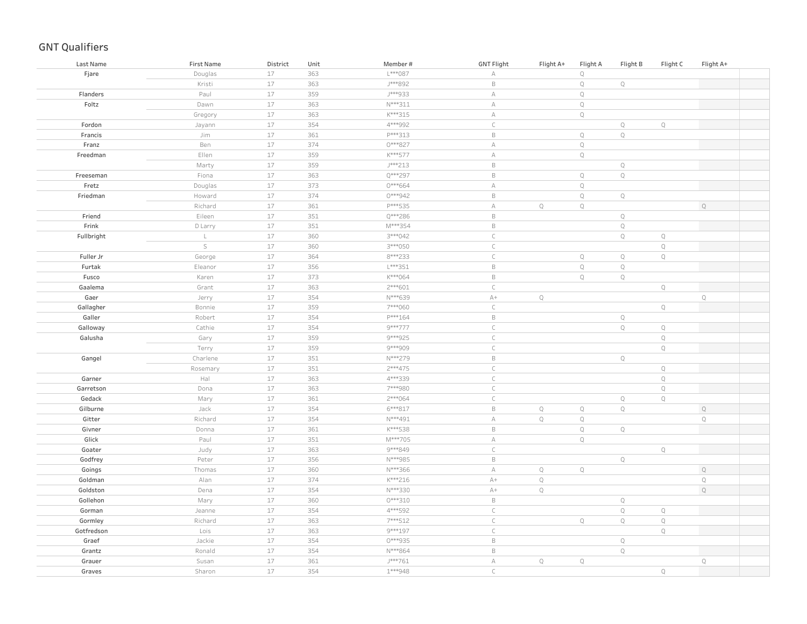| Last Name  | <b>First Name</b> | District | Unit | Member#   | <b>GNT Flight</b> | Flight A+    | Flight A    | Flight B    | Flight C    | Flight A+   |
|------------|-------------------|----------|------|-----------|-------------------|--------------|-------------|-------------|-------------|-------------|
| Fjare      | Douglas           | $17$     | 363  | L***087   | А                 |              | $\mathbb Q$ |             |             |             |
|            | Kristi            | 17       | 363  | J***892   | $\mathsf B$       |              | $\mathbb Q$ | $\mathbb Q$ |             |             |
| Flanders   | Paul              | $17$     | 359  | J***933   | $\mathbb A$       |              | $\mathsf Q$ |             |             |             |
| Foltz      | Dawn              | 17       | 363  | N***311   | $\mathbb A$       |              | $\mathbb Q$ |             |             |             |
|            | Gregory           | 17       | 363  | K***315   | $\mathbb A$       |              | $\mathbb Q$ |             |             |             |
| Fordon     | Jayann            | $17$     | 354  | 4***992   | $\subset$         |              |             | $\mathbb Q$ | $\mathbb Q$ |             |
| Francis    | Jim               | 17       | 361  | P***313   | $\,$ B            |              | $\mathbb Q$ | $\mathbb Q$ |             |             |
| Franz      | Ben               | 17       | 374  | 0***827   | $\mathbb A$       |              | $\mathbb Q$ |             |             |             |
| Freedman   | Ellen             | 17       | 359  | K***577   | $\mathbb A$       |              | $\mathbb Q$ |             |             |             |
|            | Marty             | $17\,$   | 359  | J***213   | $\mathsf B$       |              |             | $\mathbb Q$ |             |             |
| Freeseman  | Fiona             | 17       | 363  | Q***297   | $\mathsf B$       |              | $\mathbb Q$ | $\mathbb Q$ |             |             |
| Fretz      | Douglas           | $17\,$   | 373  | 0***664   | $\mathbb A$       |              | $\mathbb Q$ |             |             |             |
| Friedman   | Howard            | 17       | 374  | 0***942   | $\mathsf B$       |              | $\mathsf Q$ | $\mathbb Q$ |             |             |
|            | Richard           | $17$     | 361  | P***535   | $\mathbb A$       | $\mathbb{Q}$ | $\mathbb Q$ |             |             | $\mathbb Q$ |
| Friend     | Eileen            | 17       | 351  | Q***286   | $\mathsf B$       |              |             | $\mathbb Q$ |             |             |
| Frink      | D Larry           | $17$     | 351  | M***354   | $\mathsf B$       |              |             | $\mathbb Q$ |             |             |
| Fullbright | $\mathsf{L}^-$    | 17       | 360  | 3***042   | $\mathsf C$       |              |             | $\mathbb Q$ | $\mathbb Q$ |             |
|            | $\mathsf S$       | $17$     | 360  | 3 *** 050 | $\subset$         |              |             |             | $\mathbb Q$ |             |
| Fuller Jr  | George            | 17       | 364  | 8***233   | $\mathsf C$       |              | $\mathbb Q$ | $\mathbb Q$ | $\mathbb Q$ |             |
| Furtak     | Eleanor           | 17       | 356  | L***351   | $\mathsf B$       |              | $\mathsf Q$ | $\mathbb Q$ |             |             |
| Fusco      | Karen             | 17       | 373  | K***064   | $\mathsf B$       |              | $\mathbb Q$ | $\mathbb Q$ |             |             |
| Gaalema    | Grant             | 17       | 363  | $2***601$ | $\subset$         |              |             |             | $\mathbb Q$ |             |
| Gaer       | Jerry             | 17       | 354  | N***639   | $A+$              | $\mathbb Q$  |             |             |             | $\mathsf Q$ |
| Gallagher  | Bonnie            | 17       | 359  | 7***060   | $\mathsf C$       |              |             |             | $\mathbb Q$ |             |
| Galler     | Robert            | 17       | 354  | P***164   | $\mathsf B$       |              |             | $\mathbb Q$ |             |             |
| Galloway   | Cathie            | 17       | 354  | 9***777   | $\mathsf C$       |              |             | $\mathbb Q$ | $\mathbb Q$ |             |
| Galusha    | Gary              | $17$     | 359  | 9 *** 925 | $\mathsf C$       |              |             |             | $\mathbb Q$ |             |
|            | Terry             | 17       | 359  | 9***909   | $\mathsf C$       |              |             |             | $\mathbb Q$ |             |
| Gangel     | Charlene          | $17$     | 351  | N***279   | $\mathsf B$       |              |             | $\mathbb Q$ |             |             |
|            | Rosemary          | $17$     | 351  | $2***475$ | $\mathsf{C}$      |              |             |             | $\mathbb Q$ |             |
| Garner     | Hal               | $17$     | 363  | 4***339   | $\mathsf{C}$      |              |             |             | $\mathbb Q$ |             |
| Garretson  | Dona              | $17$     | 363  | 7***980   | $\mathsf C$       |              |             |             | $\mathbb Q$ |             |
| Gedack     | Mary              | $17$     | 361  | 2 *** 064 | $\mathsf C$       |              |             | $\mathbb Q$ | $\mathbb Q$ |             |
| Gilburne   | Jack              | 17       | 354  | 6 *** 817 | $\mathsf B$       | $\mathbb Q$  | $\mathbb Q$ | $\mathbb Q$ |             | $\mathbb Q$ |
| Gitter     | Richard           | $17$     | 354  | N***491   | $\mathbb A$       | $\mathbb Q$  | $\mathbb Q$ |             |             | $\mathsf Q$ |
| Givner     | Donna             | $17$     | 361  | K***538   | $\mathsf B$       |              | $\mathbb Q$ | $\mathbb Q$ |             |             |
| Glick      | Paul              | $17$     | 351  | M***705   | $\mathbb A$       |              | $\mathbb Q$ |             |             |             |
| Goater     | Judy              | $17\,$   | 363  | 9***849   | $\mathsf C$       |              |             |             | $\mathbb Q$ |             |
| Godfrey    | Peter             | $17$     | 356  | N***985   | $\mathsf B$       |              |             | $\mathbb Q$ |             |             |
| Goings     | Thomas            | 17       | 360  | N***366   | $\mathbb A$       | $\mathbf Q$  | $\mathbb Q$ |             |             | $\mathbb Q$ |
| Goldman    | Alan              | 17       | 374  | K***216   | $A+$              | $\mathbf Q$  |             |             |             | $\mathbb Q$ |
| Goldston   | Dena              | 17       | 354  | N***330   | $A+$              | $\mathbb Q$  |             |             |             | $\mathbb Q$ |
| Gollehon   | Mary              | 17       | 360  | $0***310$ | $\mathsf B$       |              |             | $\mathbb Q$ |             |             |
| Gorman     | Jeanne            | $17$     | 354  | 4***592   | $\mathsf C$       |              |             | $\mathbb Q$ | $\mathbb Q$ |             |
| Gormley    | Richard           | $17$     | 363  | 7***512   | $\mathsf C$       |              | $\mathbb Q$ | $\mathbb Q$ | $\mathbb Q$ |             |
| Gotfredson | Lois              | $17$     | 363  | 9 *** 197 | $\mathsf C$       |              |             |             | $\mathbb Q$ |             |
| Graef      | Jackie            | $17$     | 354  | 0***935   | $\mathsf B$       |              |             | $\mathbb Q$ |             |             |
| Grantz     | Ronald            | $17$     | 354  | N***864   | $\mathsf B$       |              |             | $\mathbb Q$ |             |             |
| Grauer     | Susan             | 17       | 361  | J***761   | $\mathbb A$       | $\mathbb Q$  | $\mathbb Q$ |             |             | $\mathsf Q$ |
| Graves     | Sharon            | 17       | 354  | 1***948   | $\mathsf{C}$      |              |             |             | $\mathbb Q$ |             |
|            |                   |          |      |           |                   |              |             |             |             |             |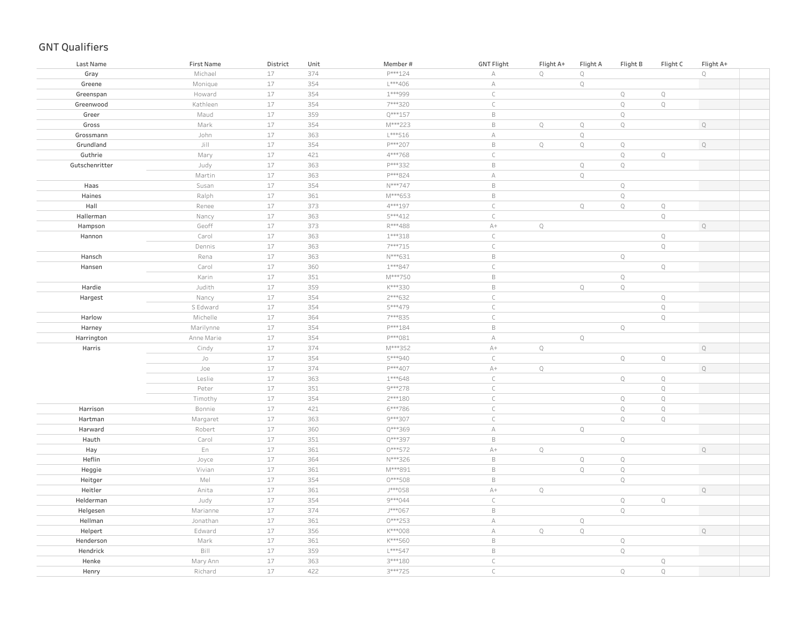| P***124<br>$\mathbb Q$<br>$17$<br>374<br>$\mathbb Q$<br>$\mathbb Q$<br>Gray<br>Michael<br>А<br>17<br>$L***406$<br>$\mathbb Q$<br>354<br>$\forall$<br>Greene<br>Monique<br>$17$<br>1***999<br>$\mathsf C$<br>$\mathbb Q$<br>354<br>$\mathbb Q$<br>Howard<br>Greenspan<br>$17$<br>Kathleen<br>354<br>7***320<br>$\subset$<br>$\mathbb Q$<br>$\mathbb Q$<br>Greenwood<br>$17$<br>$Q***157$<br>$\mathbb Q$<br>Maud<br>359<br>$\mathsf B$<br>Greer<br>$17$<br>$\mathbb Q$<br>Gross<br>Mark<br>354<br>M***223<br>$\mathsf B$<br>$\mathbb Q$<br>$\mathbb Q$<br>$\mathbb Q$<br>John<br>17<br>363<br>$L***516$<br>$\forall$<br>$\mathbb Q$<br>Grossmann<br>$\mathbb Q$<br>Grundland<br>Jill<br>17<br>354<br>P***207<br>$\mathsf B$<br>$\mathbb Q$<br>$\mathbb Q$<br>$\mathbb Q$<br>$17$<br>$\subset$<br>$\mathbb Q$<br>421<br>4***768<br>$\mathbb Q$<br>Guthrie<br>Mary<br>$17$<br>P***332<br>$\mathsf B$<br>$\mathbb Q$<br>Gutschenritter<br>363<br>$\mathbb Q$<br>Judy<br>$17$<br>P***824<br>$\mathbb A$<br>$\mathbb Q$<br>Martin<br>363<br>$17$<br>354<br>N***747<br>$\mathsf B$<br>$\mathbb Q$<br>Susan<br>Haas<br>$17$<br>361<br>M***653<br>$\mathsf B$<br>$\mathbb Q$<br>Haines<br>Ralph<br>$17$<br>373<br>4 *** 197<br>$\mathsf C$<br>$\mathbb Q$<br>Hall<br>$\mathbb Q$<br>$\mathbb Q$<br>Renee<br>$17$<br>363<br>5***412<br>$\subset$<br>$\mathbb Q$<br>Hallerman<br>Nancy<br>$17$<br>Geoff<br>373<br>R***488<br>$\mathbb{A}+$<br>$\mathbb Q$<br>$\mathbb Q$<br>Hampson<br>$17$<br>363<br>$1***318$<br>$\mathsf C$<br>$\mathbb Q$<br>Carol<br>Hannon<br>$17$<br>$\mathsf C$<br>$\mathbb Q$<br>363<br>7***715<br>Dennis<br>17<br>$\mathsf B$<br>Hansch<br>Rena<br>363<br>N***631<br>$\mathbb Q$<br>17<br>$\mathsf C$<br>Q<br>360<br>$1***847$<br>Carol<br>Hansen<br>17<br>M***750<br>$\mathsf B$<br>$\mathbb Q$<br>Karin<br>351<br>17<br>359<br>K***330<br>$\mathsf B$<br>$\mathbb Q$<br>$\mathbb Q$<br>Hardie<br>Judith<br>17<br>2 *** 632<br>$\subset$<br>354<br>$\mathbb Q$<br>Hargest<br>Nancy<br>17<br>5***479<br>$\subset$<br>$\mathbb Q$<br>S Edward<br>354<br>$17$<br>Harlow<br>Michelle<br>364<br>7***835<br>$\subset$<br>$\mathbb Q$<br>$17$<br>354<br>P***184<br>$\mathsf B$<br>Harney<br>Marilynne<br>$\mathbb Q$<br>$17$<br>354<br>P***081<br>Harrington<br>Anne Marie<br>$\mathbb A$<br>$\mathbb Q$<br>$17$<br>$\mathbb Q$<br>374<br>M***352<br>$\mathbb{A}+$<br>$\mathbb Q$<br>Harris<br>Cindy<br>$17$<br>$\mathbb Q$<br>354<br>5***940<br>$\mathsf{C}$<br>$\mathbb Q$<br>Jo<br>$17$<br>$\mathbb Q$<br>374<br>P***407<br>$\mathbb{A}+$<br>$\mathbb Q$<br>Joe<br>17<br>363<br>$1***648$<br>$\subset$<br>$\mathbb Q$<br>$\mathbb Q$<br>Leslie<br>17<br>351<br>9 *** 278<br>$\subset$<br>$\mathbb Q$<br>Peter<br>$17$<br>354<br>$2***180$<br>$\mathsf C$<br>$\mathbb Q$<br>$\mathbb Q$<br>Timothy<br>17<br>421<br>6***786<br>$\subset$<br>$\mathbb Q$<br>$\mathbb Q$<br>Harrison<br>Bonnie<br>$17$<br>363<br>9***307<br>$\mathsf C$<br>$\mathbb Q$<br>Hartman<br>Q<br>Margaret<br>17<br>360<br>Q***369<br>$\mathbb Q$<br>Harward<br>Robert<br>А<br>17<br>351<br>Q***397<br>$\mathsf B$<br>$\mathbb Q$<br>Hauth<br>Carol<br>17<br>En<br>361<br>$0***572$<br>$A+$<br>$\mathbb Q$<br>Hay<br>$\mathbb Q$<br>17<br>364<br>N***326<br>$\mathsf B$<br>$\mathsf Q$<br>$\mathbb Q$<br>Heflin<br>Joyce<br>17<br>M***891<br>$\mathsf B$<br>$\mathbb Q$<br>$\mathbb Q$<br>Heggie<br>Vivian<br>361<br>$17$<br>Mel<br>354<br>0***508<br>$\mathsf B$<br>$\mathbb Q$<br>Heitger<br>17<br>J***058<br>$A+$<br>$\mathbb Q$<br>$\mathbb Q$<br>Heitler<br>Anita<br>361<br>17<br>354<br>9***044<br>$\subset$<br>$\mathbb Q$<br>Helderman<br>Judy<br>Q<br>17<br>374<br>J***067<br>$\mathsf B$<br>$\mathbb Q$<br>Helgesen<br>Marianne<br>$17$<br>Jonathan<br>361<br>$0***253$<br>Hellman<br>А<br>$\mathbb Q$<br>$17$<br>$K***008$<br>$\mathbb Q$<br>$\mathbb Q$<br>356<br>$\forall$<br>$\mathbb Q$<br>Helpert<br>Edward<br>$17$<br>K***560<br>$\mathsf B$<br>Mark<br>361<br>$\mathbb Q$<br>Henderson<br>Bill<br>$17$<br>L***547<br>$\mathsf B$<br>$\mathbb Q$<br>359<br>Hendrick<br>$17$<br>$\subset$<br>Henke<br>Mary Ann<br>363<br>3 *** 180<br>$\mathbb Q$<br>17<br>422<br>3***725<br>$\subset$<br>$\mathbb Q$<br>$\mathbb Q$<br>Richard<br>Henry | Last Name | <b>First Name</b> | District | Unit | Member# | <b>GNT Flight</b> | Flight A+ | Flight A | Flight B | Flight C | Flight A+ |
|-----------------------------------------------------------------------------------------------------------------------------------------------------------------------------------------------------------------------------------------------------------------------------------------------------------------------------------------------------------------------------------------------------------------------------------------------------------------------------------------------------------------------------------------------------------------------------------------------------------------------------------------------------------------------------------------------------------------------------------------------------------------------------------------------------------------------------------------------------------------------------------------------------------------------------------------------------------------------------------------------------------------------------------------------------------------------------------------------------------------------------------------------------------------------------------------------------------------------------------------------------------------------------------------------------------------------------------------------------------------------------------------------------------------------------------------------------------------------------------------------------------------------------------------------------------------------------------------------------------------------------------------------------------------------------------------------------------------------------------------------------------------------------------------------------------------------------------------------------------------------------------------------------------------------------------------------------------------------------------------------------------------------------------------------------------------------------------------------------------------------------------------------------------------------------------------------------------------------------------------------------------------------------------------------------------------------------------------------------------------------------------------------------------------------------------------------------------------------------------------------------------------------------------------------------------------------------------------------------------------------------------------------------------------------------------------------------------------------------------------------------------------------------------------------------------------------------------------------------------------------------------------------------------------------------------------------------------------------------------------------------------------------------------------------------------------------------------------------------------------------------------------------------------------------------------------------------------------------------------------------------------------------------------------------------------------------------------------------------------------------------------------------------------------------------------------------------------------------------------------------------------------------------------------------------------------------------------------------------------------------------------------------------------------------------------------------------------------------------------------------------------------------------------------------------------------------------------------------------------------------------------------------------------------------------------------------------------------------------------------------------------------------------------------------------------------------------------------------------------------------------------------------------------------------------------------------------------------------------------------|-----------|-------------------|----------|------|---------|-------------------|-----------|----------|----------|----------|-----------|
|                                                                                                                                                                                                                                                                                                                                                                                                                                                                                                                                                                                                                                                                                                                                                                                                                                                                                                                                                                                                                                                                                                                                                                                                                                                                                                                                                                                                                                                                                                                                                                                                                                                                                                                                                                                                                                                                                                                                                                                                                                                                                                                                                                                                                                                                                                                                                                                                                                                                                                                                                                                                                                                                                                                                                                                                                                                                                                                                                                                                                                                                                                                                                                                                                                                                                                                                                                                                                                                                                                                                                                                                                                                                                                                                                                                                                                                                                                                                                                                                                                                                                                                                                                                                                                         |           |                   |          |      |         |                   |           |          |          |          |           |
|                                                                                                                                                                                                                                                                                                                                                                                                                                                                                                                                                                                                                                                                                                                                                                                                                                                                                                                                                                                                                                                                                                                                                                                                                                                                                                                                                                                                                                                                                                                                                                                                                                                                                                                                                                                                                                                                                                                                                                                                                                                                                                                                                                                                                                                                                                                                                                                                                                                                                                                                                                                                                                                                                                                                                                                                                                                                                                                                                                                                                                                                                                                                                                                                                                                                                                                                                                                                                                                                                                                                                                                                                                                                                                                                                                                                                                                                                                                                                                                                                                                                                                                                                                                                                                         |           |                   |          |      |         |                   |           |          |          |          |           |
|                                                                                                                                                                                                                                                                                                                                                                                                                                                                                                                                                                                                                                                                                                                                                                                                                                                                                                                                                                                                                                                                                                                                                                                                                                                                                                                                                                                                                                                                                                                                                                                                                                                                                                                                                                                                                                                                                                                                                                                                                                                                                                                                                                                                                                                                                                                                                                                                                                                                                                                                                                                                                                                                                                                                                                                                                                                                                                                                                                                                                                                                                                                                                                                                                                                                                                                                                                                                                                                                                                                                                                                                                                                                                                                                                                                                                                                                                                                                                                                                                                                                                                                                                                                                                                         |           |                   |          |      |         |                   |           |          |          |          |           |
|                                                                                                                                                                                                                                                                                                                                                                                                                                                                                                                                                                                                                                                                                                                                                                                                                                                                                                                                                                                                                                                                                                                                                                                                                                                                                                                                                                                                                                                                                                                                                                                                                                                                                                                                                                                                                                                                                                                                                                                                                                                                                                                                                                                                                                                                                                                                                                                                                                                                                                                                                                                                                                                                                                                                                                                                                                                                                                                                                                                                                                                                                                                                                                                                                                                                                                                                                                                                                                                                                                                                                                                                                                                                                                                                                                                                                                                                                                                                                                                                                                                                                                                                                                                                                                         |           |                   |          |      |         |                   |           |          |          |          |           |
|                                                                                                                                                                                                                                                                                                                                                                                                                                                                                                                                                                                                                                                                                                                                                                                                                                                                                                                                                                                                                                                                                                                                                                                                                                                                                                                                                                                                                                                                                                                                                                                                                                                                                                                                                                                                                                                                                                                                                                                                                                                                                                                                                                                                                                                                                                                                                                                                                                                                                                                                                                                                                                                                                                                                                                                                                                                                                                                                                                                                                                                                                                                                                                                                                                                                                                                                                                                                                                                                                                                                                                                                                                                                                                                                                                                                                                                                                                                                                                                                                                                                                                                                                                                                                                         |           |                   |          |      |         |                   |           |          |          |          |           |
|                                                                                                                                                                                                                                                                                                                                                                                                                                                                                                                                                                                                                                                                                                                                                                                                                                                                                                                                                                                                                                                                                                                                                                                                                                                                                                                                                                                                                                                                                                                                                                                                                                                                                                                                                                                                                                                                                                                                                                                                                                                                                                                                                                                                                                                                                                                                                                                                                                                                                                                                                                                                                                                                                                                                                                                                                                                                                                                                                                                                                                                                                                                                                                                                                                                                                                                                                                                                                                                                                                                                                                                                                                                                                                                                                                                                                                                                                                                                                                                                                                                                                                                                                                                                                                         |           |                   |          |      |         |                   |           |          |          |          |           |
|                                                                                                                                                                                                                                                                                                                                                                                                                                                                                                                                                                                                                                                                                                                                                                                                                                                                                                                                                                                                                                                                                                                                                                                                                                                                                                                                                                                                                                                                                                                                                                                                                                                                                                                                                                                                                                                                                                                                                                                                                                                                                                                                                                                                                                                                                                                                                                                                                                                                                                                                                                                                                                                                                                                                                                                                                                                                                                                                                                                                                                                                                                                                                                                                                                                                                                                                                                                                                                                                                                                                                                                                                                                                                                                                                                                                                                                                                                                                                                                                                                                                                                                                                                                                                                         |           |                   |          |      |         |                   |           |          |          |          |           |
|                                                                                                                                                                                                                                                                                                                                                                                                                                                                                                                                                                                                                                                                                                                                                                                                                                                                                                                                                                                                                                                                                                                                                                                                                                                                                                                                                                                                                                                                                                                                                                                                                                                                                                                                                                                                                                                                                                                                                                                                                                                                                                                                                                                                                                                                                                                                                                                                                                                                                                                                                                                                                                                                                                                                                                                                                                                                                                                                                                                                                                                                                                                                                                                                                                                                                                                                                                                                                                                                                                                                                                                                                                                                                                                                                                                                                                                                                                                                                                                                                                                                                                                                                                                                                                         |           |                   |          |      |         |                   |           |          |          |          |           |
|                                                                                                                                                                                                                                                                                                                                                                                                                                                                                                                                                                                                                                                                                                                                                                                                                                                                                                                                                                                                                                                                                                                                                                                                                                                                                                                                                                                                                                                                                                                                                                                                                                                                                                                                                                                                                                                                                                                                                                                                                                                                                                                                                                                                                                                                                                                                                                                                                                                                                                                                                                                                                                                                                                                                                                                                                                                                                                                                                                                                                                                                                                                                                                                                                                                                                                                                                                                                                                                                                                                                                                                                                                                                                                                                                                                                                                                                                                                                                                                                                                                                                                                                                                                                                                         |           |                   |          |      |         |                   |           |          |          |          |           |
|                                                                                                                                                                                                                                                                                                                                                                                                                                                                                                                                                                                                                                                                                                                                                                                                                                                                                                                                                                                                                                                                                                                                                                                                                                                                                                                                                                                                                                                                                                                                                                                                                                                                                                                                                                                                                                                                                                                                                                                                                                                                                                                                                                                                                                                                                                                                                                                                                                                                                                                                                                                                                                                                                                                                                                                                                                                                                                                                                                                                                                                                                                                                                                                                                                                                                                                                                                                                                                                                                                                                                                                                                                                                                                                                                                                                                                                                                                                                                                                                                                                                                                                                                                                                                                         |           |                   |          |      |         |                   |           |          |          |          |           |
|                                                                                                                                                                                                                                                                                                                                                                                                                                                                                                                                                                                                                                                                                                                                                                                                                                                                                                                                                                                                                                                                                                                                                                                                                                                                                                                                                                                                                                                                                                                                                                                                                                                                                                                                                                                                                                                                                                                                                                                                                                                                                                                                                                                                                                                                                                                                                                                                                                                                                                                                                                                                                                                                                                                                                                                                                                                                                                                                                                                                                                                                                                                                                                                                                                                                                                                                                                                                                                                                                                                                                                                                                                                                                                                                                                                                                                                                                                                                                                                                                                                                                                                                                                                                                                         |           |                   |          |      |         |                   |           |          |          |          |           |
|                                                                                                                                                                                                                                                                                                                                                                                                                                                                                                                                                                                                                                                                                                                                                                                                                                                                                                                                                                                                                                                                                                                                                                                                                                                                                                                                                                                                                                                                                                                                                                                                                                                                                                                                                                                                                                                                                                                                                                                                                                                                                                                                                                                                                                                                                                                                                                                                                                                                                                                                                                                                                                                                                                                                                                                                                                                                                                                                                                                                                                                                                                                                                                                                                                                                                                                                                                                                                                                                                                                                                                                                                                                                                                                                                                                                                                                                                                                                                                                                                                                                                                                                                                                                                                         |           |                   |          |      |         |                   |           |          |          |          |           |
|                                                                                                                                                                                                                                                                                                                                                                                                                                                                                                                                                                                                                                                                                                                                                                                                                                                                                                                                                                                                                                                                                                                                                                                                                                                                                                                                                                                                                                                                                                                                                                                                                                                                                                                                                                                                                                                                                                                                                                                                                                                                                                                                                                                                                                                                                                                                                                                                                                                                                                                                                                                                                                                                                                                                                                                                                                                                                                                                                                                                                                                                                                                                                                                                                                                                                                                                                                                                                                                                                                                                                                                                                                                                                                                                                                                                                                                                                                                                                                                                                                                                                                                                                                                                                                         |           |                   |          |      |         |                   |           |          |          |          |           |
|                                                                                                                                                                                                                                                                                                                                                                                                                                                                                                                                                                                                                                                                                                                                                                                                                                                                                                                                                                                                                                                                                                                                                                                                                                                                                                                                                                                                                                                                                                                                                                                                                                                                                                                                                                                                                                                                                                                                                                                                                                                                                                                                                                                                                                                                                                                                                                                                                                                                                                                                                                                                                                                                                                                                                                                                                                                                                                                                                                                                                                                                                                                                                                                                                                                                                                                                                                                                                                                                                                                                                                                                                                                                                                                                                                                                                                                                                                                                                                                                                                                                                                                                                                                                                                         |           |                   |          |      |         |                   |           |          |          |          |           |
|                                                                                                                                                                                                                                                                                                                                                                                                                                                                                                                                                                                                                                                                                                                                                                                                                                                                                                                                                                                                                                                                                                                                                                                                                                                                                                                                                                                                                                                                                                                                                                                                                                                                                                                                                                                                                                                                                                                                                                                                                                                                                                                                                                                                                                                                                                                                                                                                                                                                                                                                                                                                                                                                                                                                                                                                                                                                                                                                                                                                                                                                                                                                                                                                                                                                                                                                                                                                                                                                                                                                                                                                                                                                                                                                                                                                                                                                                                                                                                                                                                                                                                                                                                                                                                         |           |                   |          |      |         |                   |           |          |          |          |           |
|                                                                                                                                                                                                                                                                                                                                                                                                                                                                                                                                                                                                                                                                                                                                                                                                                                                                                                                                                                                                                                                                                                                                                                                                                                                                                                                                                                                                                                                                                                                                                                                                                                                                                                                                                                                                                                                                                                                                                                                                                                                                                                                                                                                                                                                                                                                                                                                                                                                                                                                                                                                                                                                                                                                                                                                                                                                                                                                                                                                                                                                                                                                                                                                                                                                                                                                                                                                                                                                                                                                                                                                                                                                                                                                                                                                                                                                                                                                                                                                                                                                                                                                                                                                                                                         |           |                   |          |      |         |                   |           |          |          |          |           |
|                                                                                                                                                                                                                                                                                                                                                                                                                                                                                                                                                                                                                                                                                                                                                                                                                                                                                                                                                                                                                                                                                                                                                                                                                                                                                                                                                                                                                                                                                                                                                                                                                                                                                                                                                                                                                                                                                                                                                                                                                                                                                                                                                                                                                                                                                                                                                                                                                                                                                                                                                                                                                                                                                                                                                                                                                                                                                                                                                                                                                                                                                                                                                                                                                                                                                                                                                                                                                                                                                                                                                                                                                                                                                                                                                                                                                                                                                                                                                                                                                                                                                                                                                                                                                                         |           |                   |          |      |         |                   |           |          |          |          |           |
|                                                                                                                                                                                                                                                                                                                                                                                                                                                                                                                                                                                                                                                                                                                                                                                                                                                                                                                                                                                                                                                                                                                                                                                                                                                                                                                                                                                                                                                                                                                                                                                                                                                                                                                                                                                                                                                                                                                                                                                                                                                                                                                                                                                                                                                                                                                                                                                                                                                                                                                                                                                                                                                                                                                                                                                                                                                                                                                                                                                                                                                                                                                                                                                                                                                                                                                                                                                                                                                                                                                                                                                                                                                                                                                                                                                                                                                                                                                                                                                                                                                                                                                                                                                                                                         |           |                   |          |      |         |                   |           |          |          |          |           |
|                                                                                                                                                                                                                                                                                                                                                                                                                                                                                                                                                                                                                                                                                                                                                                                                                                                                                                                                                                                                                                                                                                                                                                                                                                                                                                                                                                                                                                                                                                                                                                                                                                                                                                                                                                                                                                                                                                                                                                                                                                                                                                                                                                                                                                                                                                                                                                                                                                                                                                                                                                                                                                                                                                                                                                                                                                                                                                                                                                                                                                                                                                                                                                                                                                                                                                                                                                                                                                                                                                                                                                                                                                                                                                                                                                                                                                                                                                                                                                                                                                                                                                                                                                                                                                         |           |                   |          |      |         |                   |           |          |          |          |           |
|                                                                                                                                                                                                                                                                                                                                                                                                                                                                                                                                                                                                                                                                                                                                                                                                                                                                                                                                                                                                                                                                                                                                                                                                                                                                                                                                                                                                                                                                                                                                                                                                                                                                                                                                                                                                                                                                                                                                                                                                                                                                                                                                                                                                                                                                                                                                                                                                                                                                                                                                                                                                                                                                                                                                                                                                                                                                                                                                                                                                                                                                                                                                                                                                                                                                                                                                                                                                                                                                                                                                                                                                                                                                                                                                                                                                                                                                                                                                                                                                                                                                                                                                                                                                                                         |           |                   |          |      |         |                   |           |          |          |          |           |
|                                                                                                                                                                                                                                                                                                                                                                                                                                                                                                                                                                                                                                                                                                                                                                                                                                                                                                                                                                                                                                                                                                                                                                                                                                                                                                                                                                                                                                                                                                                                                                                                                                                                                                                                                                                                                                                                                                                                                                                                                                                                                                                                                                                                                                                                                                                                                                                                                                                                                                                                                                                                                                                                                                                                                                                                                                                                                                                                                                                                                                                                                                                                                                                                                                                                                                                                                                                                                                                                                                                                                                                                                                                                                                                                                                                                                                                                                                                                                                                                                                                                                                                                                                                                                                         |           |                   |          |      |         |                   |           |          |          |          |           |
|                                                                                                                                                                                                                                                                                                                                                                                                                                                                                                                                                                                                                                                                                                                                                                                                                                                                                                                                                                                                                                                                                                                                                                                                                                                                                                                                                                                                                                                                                                                                                                                                                                                                                                                                                                                                                                                                                                                                                                                                                                                                                                                                                                                                                                                                                                                                                                                                                                                                                                                                                                                                                                                                                                                                                                                                                                                                                                                                                                                                                                                                                                                                                                                                                                                                                                                                                                                                                                                                                                                                                                                                                                                                                                                                                                                                                                                                                                                                                                                                                                                                                                                                                                                                                                         |           |                   |          |      |         |                   |           |          |          |          |           |
|                                                                                                                                                                                                                                                                                                                                                                                                                                                                                                                                                                                                                                                                                                                                                                                                                                                                                                                                                                                                                                                                                                                                                                                                                                                                                                                                                                                                                                                                                                                                                                                                                                                                                                                                                                                                                                                                                                                                                                                                                                                                                                                                                                                                                                                                                                                                                                                                                                                                                                                                                                                                                                                                                                                                                                                                                                                                                                                                                                                                                                                                                                                                                                                                                                                                                                                                                                                                                                                                                                                                                                                                                                                                                                                                                                                                                                                                                                                                                                                                                                                                                                                                                                                                                                         |           |                   |          |      |         |                   |           |          |          |          |           |
|                                                                                                                                                                                                                                                                                                                                                                                                                                                                                                                                                                                                                                                                                                                                                                                                                                                                                                                                                                                                                                                                                                                                                                                                                                                                                                                                                                                                                                                                                                                                                                                                                                                                                                                                                                                                                                                                                                                                                                                                                                                                                                                                                                                                                                                                                                                                                                                                                                                                                                                                                                                                                                                                                                                                                                                                                                                                                                                                                                                                                                                                                                                                                                                                                                                                                                                                                                                                                                                                                                                                                                                                                                                                                                                                                                                                                                                                                                                                                                                                                                                                                                                                                                                                                                         |           |                   |          |      |         |                   |           |          |          |          |           |
|                                                                                                                                                                                                                                                                                                                                                                                                                                                                                                                                                                                                                                                                                                                                                                                                                                                                                                                                                                                                                                                                                                                                                                                                                                                                                                                                                                                                                                                                                                                                                                                                                                                                                                                                                                                                                                                                                                                                                                                                                                                                                                                                                                                                                                                                                                                                                                                                                                                                                                                                                                                                                                                                                                                                                                                                                                                                                                                                                                                                                                                                                                                                                                                                                                                                                                                                                                                                                                                                                                                                                                                                                                                                                                                                                                                                                                                                                                                                                                                                                                                                                                                                                                                                                                         |           |                   |          |      |         |                   |           |          |          |          |           |
|                                                                                                                                                                                                                                                                                                                                                                                                                                                                                                                                                                                                                                                                                                                                                                                                                                                                                                                                                                                                                                                                                                                                                                                                                                                                                                                                                                                                                                                                                                                                                                                                                                                                                                                                                                                                                                                                                                                                                                                                                                                                                                                                                                                                                                                                                                                                                                                                                                                                                                                                                                                                                                                                                                                                                                                                                                                                                                                                                                                                                                                                                                                                                                                                                                                                                                                                                                                                                                                                                                                                                                                                                                                                                                                                                                                                                                                                                                                                                                                                                                                                                                                                                                                                                                         |           |                   |          |      |         |                   |           |          |          |          |           |
|                                                                                                                                                                                                                                                                                                                                                                                                                                                                                                                                                                                                                                                                                                                                                                                                                                                                                                                                                                                                                                                                                                                                                                                                                                                                                                                                                                                                                                                                                                                                                                                                                                                                                                                                                                                                                                                                                                                                                                                                                                                                                                                                                                                                                                                                                                                                                                                                                                                                                                                                                                                                                                                                                                                                                                                                                                                                                                                                                                                                                                                                                                                                                                                                                                                                                                                                                                                                                                                                                                                                                                                                                                                                                                                                                                                                                                                                                                                                                                                                                                                                                                                                                                                                                                         |           |                   |          |      |         |                   |           |          |          |          |           |
|                                                                                                                                                                                                                                                                                                                                                                                                                                                                                                                                                                                                                                                                                                                                                                                                                                                                                                                                                                                                                                                                                                                                                                                                                                                                                                                                                                                                                                                                                                                                                                                                                                                                                                                                                                                                                                                                                                                                                                                                                                                                                                                                                                                                                                                                                                                                                                                                                                                                                                                                                                                                                                                                                                                                                                                                                                                                                                                                                                                                                                                                                                                                                                                                                                                                                                                                                                                                                                                                                                                                                                                                                                                                                                                                                                                                                                                                                                                                                                                                                                                                                                                                                                                                                                         |           |                   |          |      |         |                   |           |          |          |          |           |
|                                                                                                                                                                                                                                                                                                                                                                                                                                                                                                                                                                                                                                                                                                                                                                                                                                                                                                                                                                                                                                                                                                                                                                                                                                                                                                                                                                                                                                                                                                                                                                                                                                                                                                                                                                                                                                                                                                                                                                                                                                                                                                                                                                                                                                                                                                                                                                                                                                                                                                                                                                                                                                                                                                                                                                                                                                                                                                                                                                                                                                                                                                                                                                                                                                                                                                                                                                                                                                                                                                                                                                                                                                                                                                                                                                                                                                                                                                                                                                                                                                                                                                                                                                                                                                         |           |                   |          |      |         |                   |           |          |          |          |           |
|                                                                                                                                                                                                                                                                                                                                                                                                                                                                                                                                                                                                                                                                                                                                                                                                                                                                                                                                                                                                                                                                                                                                                                                                                                                                                                                                                                                                                                                                                                                                                                                                                                                                                                                                                                                                                                                                                                                                                                                                                                                                                                                                                                                                                                                                                                                                                                                                                                                                                                                                                                                                                                                                                                                                                                                                                                                                                                                                                                                                                                                                                                                                                                                                                                                                                                                                                                                                                                                                                                                                                                                                                                                                                                                                                                                                                                                                                                                                                                                                                                                                                                                                                                                                                                         |           |                   |          |      |         |                   |           |          |          |          |           |
|                                                                                                                                                                                                                                                                                                                                                                                                                                                                                                                                                                                                                                                                                                                                                                                                                                                                                                                                                                                                                                                                                                                                                                                                                                                                                                                                                                                                                                                                                                                                                                                                                                                                                                                                                                                                                                                                                                                                                                                                                                                                                                                                                                                                                                                                                                                                                                                                                                                                                                                                                                                                                                                                                                                                                                                                                                                                                                                                                                                                                                                                                                                                                                                                                                                                                                                                                                                                                                                                                                                                                                                                                                                                                                                                                                                                                                                                                                                                                                                                                                                                                                                                                                                                                                         |           |                   |          |      |         |                   |           |          |          |          |           |
|                                                                                                                                                                                                                                                                                                                                                                                                                                                                                                                                                                                                                                                                                                                                                                                                                                                                                                                                                                                                                                                                                                                                                                                                                                                                                                                                                                                                                                                                                                                                                                                                                                                                                                                                                                                                                                                                                                                                                                                                                                                                                                                                                                                                                                                                                                                                                                                                                                                                                                                                                                                                                                                                                                                                                                                                                                                                                                                                                                                                                                                                                                                                                                                                                                                                                                                                                                                                                                                                                                                                                                                                                                                                                                                                                                                                                                                                                                                                                                                                                                                                                                                                                                                                                                         |           |                   |          |      |         |                   |           |          |          |          |           |
|                                                                                                                                                                                                                                                                                                                                                                                                                                                                                                                                                                                                                                                                                                                                                                                                                                                                                                                                                                                                                                                                                                                                                                                                                                                                                                                                                                                                                                                                                                                                                                                                                                                                                                                                                                                                                                                                                                                                                                                                                                                                                                                                                                                                                                                                                                                                                                                                                                                                                                                                                                                                                                                                                                                                                                                                                                                                                                                                                                                                                                                                                                                                                                                                                                                                                                                                                                                                                                                                                                                                                                                                                                                                                                                                                                                                                                                                                                                                                                                                                                                                                                                                                                                                                                         |           |                   |          |      |         |                   |           |          |          |          |           |
|                                                                                                                                                                                                                                                                                                                                                                                                                                                                                                                                                                                                                                                                                                                                                                                                                                                                                                                                                                                                                                                                                                                                                                                                                                                                                                                                                                                                                                                                                                                                                                                                                                                                                                                                                                                                                                                                                                                                                                                                                                                                                                                                                                                                                                                                                                                                                                                                                                                                                                                                                                                                                                                                                                                                                                                                                                                                                                                                                                                                                                                                                                                                                                                                                                                                                                                                                                                                                                                                                                                                                                                                                                                                                                                                                                                                                                                                                                                                                                                                                                                                                                                                                                                                                                         |           |                   |          |      |         |                   |           |          |          |          |           |
|                                                                                                                                                                                                                                                                                                                                                                                                                                                                                                                                                                                                                                                                                                                                                                                                                                                                                                                                                                                                                                                                                                                                                                                                                                                                                                                                                                                                                                                                                                                                                                                                                                                                                                                                                                                                                                                                                                                                                                                                                                                                                                                                                                                                                                                                                                                                                                                                                                                                                                                                                                                                                                                                                                                                                                                                                                                                                                                                                                                                                                                                                                                                                                                                                                                                                                                                                                                                                                                                                                                                                                                                                                                                                                                                                                                                                                                                                                                                                                                                                                                                                                                                                                                                                                         |           |                   |          |      |         |                   |           |          |          |          |           |
|                                                                                                                                                                                                                                                                                                                                                                                                                                                                                                                                                                                                                                                                                                                                                                                                                                                                                                                                                                                                                                                                                                                                                                                                                                                                                                                                                                                                                                                                                                                                                                                                                                                                                                                                                                                                                                                                                                                                                                                                                                                                                                                                                                                                                                                                                                                                                                                                                                                                                                                                                                                                                                                                                                                                                                                                                                                                                                                                                                                                                                                                                                                                                                                                                                                                                                                                                                                                                                                                                                                                                                                                                                                                                                                                                                                                                                                                                                                                                                                                                                                                                                                                                                                                                                         |           |                   |          |      |         |                   |           |          |          |          |           |
|                                                                                                                                                                                                                                                                                                                                                                                                                                                                                                                                                                                                                                                                                                                                                                                                                                                                                                                                                                                                                                                                                                                                                                                                                                                                                                                                                                                                                                                                                                                                                                                                                                                                                                                                                                                                                                                                                                                                                                                                                                                                                                                                                                                                                                                                                                                                                                                                                                                                                                                                                                                                                                                                                                                                                                                                                                                                                                                                                                                                                                                                                                                                                                                                                                                                                                                                                                                                                                                                                                                                                                                                                                                                                                                                                                                                                                                                                                                                                                                                                                                                                                                                                                                                                                         |           |                   |          |      |         |                   |           |          |          |          |           |
|                                                                                                                                                                                                                                                                                                                                                                                                                                                                                                                                                                                                                                                                                                                                                                                                                                                                                                                                                                                                                                                                                                                                                                                                                                                                                                                                                                                                                                                                                                                                                                                                                                                                                                                                                                                                                                                                                                                                                                                                                                                                                                                                                                                                                                                                                                                                                                                                                                                                                                                                                                                                                                                                                                                                                                                                                                                                                                                                                                                                                                                                                                                                                                                                                                                                                                                                                                                                                                                                                                                                                                                                                                                                                                                                                                                                                                                                                                                                                                                                                                                                                                                                                                                                                                         |           |                   |          |      |         |                   |           |          |          |          |           |
|                                                                                                                                                                                                                                                                                                                                                                                                                                                                                                                                                                                                                                                                                                                                                                                                                                                                                                                                                                                                                                                                                                                                                                                                                                                                                                                                                                                                                                                                                                                                                                                                                                                                                                                                                                                                                                                                                                                                                                                                                                                                                                                                                                                                                                                                                                                                                                                                                                                                                                                                                                                                                                                                                                                                                                                                                                                                                                                                                                                                                                                                                                                                                                                                                                                                                                                                                                                                                                                                                                                                                                                                                                                                                                                                                                                                                                                                                                                                                                                                                                                                                                                                                                                                                                         |           |                   |          |      |         |                   |           |          |          |          |           |
|                                                                                                                                                                                                                                                                                                                                                                                                                                                                                                                                                                                                                                                                                                                                                                                                                                                                                                                                                                                                                                                                                                                                                                                                                                                                                                                                                                                                                                                                                                                                                                                                                                                                                                                                                                                                                                                                                                                                                                                                                                                                                                                                                                                                                                                                                                                                                                                                                                                                                                                                                                                                                                                                                                                                                                                                                                                                                                                                                                                                                                                                                                                                                                                                                                                                                                                                                                                                                                                                                                                                                                                                                                                                                                                                                                                                                                                                                                                                                                                                                                                                                                                                                                                                                                         |           |                   |          |      |         |                   |           |          |          |          |           |
|                                                                                                                                                                                                                                                                                                                                                                                                                                                                                                                                                                                                                                                                                                                                                                                                                                                                                                                                                                                                                                                                                                                                                                                                                                                                                                                                                                                                                                                                                                                                                                                                                                                                                                                                                                                                                                                                                                                                                                                                                                                                                                                                                                                                                                                                                                                                                                                                                                                                                                                                                                                                                                                                                                                                                                                                                                                                                                                                                                                                                                                                                                                                                                                                                                                                                                                                                                                                                                                                                                                                                                                                                                                                                                                                                                                                                                                                                                                                                                                                                                                                                                                                                                                                                                         |           |                   |          |      |         |                   |           |          |          |          |           |
|                                                                                                                                                                                                                                                                                                                                                                                                                                                                                                                                                                                                                                                                                                                                                                                                                                                                                                                                                                                                                                                                                                                                                                                                                                                                                                                                                                                                                                                                                                                                                                                                                                                                                                                                                                                                                                                                                                                                                                                                                                                                                                                                                                                                                                                                                                                                                                                                                                                                                                                                                                                                                                                                                                                                                                                                                                                                                                                                                                                                                                                                                                                                                                                                                                                                                                                                                                                                                                                                                                                                                                                                                                                                                                                                                                                                                                                                                                                                                                                                                                                                                                                                                                                                                                         |           |                   |          |      |         |                   |           |          |          |          |           |
|                                                                                                                                                                                                                                                                                                                                                                                                                                                                                                                                                                                                                                                                                                                                                                                                                                                                                                                                                                                                                                                                                                                                                                                                                                                                                                                                                                                                                                                                                                                                                                                                                                                                                                                                                                                                                                                                                                                                                                                                                                                                                                                                                                                                                                                                                                                                                                                                                                                                                                                                                                                                                                                                                                                                                                                                                                                                                                                                                                                                                                                                                                                                                                                                                                                                                                                                                                                                                                                                                                                                                                                                                                                                                                                                                                                                                                                                                                                                                                                                                                                                                                                                                                                                                                         |           |                   |          |      |         |                   |           |          |          |          |           |
|                                                                                                                                                                                                                                                                                                                                                                                                                                                                                                                                                                                                                                                                                                                                                                                                                                                                                                                                                                                                                                                                                                                                                                                                                                                                                                                                                                                                                                                                                                                                                                                                                                                                                                                                                                                                                                                                                                                                                                                                                                                                                                                                                                                                                                                                                                                                                                                                                                                                                                                                                                                                                                                                                                                                                                                                                                                                                                                                                                                                                                                                                                                                                                                                                                                                                                                                                                                                                                                                                                                                                                                                                                                                                                                                                                                                                                                                                                                                                                                                                                                                                                                                                                                                                                         |           |                   |          |      |         |                   |           |          |          |          |           |
|                                                                                                                                                                                                                                                                                                                                                                                                                                                                                                                                                                                                                                                                                                                                                                                                                                                                                                                                                                                                                                                                                                                                                                                                                                                                                                                                                                                                                                                                                                                                                                                                                                                                                                                                                                                                                                                                                                                                                                                                                                                                                                                                                                                                                                                                                                                                                                                                                                                                                                                                                                                                                                                                                                                                                                                                                                                                                                                                                                                                                                                                                                                                                                                                                                                                                                                                                                                                                                                                                                                                                                                                                                                                                                                                                                                                                                                                                                                                                                                                                                                                                                                                                                                                                                         |           |                   |          |      |         |                   |           |          |          |          |           |
|                                                                                                                                                                                                                                                                                                                                                                                                                                                                                                                                                                                                                                                                                                                                                                                                                                                                                                                                                                                                                                                                                                                                                                                                                                                                                                                                                                                                                                                                                                                                                                                                                                                                                                                                                                                                                                                                                                                                                                                                                                                                                                                                                                                                                                                                                                                                                                                                                                                                                                                                                                                                                                                                                                                                                                                                                                                                                                                                                                                                                                                                                                                                                                                                                                                                                                                                                                                                                                                                                                                                                                                                                                                                                                                                                                                                                                                                                                                                                                                                                                                                                                                                                                                                                                         |           |                   |          |      |         |                   |           |          |          |          |           |
|                                                                                                                                                                                                                                                                                                                                                                                                                                                                                                                                                                                                                                                                                                                                                                                                                                                                                                                                                                                                                                                                                                                                                                                                                                                                                                                                                                                                                                                                                                                                                                                                                                                                                                                                                                                                                                                                                                                                                                                                                                                                                                                                                                                                                                                                                                                                                                                                                                                                                                                                                                                                                                                                                                                                                                                                                                                                                                                                                                                                                                                                                                                                                                                                                                                                                                                                                                                                                                                                                                                                                                                                                                                                                                                                                                                                                                                                                                                                                                                                                                                                                                                                                                                                                                         |           |                   |          |      |         |                   |           |          |          |          |           |
|                                                                                                                                                                                                                                                                                                                                                                                                                                                                                                                                                                                                                                                                                                                                                                                                                                                                                                                                                                                                                                                                                                                                                                                                                                                                                                                                                                                                                                                                                                                                                                                                                                                                                                                                                                                                                                                                                                                                                                                                                                                                                                                                                                                                                                                                                                                                                                                                                                                                                                                                                                                                                                                                                                                                                                                                                                                                                                                                                                                                                                                                                                                                                                                                                                                                                                                                                                                                                                                                                                                                                                                                                                                                                                                                                                                                                                                                                                                                                                                                                                                                                                                                                                                                                                         |           |                   |          |      |         |                   |           |          |          |          |           |
|                                                                                                                                                                                                                                                                                                                                                                                                                                                                                                                                                                                                                                                                                                                                                                                                                                                                                                                                                                                                                                                                                                                                                                                                                                                                                                                                                                                                                                                                                                                                                                                                                                                                                                                                                                                                                                                                                                                                                                                                                                                                                                                                                                                                                                                                                                                                                                                                                                                                                                                                                                                                                                                                                                                                                                                                                                                                                                                                                                                                                                                                                                                                                                                                                                                                                                                                                                                                                                                                                                                                                                                                                                                                                                                                                                                                                                                                                                                                                                                                                                                                                                                                                                                                                                         |           |                   |          |      |         |                   |           |          |          |          |           |
|                                                                                                                                                                                                                                                                                                                                                                                                                                                                                                                                                                                                                                                                                                                                                                                                                                                                                                                                                                                                                                                                                                                                                                                                                                                                                                                                                                                                                                                                                                                                                                                                                                                                                                                                                                                                                                                                                                                                                                                                                                                                                                                                                                                                                                                                                                                                                                                                                                                                                                                                                                                                                                                                                                                                                                                                                                                                                                                                                                                                                                                                                                                                                                                                                                                                                                                                                                                                                                                                                                                                                                                                                                                                                                                                                                                                                                                                                                                                                                                                                                                                                                                                                                                                                                         |           |                   |          |      |         |                   |           |          |          |          |           |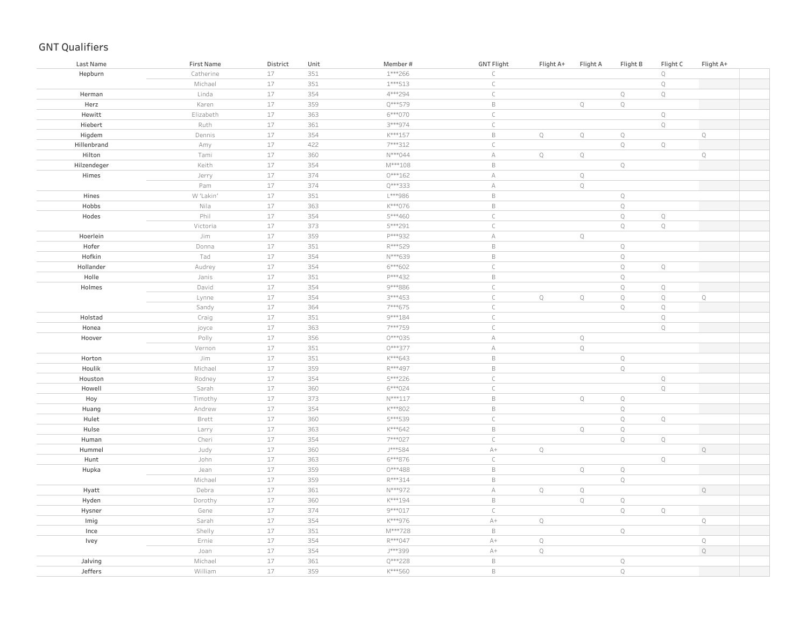| Last Name   | First Name | District | Unit | Member#   | <b>GNT Flight</b> | Flight A+   | Flight A    | Flight B     | Flight C    | Flight A+    |  |
|-------------|------------|----------|------|-----------|-------------------|-------------|-------------|--------------|-------------|--------------|--|
| Hepburn     | Catherine  | $17$     | 351  | $1***266$ | $\subset$         |             |             |              | $\mathbb Q$ |              |  |
|             | Michael    | $17$     | 351  | $1***513$ | $\subset$         |             |             |              | $\mathbb Q$ |              |  |
| Herman      | Linda      | $17$     | 354  | 4***294   | $\subset$         |             |             | $\mathbb Q$  | $\mathbb Q$ |              |  |
| Herz        | Karen      | $17$     | 359  | Q***579   | $\,$ B            |             | $\mathbb Q$ | $\mathbb Q$  |             |              |  |
| Hewitt      | Elizabeth  | $17$     | 363  | 6***070   | $\subset$         |             |             |              | $\mathbb Q$ |              |  |
| Hiebert     | Ruth       | $17$     | 361  | 3***974   | $\subset$         |             |             |              | $\mathbb Q$ |              |  |
| Higdem      | Dennis     | $17$     | 354  | K***157   | $\,$ B            | $\mathbb Q$ | $\mathbb Q$ | $\mathbb Q$  |             | $\mathsf Q$  |  |
| Hillenbrand | Amy        | $17$     | 422  | 7***312   | $\mathsf C$       |             |             | $\mathbb Q$  | $\mathbb Q$ |              |  |
| Hilton      | Tami       | $17$     | 360  | $N***044$ | $\mathbb A$       | $\mathbb Q$ | $\mathbb Q$ |              |             | $\mathbb Q$  |  |
| Hilzendeger | Keith      | $17$     | 354  | $M***108$ | $\,$ B            |             |             | $\mathbb Q$  |             |              |  |
| Himes       | Jerry      | $17$     | 374  | $0***162$ | $\mathbb A$       |             | $\mathbb Q$ |              |             |              |  |
|             | Pam        | $17\,$   | 374  | Q***333   | $\forall$         |             | $\mathbb Q$ |              |             |              |  |
| Hines       | W 'Lakin'  | $17$     | 351  | L***986   | $\mathsf B$       |             |             | $\mathbb Q$  |             |              |  |
| Hobbs       | Nila       | $17\,$   | 363  | K***076   | $\,$ B            |             |             | $\mathbb Q$  |             |              |  |
| Hodes       | Phil       | $17$     | 354  | 5***460   | $\mathsf C$       |             |             | $\mathbb Q$  | $\mathbb Q$ |              |  |
|             | Victoria   | $17$     | 373  | 5***291   | $\subset$         |             |             | $\mathbb Q$  | $\mathbb Q$ |              |  |
| Hoerlein    | Jim        | $17$     | 359  | P***932   | $\mathbb A$       |             | $\mathbb Q$ |              |             |              |  |
| Hofer       | Donna      | $17$     | 351  | R***529   | $\mathsf B$       |             |             | $\mathbb Q$  |             |              |  |
| Hofkin      | Tad        | $17$     | 354  | N***639   | $\,$ B            |             |             | $\mathbb Q$  |             |              |  |
| Hollander   | Audrey     | $17$     | 354  | 6***602   | $\subset$         |             |             | $\mathbb Q$  | $\mathbb Q$ |              |  |
| Holle       | Janis      | $17$     | 351  | P***432   | $\mathsf B$       |             |             | $\mathbf Q$  |             |              |  |
| Holmes      | David      | $17$     | 354  | 9***886   | $\subset$         |             |             | $\mathbb Q$  | $\mathbb Q$ |              |  |
|             | Lynne      | $17$     | 354  | 3***453   | $\subset$         | $\mathbb Q$ | $\mathbb Q$ | $\mathbb Q$  | $\mathbb Q$ | $\mathbb Q$  |  |
|             | Sandy      | $17$     | 364  | 7***675   | $\subset$         |             |             | $\mathbb Q$  | $\mathbb Q$ |              |  |
| Holstad     | Craig      | $17$     | 351  | 9 *** 184 | $\subset$         |             |             |              | $\mathbb Q$ |              |  |
| Honea       | joyce      | $17$     | 363  | 7***759   | $\subset$         |             |             |              | $\mathbb Q$ |              |  |
| Hoover      | Polly      | $17$     | 356  | 0***035   | $\forall$         |             | $\mathbb Q$ |              |             |              |  |
|             | Vernon     | $17$     | 351  | 0***377   | $\mathbb A$       |             | $\mathbb Q$ |              |             |              |  |
| Horton      | Jim        | $17$     | 351  | K***643   | $\,$ B            |             |             | $\mathbb Q$  |             |              |  |
| Houlik      | Michael    | $17$     | 359  | R***497   | $\,$ B            |             |             | $\mathbb Q$  |             |              |  |
| Houston     | Rodney     | $17$     | 354  | 5***226   | $\mathsf C$       |             |             |              | $\mathbb Q$ |              |  |
| Howell      | Sarah      | $17$     | 360  | 6***024   | $\mathsf C$       |             |             |              | $\mathbb Q$ |              |  |
| Hoy         | Timothy    | $17$     | 373  | $N***117$ | $\,$ B            |             | $\mathbb Q$ | $\mathbb Q$  |             |              |  |
| Huang       | Andrew     | $17$     | 354  | K***802   | $\,$ B            |             |             | $\mathbb Q$  |             |              |  |
| Hulet       | Brett      | $17$     | 360  | 5***539   | $\subset$         |             |             | $\mathbb Q$  | $\mathbb Q$ |              |  |
| Hulse       | Larry      | $17$     | 363  | K***642   | $\,$ B            |             | $\mathbb Q$ | $\mathbb Q$  |             |              |  |
| Human       | Cheri      | $17$     | 354  | 7***027   | $\subset$         |             |             | $\mathbb Q$  | $\mathbb Q$ |              |  |
| Hummel      | Judy       | $17$     | 360  | J***584   | $\mathbb{A}+$     | $\mathbb Q$ |             |              |             | $\mathbb Q$  |  |
| Hunt        | John       | $17$     | 363  | 6***876   | $\subset$         |             |             |              | $\mathbb Q$ |              |  |
| Hupka       | Jean       | $17$     | 359  | $0***488$ | $\,$ B            |             | $\mathbb Q$ | $\mathbf Q$  |             |              |  |
|             | Michael    | $17$     | 359  | R***314   | $\mathsf B$       |             |             | $\mathbf Q$  |             |              |  |
| Hyatt       | Debra      | 17       | 361  | N***972   | $\mathbb A$       | $\mathbb Q$ | $\mathbb Q$ |              |             | $\mathbb Q$  |  |
| Hyden       | Dorothy    | $17$     | 360  | K***194   | $\,$ B            |             | $\mathbb Q$ | $\mathbb Q$  |             |              |  |
| Hysner      | Gene       | $17$     | 374  | 9 *** 017 | $\mathsf C$       |             |             | $\mathbb Q$  | $\mathbb Q$ |              |  |
| Imig        | Sarah      | $17$     | 354  | K***976   | $\mathbb{A}+$     | $\mathbb Q$ |             |              |             | $\mathsf{Q}$ |  |
| Ince        | Shelly     | $17$     | 351  | M***728   | $\,$ B            |             |             | $\mathbb Q$  |             |              |  |
| Ivey        | Ernie      | $17$     | 354  | R***047   | $\mathbb{A}+$     | $\mathbb Q$ |             |              |             | $\mathbb Q$  |  |
|             | Joan       | $17$     | 354  | J***399   | $\mathbb{A}+$     | $\mathbb Q$ |             |              |             | $\mathbb Q$  |  |
| Jalving     | Michael    | $17$     | 361  | Q***228   | $\,$ B            |             |             | $\mathbb Q$  |             |              |  |
| Jeffers     | William    | 17       | 359  | K***560   | $\,$ B            |             |             | $\mathbb{Q}$ |             |              |  |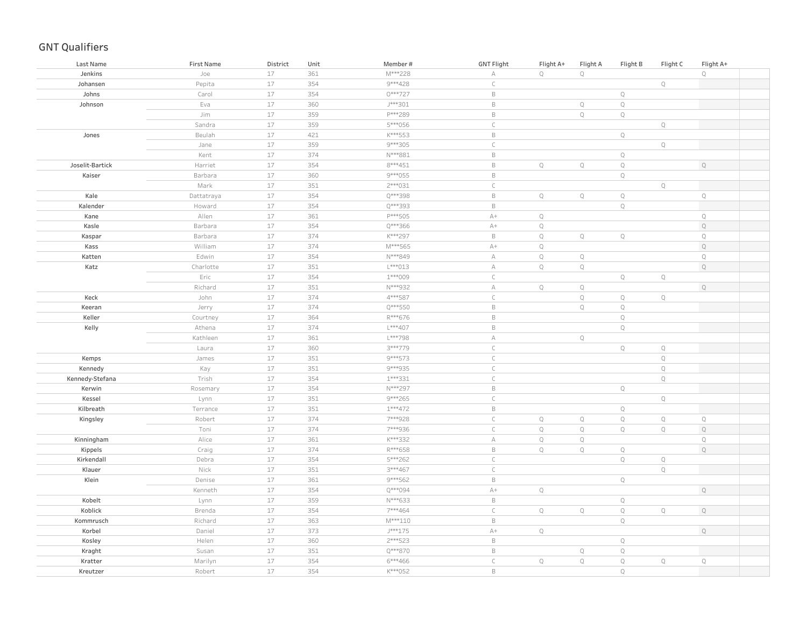| Last Name       | <b>First Name</b> | District | Unit | Member#   | <b>GNT Flight</b> | Flight A+   | Flight A    | Flight B     | Flight C    | Flight A+   |
|-----------------|-------------------|----------|------|-----------|-------------------|-------------|-------------|--------------|-------------|-------------|
| Jenkins         | Joe               | 17       | 361  | M***228   | А                 | $\mathbb Q$ | $\mathbb Q$ |              |             | $\mathbb Q$ |
| Johansen        | Pepita            | 17       | 354  | 9***428   | $\subset$         |             |             |              | $\mathbb Q$ |             |
| Johns           | Carol             | 17       | 354  | 0***727   | $\,$ B            |             |             | $\mathbb Q$  |             |             |
| Johnson         | Eva               | 17       | 360  | J***301   | $\,$ B            |             | $\mathbb Q$ | $\mathbb Q$  |             |             |
|                 | Jim               | $17\,$   | 359  | P***289   | $\mathsf B$       |             | $\mathbb Q$ | $\mathbb Q$  |             |             |
|                 | Sandra            | $17\,$   | 359  | 5***056   | $\mathsf C$       |             |             |              | $\mathbb Q$ |             |
| Jones           | Beulah            | 17       | 421  | K***553   | $\mathsf B$       |             |             | $\mathbb Q$  |             |             |
|                 | Jane              | 17       | 359  | 9 *** 305 | $\mathsf C$       |             |             |              | $\mathbb Q$ |             |
|                 | Kent              | $17\,$   | 374  | N***881   | $\mathsf B$       |             |             | $\mathbb Q$  |             |             |
| Joselit-Bartick | Harriet           | $17\,$   | 354  | 8 *** 451 | $\,$ B            | $\mathbb Q$ | $\mathbb Q$ | $\mathbb Q$  |             | $\mathbb Q$ |
| Kaiser          | Barbara           | $17\,$   | 360  | 9 *** 055 | $\mathsf B$       |             |             | $\mathbb Q$  |             |             |
|                 | Mark              | 17       | 351  | 2 *** 031 | $\mathsf{C}$      |             |             |              | $\mathbb Q$ |             |
| Kale            | Dattatraya        | $17\,$   | 354  | Q***398   | $\mathsf B$       | $\mathbb Q$ | $\mathbb Q$ | $\mathbb Q$  |             | $\mathbb Q$ |
| Kalender        | Howard            | 17       | 354  | Q***393   | $\mathsf B$       |             |             | $\mathbb Q$  |             |             |
| Kane            | Allen             | $17\,$   | 361  | P***505   | $\mathbb{A}+$     | $\mathbb Q$ |             |              |             | $\mathbb Q$ |
| Kasle           | Barbara           | 17       | 354  | Q***366   | $\mathbb{A}+$     | $\mathbb Q$ |             |              |             | $\mathbb Q$ |
| Kaspar          | Barbara           | $17\,$   | 374  | K***297   | $\mathsf B$       | $\mathbb Q$ | $\mathbb Q$ | $\mathbb Q$  |             | $\mathbb Q$ |
| Kass            | William           | 17       | 374  | M***565   | $\mathbb{A}+$     | $\mathbb Q$ |             |              |             | $\mathbb Q$ |
| Katten          | Edwin             | $17\,$   | 354  | N***849   | $\mathbb A$       | $\mathbb Q$ | $\mathbb Q$ |              |             | $\mathbf Q$ |
| Katz            | Charlotte         | 17       | 351  | L***013   | А                 | $\mathbb Q$ | $\mathbb Q$ |              |             | $\mathbb Q$ |
|                 | Eric              | $17\,$   | 354  | 1***009   | $\subset$         |             |             | $\mathbb Q$  | $\mathbb Q$ |             |
|                 | Richard           | 17       | 351  | N***932   | $\mathbb A$       | $\mathbb Q$ | $\mathbb Q$ |              |             | $\mathbb Q$ |
| Keck            | John              | $17\,$   | 374  | 4***587   | $\subset$         |             | $\mathbb Q$ | $\mathbb Q$  | $\mathbb Q$ |             |
| Keeran          | Jerry             | $17\,$   | 374  | Q***550   | $\mathsf B$       |             | $\mathbb Q$ | $\mathbb Q$  |             |             |
| Keller          | Courtney          | 17       | 364  | R***676   | $\,$ B            |             |             | $\mathbb Q$  |             |             |
| Kelly           | Athena            | $17\,$   | 374  | L***407   | $\,$ B            |             |             | $\mathbb Q$  |             |             |
|                 | Kathleen          | 17       | 361  | $L***798$ | $\mathbb A$       |             | $\mathbb Q$ |              |             |             |
|                 | Laura             | $17\,$   | 360  | 3***779   | $\mathsf C$       |             |             | $\mathbb Q$  | $\mathbb Q$ |             |
| Kemps           | James             | $17\,$   | 351  | 9 *** 573 | $\mathsf C$       |             |             |              | $\mathbb Q$ |             |
| Kennedy         | Kay               | $17\,$   | 351  | 9***935   | $\mathsf C$       |             |             |              | $\mathbb Q$ |             |
| Kennedy-Stefana | Trish             | $17\,$   | 354  | 1 *** 331 | $\mathsf C$       |             |             |              | $\mathbb Q$ |             |
| Kerwin          | Rosemary          | $17\,$   | 354  | N***297   | $\mathsf B$       |             |             | $\mathbb Q$  |             |             |
| Kessel          | Lynn              | $17\,$   | 351  | 9 *** 265 | $\subset$         |             |             |              | $\mathbb Q$ |             |
| Kilbreath       | Terrance          | $17\,$   | 351  | $1***472$ | $\mathsf B$       |             |             | $\mathbb Q$  |             |             |
| Kingsley        | Robert            | $17\,$   | 374  | 7***928   | $\mathsf C$       | $\mathbb Q$ | $\mathbb Q$ | $\mathbb Q$  | $\mathbb Q$ | $\mathbb Q$ |
|                 | Toni              | $17\,$   | 374  | 7***936   | $\subset$         | $\mathbb Q$ | $\mathbb Q$ | $\mathbb Q$  | $\mathbb Q$ | $\mathbb Q$ |
| Kinningham      | Alice             | 17       | 361  | K***332   | А                 | $\mathbb Q$ | $\mathbb Q$ |              |             | $\mathbf Q$ |
| Kippels         | Craig             | $17\,$   | 374  | R***658   | $\mathsf B$       | $\mathbb Q$ | $\mathbb Q$ | $\mathbb Q$  |             | $\mathbf Q$ |
| Kirkendall      | Debra             | 17       | 354  | 5***262   | $\subset$         |             |             | $\mathbb Q$  | $\mathbb Q$ |             |
| Klauer          | Nick              | 17       | 351  | 3***467   | $\subset$         |             |             |              | $\mathbb Q$ |             |
| Klein           | Denise            | 17       | 361  | 9 *** 562 | $\mathsf B$       |             |             | $\mathbb Q$  |             |             |
|                 | Kenneth           | $17\,$   | 354  | Q***094   | $\mathbb{A}+$     | $\mathbb Q$ |             |              |             | $\mathbb Q$ |
| Kobelt          | Lynn              | $17\,$   | 359  | N***633   | $\mathsf B$       |             |             | $\mathbb Q$  |             |             |
| Koblick         | Brenda            | 17       | 354  | 7***464   | $\subset$         | $\mathbb Q$ | $\mathbb Q$ | $\mathbb Q$  | $\mathbb Q$ | $\mathbb Q$ |
| Kommrusch       | Richard           | $17\,$   | 363  | $M***110$ | $\,$ B            |             |             | $\mathbb Q$  |             |             |
| Korbel          | Daniel            | $17\,$   | 373  | $J***175$ | $A+$              | $\mathbb Q$ |             |              |             | $\mathbb Q$ |
| Kosley          | Helen             | $17\,$   | 360  | 2 *** 523 | $\mathsf B$       |             |             | $\mathbb Q$  |             |             |
| Kraght          | Susan             | $17\,$   | 351  | Q***870   | $\,$ B            |             | $\mathbb Q$ | $\mathbb Q$  |             |             |
| Kratter         | Marilyn           | $17\,$   | 354  | $6***466$ | $\subset$         | $\mathbb Q$ | $\mathbb Q$ | $\mathbb Q$  | $\mathbb Q$ | $\mathbb Q$ |
| Kreutzer        | Robert            | 17       | 354  | K***052   | $\mathsf B$       |             |             | $\mathbb{Q}$ |             |             |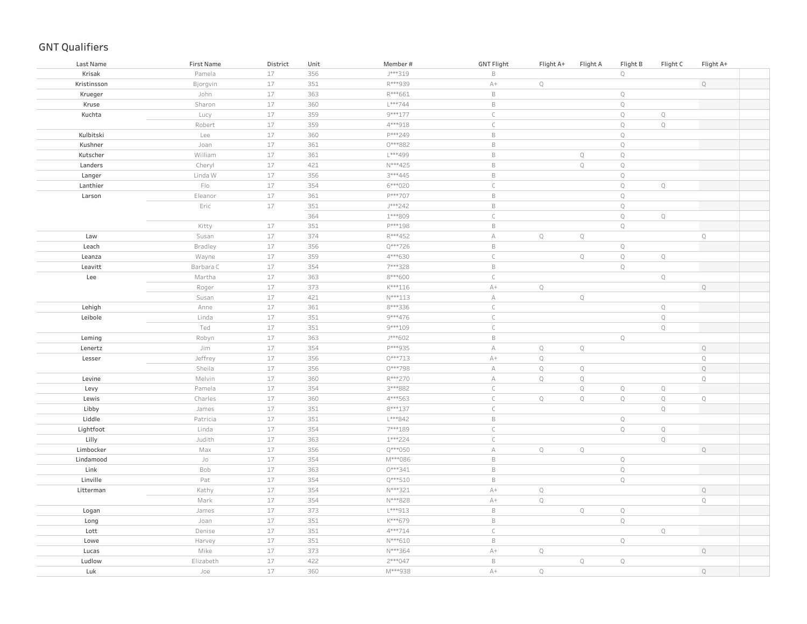| Last Name   | <b>First Name</b>                            | District | Unit | Member#   | <b>GNT Flight</b> | Flight A+    | Flight A    | Flight B    | Flight C    | Flight A+   |
|-------------|----------------------------------------------|----------|------|-----------|-------------------|--------------|-------------|-------------|-------------|-------------|
| Krisak      | Pamela                                       | 17       | 356  | J***319   | $\mathsf B$       |              |             | $\mathbb Q$ |             |             |
| Kristinsson | Bjorgvin                                     | 17       | 351  | R***939   | $\mathbb{A}+$     | $\mathbb Q$  |             |             |             | $\mathbb Q$ |
| Krueger     | John                                         | $17\,$   | 363  | R***661   | $\mathsf B$       |              |             | $\mathbb Q$ |             |             |
| Kruse       | Sharon                                       | 17       | 360  | $L***744$ | $\,$ B            |              |             | $\mathbb Q$ |             |             |
| Kuchta      | Lucy                                         | 17       | 359  | 9 *** 177 | $\subset$         |              |             | $\mathbb Q$ | $\mathbb Q$ |             |
|             | Robert                                       | 17       | 359  | 4***918   | $\mathsf C$       |              |             | $\mathbb Q$ | $\mathbb Q$ |             |
| Kulbitski   | Lee                                          | 17       | 360  | P***249   | $\,$ B            |              |             | $\mathbb Q$ |             |             |
| Kushner     | Joan                                         | 17       | 361  | 0***882   | $\,$ B            |              |             | $\mathbb Q$ |             |             |
| Kutscher    | William                                      | 17       | 361  | L***499   | $\,$ B            |              | $\mathbb Q$ | $\mathbb Q$ |             |             |
| Landers     | Cheryl                                       | 17       | 421  | N***425   | $\,$ B            |              | $\mathbb Q$ | $\mathbb Q$ |             |             |
| Langer      | Linda W                                      | 17       | 356  | 3***445   | $\,$ B            |              |             | $\mathbb Q$ |             |             |
| Lanthier    | $\mathop{\mathsf{F}}\nolimits _{\mathsf{O}}$ | 17       | 354  | 6***020   | $\mathsf C$       |              |             | $\mathbb Q$ | $\mathbb Q$ |             |
| Larson      | Eleanor                                      | 17       | 361  | P***707   | $\,$ B            |              |             | $\mathbb Q$ |             |             |
|             | Eric                                         | 17       | 351  | J***242   | $\,$ B            |              |             | $\mathbb Q$ |             |             |
|             |                                              |          | 364  | 1***809   | $\mathsf C$       |              |             | $\mathbb Q$ | $\mathbb Q$ |             |
|             | Kitty                                        | $17$     | 351  | P***198   | $\,$ B            |              |             | $\mathbb Q$ |             |             |
| Law         | Susan                                        | 17       | 374  | R***452   | $\mathbb A$       | $\mathbb Q$  | $\mathbb Q$ |             |             | $\mathbb Q$ |
| Leach       | Bradley                                      | $17\,$   | 356  | Q***726   | $\mathsf B$       |              |             | $\mathbb Q$ |             |             |
| Leanza      | Wayne                                        | 17       | 359  | 4***630   | $\subset$         |              | $\mathbb Q$ | $\mathbb Q$ | $\mathbb Q$ |             |
| Leavitt     | Barbara C                                    | 17       | 354  | 7***328   | $\mathsf B$       |              |             | $\mathbb Q$ |             |             |
| Lee         | Martha                                       | 17       | 363  | 8***600   | $\subset$         |              |             |             | $\mathbb Q$ |             |
|             | Roger                                        | 17       | 373  | $K***116$ | $\mathbb{A}+$     | $\mathbb Q$  |             |             |             | $\mathbb Q$ |
|             | Susan                                        | 17       | 421  | $N***113$ | $\mathbb A$       |              | $\mathbb Q$ |             |             |             |
| Lehigh      | Anne                                         | 17       | 361  | 8***336   | $\subset$         |              |             |             | $\mathbb Q$ |             |
| Leibole     | Linda                                        | 17       | 351  | 9 *** 476 | $\subset$         |              |             |             | $\mathbb Q$ |             |
|             | Ted                                          | 17       | 351  | 9 *** 109 | $\subset$         |              |             |             | $\mathbb Q$ |             |
| Leming      | Robyn                                        | 17       | 363  | J***602   | $\,$ B            |              |             | $\mathbb Q$ |             |             |
| Lenertz     | Jim                                          | 17       | 354  | P***935   | $\mathbb A$       | $\mathbb Q$  | $\mathbb Q$ |             |             | $\mathbb Q$ |
| Lesser      | Jeffrey                                      | 17       | 356  | $0***713$ | $\mathbb{A}+$     | $\mathbb Q$  |             |             |             | $\mathbb Q$ |
|             | Sheila                                       | 17       | 356  | 0***798   | $\mathbb A$       | $\mathbb Q$  | $\mathbb Q$ |             |             | $\mathbb Q$ |
| Levine      | Melvin                                       | 17       | 360  | R***270   | $\mathbb A$       | $\mathbb Q$  | $\mathbb Q$ |             |             | Q           |
| Levy        | Pamela                                       | 17       | 354  | 3***882   | $\mathsf C$       |              | $\mathbb Q$ | $\mathbb Q$ | $\mathbb Q$ |             |
| Lewis       | Charles                                      | $17$     | 360  | 4***563   | $\mathsf C$       | $\mathbb Q$  | $\mathbb Q$ | $\mathbb Q$ | $\mathbb Q$ | $\mathbb Q$ |
| Libby       | James                                        | 17       | 351  | 8 *** 137 | $\mathsf C$       |              |             |             | $\mathbb Q$ |             |
| Liddle      | Patricia                                     | 17       | 351  | L***842   | $\,$ B            |              |             | $\mathbb Q$ |             |             |
| Lightfoot   | Linda                                        | 17       | 354  | 7***189   | $\subset$         |              |             | $\mathbb Q$ | $\mathbb Q$ |             |
| Lilly       | Judith                                       | $17\,$   | 363  | 1***224   | $\mathsf C$       |              |             |             | $\mathbb Q$ |             |
| Limbocker   | Max                                          | 17       | 356  | Q***050   | $\mathbb A$       | $\mathbb Q$  | $\mathbb Q$ |             |             | $\mathbb Q$ |
| Lindamood   | Jo                                           | 17       | 354  | M***086   | $\mathsf B$       |              |             | $\mathbb Q$ |             |             |
| Link        | Bob                                          | 17       | 363  | 0***341   | $\mathsf B$       |              |             | $\mathbb Q$ |             |             |
| Linville    | Pat                                          | 17       | 354  | $Q***510$ | $\,$ B            |              |             | $\mathbb Q$ |             |             |
| Litterman   | Kathy                                        | 17       | 354  | N***321   | $A+$              | $\mathbb Q$  |             |             |             | $\mathbb Q$ |
|             | Mark                                         | 17       | 354  | N***828   | $A+$              | $\mathbb Q$  |             |             |             | $\mathbb Q$ |
| Logan       | James                                        | 17       | 373  | L***913   | $\,$ B            |              | $\mathbb Q$ | $\mathbb Q$ |             |             |
| Long        | Joan                                         | 17       | 351  | K***679   | $\,$ B            |              |             | $\mathbb Q$ |             |             |
| Lott        | Denise                                       | 17       | 351  | 4***714   | $\subset$         |              |             |             | $\mathbb Q$ |             |
| Lowe        | Harvey                                       | 17       | 351  | N***610   | $\,$ B            |              |             | $\mathbb Q$ |             |             |
| Lucas       | Mike                                         | 17       | 373  | N***364   | $\mathbb{A}+$     | $\mathbb Q$  |             |             |             | $\mathbb Q$ |
| Ludlow      | Elizabeth                                    | 17       | 422  | 2 *** 047 | $\,$ B            |              | $\mathbb Q$ | $\mathbb Q$ |             |             |
| Luk         | Joe                                          | 17       | 360  | M***938   | $A+$              | $\mathbb{Q}$ |             |             |             | $\mathbb Q$ |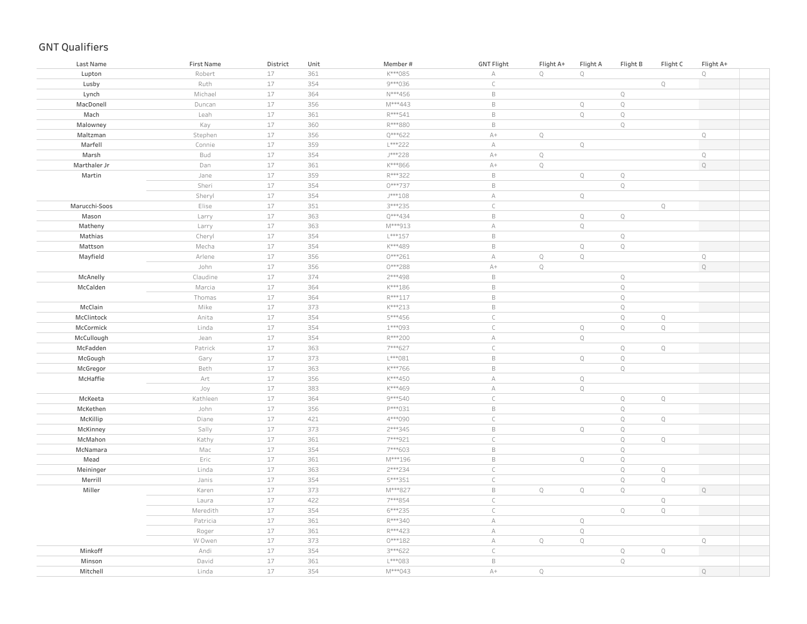| $\mathbb Q$<br>17<br>361<br>K***085<br>$\mathbb Q$<br>$\mathbb Q$<br>Robert<br>А<br>Lupton<br>17<br>9***036<br>$\mathsf C$<br>Ruth<br>354<br>$\mathbb{Q}$<br>Lusby<br>$17$<br>$\mathsf B$<br>Michael<br>364<br>N***456<br>$\mathbb Q$<br>Lynch<br>17<br>356<br>M***443<br>$\mathsf B$<br>$\mathbb Q$<br>$\mathbb Q$<br>MacDonell<br>Duncan<br>17<br>361<br>R***541<br>$\mathsf B$<br>$\mathbb Q$<br>$\mathbb Q$<br>Mach<br>Leah<br>17<br>R***880<br>$\mathsf B$<br>$\mathbb Q$<br>Kay<br>360<br>Malowney<br>$17\,$<br>356<br>Q***622<br>$A+$<br>$\mathbb Q$<br>$\mathbb Q$<br>Maltzman<br>Stephen<br>17<br>L***222<br>$\mathbb A$<br>$\mathbb Q$<br>Marfell<br>Connie<br>359<br>17<br>354<br>J***228<br>$\mathbb Q$<br>Marsh<br>Bud<br>$A+$<br>$\mathbb Q$<br>$17\,$<br>361<br>K***866<br>$\mathbb Q$<br>$\mathbb Q$<br>Marthaler Jr<br>Dan<br>$A+$<br>$17\,$<br>$R***322$<br>$\mathsf B$<br>359<br>$\mathsf Q$<br>$\mathbb Q$<br>Martin<br>Jane<br>17<br>$0***737$<br>$\mathsf B$<br>$\mathbf Q$<br>354<br>Sheri<br>17<br>$J***108$<br>Sheryl<br>354<br>$\mathbb A$<br>$\mathbb Q$<br>17<br>351<br>3 *** 235<br>$\subset$<br>$\mathsf{Q}$<br>Marucchi-Soos<br>Elise<br>17<br>Q***434<br>$\mathsf B$<br>363<br>$\mathbb Q$<br>$\mathbb Q$<br>Mason<br>Larry<br>17<br>363<br>M***913<br>$\mathbb A$<br>$\mathbb Q$<br>Matheny<br>Larry<br>17<br>354<br>$L***157$<br>$\mathsf B$<br>$\mathbb Q$<br>Mathias<br>Cheryl<br>$17$<br>$\mathsf B$<br>$\mathbb Q$<br>$\mathbb Q$<br>Mattson<br>Mecha<br>354<br>K***489<br>17<br>356<br>$0***261$<br>$\mathbb Q$<br>$\mathbb Q$<br>$\mathbb Q$<br>Mayfield<br>Arlene<br>А<br>$17\,$<br>$\mathbb Q$<br>John<br>356<br>0***288<br>$\mathbb Q$<br>$A+$<br>17<br>2 *** 498<br>$\mathsf B$<br>$\mathbb Q$<br>McAnelly<br>Claudine<br>374<br>17<br>$\mathsf B$<br>$\mathbb Q$<br>McCalden<br>Marcia<br>364<br>K***186<br>17<br>R***117<br>$\mathsf B$<br>$\mathbb Q$<br>364<br>Thomas<br>Mike<br>17<br>K***213<br>$\mathsf B$<br>$\mathbb Q$<br>McClain<br>373<br>$17$<br>5***456<br>$\subset$<br>$\mathbb Q$<br>McClintock<br>Anita<br>354<br>$\mathbb Q$<br>$17$<br>1***093<br>$\subset$<br>$\mathbb Q$<br>McCormick<br>Linda<br>354<br>$\mathbb Q$<br>$\mathbb Q$<br>17<br>R***200<br>$\mathbb A$<br>$\mathbb Q$<br>McCullough<br>354<br>Jean<br>$17$<br>7***627<br>McFadden<br>Patrick<br>363<br>$\mathsf C$<br>$\mathbb Q$<br>$\mathbb Q$<br>$17$<br>$L***081$<br>$\mathsf B$<br>$\mathbb Q$<br>$\mathbb Q$<br>McGough<br>Gary<br>373<br>$\mathsf B$<br>17<br>363<br>K***766<br>$\mathbb Q$<br>McGregor<br>Beth<br>17<br>356<br>K***450<br>$\mathbb A$<br>$\mathbb Q$<br>McHaffie<br>Art<br>17<br>383<br>K***469<br>$\mathbb A$<br>$\mathbb Q$<br>Joy<br>$17$<br>$\mathsf C$<br>364<br>9 *** 540<br>$\mathbb Q$<br>$\mathbb Q$<br>Kathleen<br>McKeeta<br>$\mathsf B$<br>17<br>356<br>P***031<br>$\mathbb Q$<br>McKethen<br>John<br>$17$<br>421<br>4***090<br>$\subset$<br>$\mathbb Q$<br>Q<br>Diane<br>McKillip<br>$17$<br>2 *** 345<br>$\mathsf B$<br>$\mathbb Q$<br>$\mathbb Q$<br>McKinney<br>Sally<br>373<br>17<br>$\subset$<br>$\mathbb Q$<br>$\mathbb Q$<br>McMahon<br>361<br>7***921<br>Kathy<br>$17$<br>$\mathsf B$<br>$\mathbb Q$<br>McNamara<br>Mac<br>354<br>7***603<br>$17$<br>$\mathsf B$<br>$\mathbb Q$<br>$\mathbb Q$<br>Mead<br>Eric<br>361<br>M***196<br>17<br>2 *** 234<br>$\mathsf C$<br>$\mathbb Q$<br>Meininger<br>363<br>$\mathbb Q$<br>Linda<br>$\subset$<br>$\mathbf Q$<br>17<br>$\mathbb Q$<br>Merrill<br>Janis<br>354<br>5***351<br>17<br>M***827<br>$\mathsf B$<br>Miller<br>373<br>$\mathbb Q$<br>$\mathbb Q$<br>$\mathbb Q$<br>$\mathbb Q$<br>Karen<br>17<br>7***854<br>$\subset$<br>$\mathbb Q$<br>422<br>Laura<br>$17$<br>$\mathsf C$<br>Meredith<br>354<br>6***235<br>$\mathbb Q$<br>$\mathbb Q$<br>$17$<br>R***340<br>Patricia<br>361<br>$\forall$<br>$\mathbb Q$<br>$17$<br>361<br>R***423<br>$\forall$<br>$\mathbb Q$<br>Roger<br>$17$<br>$0***182$<br>W Owen<br>373<br>$\forall$<br>$\mathbb Q$<br>$\mathbb Q$<br>$\mathbb Q$<br>$17$<br>Minkoff<br>Andi<br>354<br>3***622<br>$\subset$<br>$\mathbb Q$<br>$\mathbb Q$<br>17<br>$\mathsf B$<br>$\mathbb Q$<br>David<br>361<br>L***083<br>Minson<br>17<br>M***043<br>354<br>$A +$<br>$\mathbb{Q}$<br>$\mathbb Q$<br>Mitchell<br>Linda | Last Name | <b>First Name</b> | District | Unit | Member# | <b>GNT Flight</b> | Flight A+ | Flight A | Flight B | Flight C | Flight A+ |  |
|--------------------------------------------------------------------------------------------------------------------------------------------------------------------------------------------------------------------------------------------------------------------------------------------------------------------------------------------------------------------------------------------------------------------------------------------------------------------------------------------------------------------------------------------------------------------------------------------------------------------------------------------------------------------------------------------------------------------------------------------------------------------------------------------------------------------------------------------------------------------------------------------------------------------------------------------------------------------------------------------------------------------------------------------------------------------------------------------------------------------------------------------------------------------------------------------------------------------------------------------------------------------------------------------------------------------------------------------------------------------------------------------------------------------------------------------------------------------------------------------------------------------------------------------------------------------------------------------------------------------------------------------------------------------------------------------------------------------------------------------------------------------------------------------------------------------------------------------------------------------------------------------------------------------------------------------------------------------------------------------------------------------------------------------------------------------------------------------------------------------------------------------------------------------------------------------------------------------------------------------------------------------------------------------------------------------------------------------------------------------------------------------------------------------------------------------------------------------------------------------------------------------------------------------------------------------------------------------------------------------------------------------------------------------------------------------------------------------------------------------------------------------------------------------------------------------------------------------------------------------------------------------------------------------------------------------------------------------------------------------------------------------------------------------------------------------------------------------------------------------------------------------------------------------------------------------------------------------------------------------------------------------------------------------------------------------------------------------------------------------------------------------------------------------------------------------------------------------------------------------------------------------------------------------------------------------------------------------------------------------------------------------------------------------------------------------------------------------------------------------------------------------------------------------------------------------------------------------------------------------------------------------------------------------------------------------------------------------------------------------------------------------------------------------------------------------------------------------------------------------------------------------------------------------------------------------------------------------------------------------------------------|-----------|-------------------|----------|------|---------|-------------------|-----------|----------|----------|----------|-----------|--|
|                                                                                                                                                                                                                                                                                                                                                                                                                                                                                                                                                                                                                                                                                                                                                                                                                                                                                                                                                                                                                                                                                                                                                                                                                                                                                                                                                                                                                                                                                                                                                                                                                                                                                                                                                                                                                                                                                                                                                                                                                                                                                                                                                                                                                                                                                                                                                                                                                                                                                                                                                                                                                                                                                                                                                                                                                                                                                                                                                                                                                                                                                                                                                                                                                                                                                                                                                                                                                                                                                                                                                                                                                                                                                                                                                                                                                                                                                                                                                                                                                                                                                                                                                                                                                                                              |           |                   |          |      |         |                   |           |          |          |          |           |  |
|                                                                                                                                                                                                                                                                                                                                                                                                                                                                                                                                                                                                                                                                                                                                                                                                                                                                                                                                                                                                                                                                                                                                                                                                                                                                                                                                                                                                                                                                                                                                                                                                                                                                                                                                                                                                                                                                                                                                                                                                                                                                                                                                                                                                                                                                                                                                                                                                                                                                                                                                                                                                                                                                                                                                                                                                                                                                                                                                                                                                                                                                                                                                                                                                                                                                                                                                                                                                                                                                                                                                                                                                                                                                                                                                                                                                                                                                                                                                                                                                                                                                                                                                                                                                                                                              |           |                   |          |      |         |                   |           |          |          |          |           |  |
|                                                                                                                                                                                                                                                                                                                                                                                                                                                                                                                                                                                                                                                                                                                                                                                                                                                                                                                                                                                                                                                                                                                                                                                                                                                                                                                                                                                                                                                                                                                                                                                                                                                                                                                                                                                                                                                                                                                                                                                                                                                                                                                                                                                                                                                                                                                                                                                                                                                                                                                                                                                                                                                                                                                                                                                                                                                                                                                                                                                                                                                                                                                                                                                                                                                                                                                                                                                                                                                                                                                                                                                                                                                                                                                                                                                                                                                                                                                                                                                                                                                                                                                                                                                                                                                              |           |                   |          |      |         |                   |           |          |          |          |           |  |
|                                                                                                                                                                                                                                                                                                                                                                                                                                                                                                                                                                                                                                                                                                                                                                                                                                                                                                                                                                                                                                                                                                                                                                                                                                                                                                                                                                                                                                                                                                                                                                                                                                                                                                                                                                                                                                                                                                                                                                                                                                                                                                                                                                                                                                                                                                                                                                                                                                                                                                                                                                                                                                                                                                                                                                                                                                                                                                                                                                                                                                                                                                                                                                                                                                                                                                                                                                                                                                                                                                                                                                                                                                                                                                                                                                                                                                                                                                                                                                                                                                                                                                                                                                                                                                                              |           |                   |          |      |         |                   |           |          |          |          |           |  |
|                                                                                                                                                                                                                                                                                                                                                                                                                                                                                                                                                                                                                                                                                                                                                                                                                                                                                                                                                                                                                                                                                                                                                                                                                                                                                                                                                                                                                                                                                                                                                                                                                                                                                                                                                                                                                                                                                                                                                                                                                                                                                                                                                                                                                                                                                                                                                                                                                                                                                                                                                                                                                                                                                                                                                                                                                                                                                                                                                                                                                                                                                                                                                                                                                                                                                                                                                                                                                                                                                                                                                                                                                                                                                                                                                                                                                                                                                                                                                                                                                                                                                                                                                                                                                                                              |           |                   |          |      |         |                   |           |          |          |          |           |  |
|                                                                                                                                                                                                                                                                                                                                                                                                                                                                                                                                                                                                                                                                                                                                                                                                                                                                                                                                                                                                                                                                                                                                                                                                                                                                                                                                                                                                                                                                                                                                                                                                                                                                                                                                                                                                                                                                                                                                                                                                                                                                                                                                                                                                                                                                                                                                                                                                                                                                                                                                                                                                                                                                                                                                                                                                                                                                                                                                                                                                                                                                                                                                                                                                                                                                                                                                                                                                                                                                                                                                                                                                                                                                                                                                                                                                                                                                                                                                                                                                                                                                                                                                                                                                                                                              |           |                   |          |      |         |                   |           |          |          |          |           |  |
|                                                                                                                                                                                                                                                                                                                                                                                                                                                                                                                                                                                                                                                                                                                                                                                                                                                                                                                                                                                                                                                                                                                                                                                                                                                                                                                                                                                                                                                                                                                                                                                                                                                                                                                                                                                                                                                                                                                                                                                                                                                                                                                                                                                                                                                                                                                                                                                                                                                                                                                                                                                                                                                                                                                                                                                                                                                                                                                                                                                                                                                                                                                                                                                                                                                                                                                                                                                                                                                                                                                                                                                                                                                                                                                                                                                                                                                                                                                                                                                                                                                                                                                                                                                                                                                              |           |                   |          |      |         |                   |           |          |          |          |           |  |
|                                                                                                                                                                                                                                                                                                                                                                                                                                                                                                                                                                                                                                                                                                                                                                                                                                                                                                                                                                                                                                                                                                                                                                                                                                                                                                                                                                                                                                                                                                                                                                                                                                                                                                                                                                                                                                                                                                                                                                                                                                                                                                                                                                                                                                                                                                                                                                                                                                                                                                                                                                                                                                                                                                                                                                                                                                                                                                                                                                                                                                                                                                                                                                                                                                                                                                                                                                                                                                                                                                                                                                                                                                                                                                                                                                                                                                                                                                                                                                                                                                                                                                                                                                                                                                                              |           |                   |          |      |         |                   |           |          |          |          |           |  |
|                                                                                                                                                                                                                                                                                                                                                                                                                                                                                                                                                                                                                                                                                                                                                                                                                                                                                                                                                                                                                                                                                                                                                                                                                                                                                                                                                                                                                                                                                                                                                                                                                                                                                                                                                                                                                                                                                                                                                                                                                                                                                                                                                                                                                                                                                                                                                                                                                                                                                                                                                                                                                                                                                                                                                                                                                                                                                                                                                                                                                                                                                                                                                                                                                                                                                                                                                                                                                                                                                                                                                                                                                                                                                                                                                                                                                                                                                                                                                                                                                                                                                                                                                                                                                                                              |           |                   |          |      |         |                   |           |          |          |          |           |  |
|                                                                                                                                                                                                                                                                                                                                                                                                                                                                                                                                                                                                                                                                                                                                                                                                                                                                                                                                                                                                                                                                                                                                                                                                                                                                                                                                                                                                                                                                                                                                                                                                                                                                                                                                                                                                                                                                                                                                                                                                                                                                                                                                                                                                                                                                                                                                                                                                                                                                                                                                                                                                                                                                                                                                                                                                                                                                                                                                                                                                                                                                                                                                                                                                                                                                                                                                                                                                                                                                                                                                                                                                                                                                                                                                                                                                                                                                                                                                                                                                                                                                                                                                                                                                                                                              |           |                   |          |      |         |                   |           |          |          |          |           |  |
|                                                                                                                                                                                                                                                                                                                                                                                                                                                                                                                                                                                                                                                                                                                                                                                                                                                                                                                                                                                                                                                                                                                                                                                                                                                                                                                                                                                                                                                                                                                                                                                                                                                                                                                                                                                                                                                                                                                                                                                                                                                                                                                                                                                                                                                                                                                                                                                                                                                                                                                                                                                                                                                                                                                                                                                                                                                                                                                                                                                                                                                                                                                                                                                                                                                                                                                                                                                                                                                                                                                                                                                                                                                                                                                                                                                                                                                                                                                                                                                                                                                                                                                                                                                                                                                              |           |                   |          |      |         |                   |           |          |          |          |           |  |
|                                                                                                                                                                                                                                                                                                                                                                                                                                                                                                                                                                                                                                                                                                                                                                                                                                                                                                                                                                                                                                                                                                                                                                                                                                                                                                                                                                                                                                                                                                                                                                                                                                                                                                                                                                                                                                                                                                                                                                                                                                                                                                                                                                                                                                                                                                                                                                                                                                                                                                                                                                                                                                                                                                                                                                                                                                                                                                                                                                                                                                                                                                                                                                                                                                                                                                                                                                                                                                                                                                                                                                                                                                                                                                                                                                                                                                                                                                                                                                                                                                                                                                                                                                                                                                                              |           |                   |          |      |         |                   |           |          |          |          |           |  |
|                                                                                                                                                                                                                                                                                                                                                                                                                                                                                                                                                                                                                                                                                                                                                                                                                                                                                                                                                                                                                                                                                                                                                                                                                                                                                                                                                                                                                                                                                                                                                                                                                                                                                                                                                                                                                                                                                                                                                                                                                                                                                                                                                                                                                                                                                                                                                                                                                                                                                                                                                                                                                                                                                                                                                                                                                                                                                                                                                                                                                                                                                                                                                                                                                                                                                                                                                                                                                                                                                                                                                                                                                                                                                                                                                                                                                                                                                                                                                                                                                                                                                                                                                                                                                                                              |           |                   |          |      |         |                   |           |          |          |          |           |  |
|                                                                                                                                                                                                                                                                                                                                                                                                                                                                                                                                                                                                                                                                                                                                                                                                                                                                                                                                                                                                                                                                                                                                                                                                                                                                                                                                                                                                                                                                                                                                                                                                                                                                                                                                                                                                                                                                                                                                                                                                                                                                                                                                                                                                                                                                                                                                                                                                                                                                                                                                                                                                                                                                                                                                                                                                                                                                                                                                                                                                                                                                                                                                                                                                                                                                                                                                                                                                                                                                                                                                                                                                                                                                                                                                                                                                                                                                                                                                                                                                                                                                                                                                                                                                                                                              |           |                   |          |      |         |                   |           |          |          |          |           |  |
|                                                                                                                                                                                                                                                                                                                                                                                                                                                                                                                                                                                                                                                                                                                                                                                                                                                                                                                                                                                                                                                                                                                                                                                                                                                                                                                                                                                                                                                                                                                                                                                                                                                                                                                                                                                                                                                                                                                                                                                                                                                                                                                                                                                                                                                                                                                                                                                                                                                                                                                                                                                                                                                                                                                                                                                                                                                                                                                                                                                                                                                                                                                                                                                                                                                                                                                                                                                                                                                                                                                                                                                                                                                                                                                                                                                                                                                                                                                                                                                                                                                                                                                                                                                                                                                              |           |                   |          |      |         |                   |           |          |          |          |           |  |
|                                                                                                                                                                                                                                                                                                                                                                                                                                                                                                                                                                                                                                                                                                                                                                                                                                                                                                                                                                                                                                                                                                                                                                                                                                                                                                                                                                                                                                                                                                                                                                                                                                                                                                                                                                                                                                                                                                                                                                                                                                                                                                                                                                                                                                                                                                                                                                                                                                                                                                                                                                                                                                                                                                                                                                                                                                                                                                                                                                                                                                                                                                                                                                                                                                                                                                                                                                                                                                                                                                                                                                                                                                                                                                                                                                                                                                                                                                                                                                                                                                                                                                                                                                                                                                                              |           |                   |          |      |         |                   |           |          |          |          |           |  |
|                                                                                                                                                                                                                                                                                                                                                                                                                                                                                                                                                                                                                                                                                                                                                                                                                                                                                                                                                                                                                                                                                                                                                                                                                                                                                                                                                                                                                                                                                                                                                                                                                                                                                                                                                                                                                                                                                                                                                                                                                                                                                                                                                                                                                                                                                                                                                                                                                                                                                                                                                                                                                                                                                                                                                                                                                                                                                                                                                                                                                                                                                                                                                                                                                                                                                                                                                                                                                                                                                                                                                                                                                                                                                                                                                                                                                                                                                                                                                                                                                                                                                                                                                                                                                                                              |           |                   |          |      |         |                   |           |          |          |          |           |  |
|                                                                                                                                                                                                                                                                                                                                                                                                                                                                                                                                                                                                                                                                                                                                                                                                                                                                                                                                                                                                                                                                                                                                                                                                                                                                                                                                                                                                                                                                                                                                                                                                                                                                                                                                                                                                                                                                                                                                                                                                                                                                                                                                                                                                                                                                                                                                                                                                                                                                                                                                                                                                                                                                                                                                                                                                                                                                                                                                                                                                                                                                                                                                                                                                                                                                                                                                                                                                                                                                                                                                                                                                                                                                                                                                                                                                                                                                                                                                                                                                                                                                                                                                                                                                                                                              |           |                   |          |      |         |                   |           |          |          |          |           |  |
|                                                                                                                                                                                                                                                                                                                                                                                                                                                                                                                                                                                                                                                                                                                                                                                                                                                                                                                                                                                                                                                                                                                                                                                                                                                                                                                                                                                                                                                                                                                                                                                                                                                                                                                                                                                                                                                                                                                                                                                                                                                                                                                                                                                                                                                                                                                                                                                                                                                                                                                                                                                                                                                                                                                                                                                                                                                                                                                                                                                                                                                                                                                                                                                                                                                                                                                                                                                                                                                                                                                                                                                                                                                                                                                                                                                                                                                                                                                                                                                                                                                                                                                                                                                                                                                              |           |                   |          |      |         |                   |           |          |          |          |           |  |
|                                                                                                                                                                                                                                                                                                                                                                                                                                                                                                                                                                                                                                                                                                                                                                                                                                                                                                                                                                                                                                                                                                                                                                                                                                                                                                                                                                                                                                                                                                                                                                                                                                                                                                                                                                                                                                                                                                                                                                                                                                                                                                                                                                                                                                                                                                                                                                                                                                                                                                                                                                                                                                                                                                                                                                                                                                                                                                                                                                                                                                                                                                                                                                                                                                                                                                                                                                                                                                                                                                                                                                                                                                                                                                                                                                                                                                                                                                                                                                                                                                                                                                                                                                                                                                                              |           |                   |          |      |         |                   |           |          |          |          |           |  |
|                                                                                                                                                                                                                                                                                                                                                                                                                                                                                                                                                                                                                                                                                                                                                                                                                                                                                                                                                                                                                                                                                                                                                                                                                                                                                                                                                                                                                                                                                                                                                                                                                                                                                                                                                                                                                                                                                                                                                                                                                                                                                                                                                                                                                                                                                                                                                                                                                                                                                                                                                                                                                                                                                                                                                                                                                                                                                                                                                                                                                                                                                                                                                                                                                                                                                                                                                                                                                                                                                                                                                                                                                                                                                                                                                                                                                                                                                                                                                                                                                                                                                                                                                                                                                                                              |           |                   |          |      |         |                   |           |          |          |          |           |  |
|                                                                                                                                                                                                                                                                                                                                                                                                                                                                                                                                                                                                                                                                                                                                                                                                                                                                                                                                                                                                                                                                                                                                                                                                                                                                                                                                                                                                                                                                                                                                                                                                                                                                                                                                                                                                                                                                                                                                                                                                                                                                                                                                                                                                                                                                                                                                                                                                                                                                                                                                                                                                                                                                                                                                                                                                                                                                                                                                                                                                                                                                                                                                                                                                                                                                                                                                                                                                                                                                                                                                                                                                                                                                                                                                                                                                                                                                                                                                                                                                                                                                                                                                                                                                                                                              |           |                   |          |      |         |                   |           |          |          |          |           |  |
|                                                                                                                                                                                                                                                                                                                                                                                                                                                                                                                                                                                                                                                                                                                                                                                                                                                                                                                                                                                                                                                                                                                                                                                                                                                                                                                                                                                                                                                                                                                                                                                                                                                                                                                                                                                                                                                                                                                                                                                                                                                                                                                                                                                                                                                                                                                                                                                                                                                                                                                                                                                                                                                                                                                                                                                                                                                                                                                                                                                                                                                                                                                                                                                                                                                                                                                                                                                                                                                                                                                                                                                                                                                                                                                                                                                                                                                                                                                                                                                                                                                                                                                                                                                                                                                              |           |                   |          |      |         |                   |           |          |          |          |           |  |
|                                                                                                                                                                                                                                                                                                                                                                                                                                                                                                                                                                                                                                                                                                                                                                                                                                                                                                                                                                                                                                                                                                                                                                                                                                                                                                                                                                                                                                                                                                                                                                                                                                                                                                                                                                                                                                                                                                                                                                                                                                                                                                                                                                                                                                                                                                                                                                                                                                                                                                                                                                                                                                                                                                                                                                                                                                                                                                                                                                                                                                                                                                                                                                                                                                                                                                                                                                                                                                                                                                                                                                                                                                                                                                                                                                                                                                                                                                                                                                                                                                                                                                                                                                                                                                                              |           |                   |          |      |         |                   |           |          |          |          |           |  |
|                                                                                                                                                                                                                                                                                                                                                                                                                                                                                                                                                                                                                                                                                                                                                                                                                                                                                                                                                                                                                                                                                                                                                                                                                                                                                                                                                                                                                                                                                                                                                                                                                                                                                                                                                                                                                                                                                                                                                                                                                                                                                                                                                                                                                                                                                                                                                                                                                                                                                                                                                                                                                                                                                                                                                                                                                                                                                                                                                                                                                                                                                                                                                                                                                                                                                                                                                                                                                                                                                                                                                                                                                                                                                                                                                                                                                                                                                                                                                                                                                                                                                                                                                                                                                                                              |           |                   |          |      |         |                   |           |          |          |          |           |  |
|                                                                                                                                                                                                                                                                                                                                                                                                                                                                                                                                                                                                                                                                                                                                                                                                                                                                                                                                                                                                                                                                                                                                                                                                                                                                                                                                                                                                                                                                                                                                                                                                                                                                                                                                                                                                                                                                                                                                                                                                                                                                                                                                                                                                                                                                                                                                                                                                                                                                                                                                                                                                                                                                                                                                                                                                                                                                                                                                                                                                                                                                                                                                                                                                                                                                                                                                                                                                                                                                                                                                                                                                                                                                                                                                                                                                                                                                                                                                                                                                                                                                                                                                                                                                                                                              |           |                   |          |      |         |                   |           |          |          |          |           |  |
|                                                                                                                                                                                                                                                                                                                                                                                                                                                                                                                                                                                                                                                                                                                                                                                                                                                                                                                                                                                                                                                                                                                                                                                                                                                                                                                                                                                                                                                                                                                                                                                                                                                                                                                                                                                                                                                                                                                                                                                                                                                                                                                                                                                                                                                                                                                                                                                                                                                                                                                                                                                                                                                                                                                                                                                                                                                                                                                                                                                                                                                                                                                                                                                                                                                                                                                                                                                                                                                                                                                                                                                                                                                                                                                                                                                                                                                                                                                                                                                                                                                                                                                                                                                                                                                              |           |                   |          |      |         |                   |           |          |          |          |           |  |
|                                                                                                                                                                                                                                                                                                                                                                                                                                                                                                                                                                                                                                                                                                                                                                                                                                                                                                                                                                                                                                                                                                                                                                                                                                                                                                                                                                                                                                                                                                                                                                                                                                                                                                                                                                                                                                                                                                                                                                                                                                                                                                                                                                                                                                                                                                                                                                                                                                                                                                                                                                                                                                                                                                                                                                                                                                                                                                                                                                                                                                                                                                                                                                                                                                                                                                                                                                                                                                                                                                                                                                                                                                                                                                                                                                                                                                                                                                                                                                                                                                                                                                                                                                                                                                                              |           |                   |          |      |         |                   |           |          |          |          |           |  |
|                                                                                                                                                                                                                                                                                                                                                                                                                                                                                                                                                                                                                                                                                                                                                                                                                                                                                                                                                                                                                                                                                                                                                                                                                                                                                                                                                                                                                                                                                                                                                                                                                                                                                                                                                                                                                                                                                                                                                                                                                                                                                                                                                                                                                                                                                                                                                                                                                                                                                                                                                                                                                                                                                                                                                                                                                                                                                                                                                                                                                                                                                                                                                                                                                                                                                                                                                                                                                                                                                                                                                                                                                                                                                                                                                                                                                                                                                                                                                                                                                                                                                                                                                                                                                                                              |           |                   |          |      |         |                   |           |          |          |          |           |  |
|                                                                                                                                                                                                                                                                                                                                                                                                                                                                                                                                                                                                                                                                                                                                                                                                                                                                                                                                                                                                                                                                                                                                                                                                                                                                                                                                                                                                                                                                                                                                                                                                                                                                                                                                                                                                                                                                                                                                                                                                                                                                                                                                                                                                                                                                                                                                                                                                                                                                                                                                                                                                                                                                                                                                                                                                                                                                                                                                                                                                                                                                                                                                                                                                                                                                                                                                                                                                                                                                                                                                                                                                                                                                                                                                                                                                                                                                                                                                                                                                                                                                                                                                                                                                                                                              |           |                   |          |      |         |                   |           |          |          |          |           |  |
|                                                                                                                                                                                                                                                                                                                                                                                                                                                                                                                                                                                                                                                                                                                                                                                                                                                                                                                                                                                                                                                                                                                                                                                                                                                                                                                                                                                                                                                                                                                                                                                                                                                                                                                                                                                                                                                                                                                                                                                                                                                                                                                                                                                                                                                                                                                                                                                                                                                                                                                                                                                                                                                                                                                                                                                                                                                                                                                                                                                                                                                                                                                                                                                                                                                                                                                                                                                                                                                                                                                                                                                                                                                                                                                                                                                                                                                                                                                                                                                                                                                                                                                                                                                                                                                              |           |                   |          |      |         |                   |           |          |          |          |           |  |
|                                                                                                                                                                                                                                                                                                                                                                                                                                                                                                                                                                                                                                                                                                                                                                                                                                                                                                                                                                                                                                                                                                                                                                                                                                                                                                                                                                                                                                                                                                                                                                                                                                                                                                                                                                                                                                                                                                                                                                                                                                                                                                                                                                                                                                                                                                                                                                                                                                                                                                                                                                                                                                                                                                                                                                                                                                                                                                                                                                                                                                                                                                                                                                                                                                                                                                                                                                                                                                                                                                                                                                                                                                                                                                                                                                                                                                                                                                                                                                                                                                                                                                                                                                                                                                                              |           |                   |          |      |         |                   |           |          |          |          |           |  |
|                                                                                                                                                                                                                                                                                                                                                                                                                                                                                                                                                                                                                                                                                                                                                                                                                                                                                                                                                                                                                                                                                                                                                                                                                                                                                                                                                                                                                                                                                                                                                                                                                                                                                                                                                                                                                                                                                                                                                                                                                                                                                                                                                                                                                                                                                                                                                                                                                                                                                                                                                                                                                                                                                                                                                                                                                                                                                                                                                                                                                                                                                                                                                                                                                                                                                                                                                                                                                                                                                                                                                                                                                                                                                                                                                                                                                                                                                                                                                                                                                                                                                                                                                                                                                                                              |           |                   |          |      |         |                   |           |          |          |          |           |  |
|                                                                                                                                                                                                                                                                                                                                                                                                                                                                                                                                                                                                                                                                                                                                                                                                                                                                                                                                                                                                                                                                                                                                                                                                                                                                                                                                                                                                                                                                                                                                                                                                                                                                                                                                                                                                                                                                                                                                                                                                                                                                                                                                                                                                                                                                                                                                                                                                                                                                                                                                                                                                                                                                                                                                                                                                                                                                                                                                                                                                                                                                                                                                                                                                                                                                                                                                                                                                                                                                                                                                                                                                                                                                                                                                                                                                                                                                                                                                                                                                                                                                                                                                                                                                                                                              |           |                   |          |      |         |                   |           |          |          |          |           |  |
|                                                                                                                                                                                                                                                                                                                                                                                                                                                                                                                                                                                                                                                                                                                                                                                                                                                                                                                                                                                                                                                                                                                                                                                                                                                                                                                                                                                                                                                                                                                                                                                                                                                                                                                                                                                                                                                                                                                                                                                                                                                                                                                                                                                                                                                                                                                                                                                                                                                                                                                                                                                                                                                                                                                                                                                                                                                                                                                                                                                                                                                                                                                                                                                                                                                                                                                                                                                                                                                                                                                                                                                                                                                                                                                                                                                                                                                                                                                                                                                                                                                                                                                                                                                                                                                              |           |                   |          |      |         |                   |           |          |          |          |           |  |
|                                                                                                                                                                                                                                                                                                                                                                                                                                                                                                                                                                                                                                                                                                                                                                                                                                                                                                                                                                                                                                                                                                                                                                                                                                                                                                                                                                                                                                                                                                                                                                                                                                                                                                                                                                                                                                                                                                                                                                                                                                                                                                                                                                                                                                                                                                                                                                                                                                                                                                                                                                                                                                                                                                                                                                                                                                                                                                                                                                                                                                                                                                                                                                                                                                                                                                                                                                                                                                                                                                                                                                                                                                                                                                                                                                                                                                                                                                                                                                                                                                                                                                                                                                                                                                                              |           |                   |          |      |         |                   |           |          |          |          |           |  |
|                                                                                                                                                                                                                                                                                                                                                                                                                                                                                                                                                                                                                                                                                                                                                                                                                                                                                                                                                                                                                                                                                                                                                                                                                                                                                                                                                                                                                                                                                                                                                                                                                                                                                                                                                                                                                                                                                                                                                                                                                                                                                                                                                                                                                                                                                                                                                                                                                                                                                                                                                                                                                                                                                                                                                                                                                                                                                                                                                                                                                                                                                                                                                                                                                                                                                                                                                                                                                                                                                                                                                                                                                                                                                                                                                                                                                                                                                                                                                                                                                                                                                                                                                                                                                                                              |           |                   |          |      |         |                   |           |          |          |          |           |  |
|                                                                                                                                                                                                                                                                                                                                                                                                                                                                                                                                                                                                                                                                                                                                                                                                                                                                                                                                                                                                                                                                                                                                                                                                                                                                                                                                                                                                                                                                                                                                                                                                                                                                                                                                                                                                                                                                                                                                                                                                                                                                                                                                                                                                                                                                                                                                                                                                                                                                                                                                                                                                                                                                                                                                                                                                                                                                                                                                                                                                                                                                                                                                                                                                                                                                                                                                                                                                                                                                                                                                                                                                                                                                                                                                                                                                                                                                                                                                                                                                                                                                                                                                                                                                                                                              |           |                   |          |      |         |                   |           |          |          |          |           |  |
|                                                                                                                                                                                                                                                                                                                                                                                                                                                                                                                                                                                                                                                                                                                                                                                                                                                                                                                                                                                                                                                                                                                                                                                                                                                                                                                                                                                                                                                                                                                                                                                                                                                                                                                                                                                                                                                                                                                                                                                                                                                                                                                                                                                                                                                                                                                                                                                                                                                                                                                                                                                                                                                                                                                                                                                                                                                                                                                                                                                                                                                                                                                                                                                                                                                                                                                                                                                                                                                                                                                                                                                                                                                                                                                                                                                                                                                                                                                                                                                                                                                                                                                                                                                                                                                              |           |                   |          |      |         |                   |           |          |          |          |           |  |
|                                                                                                                                                                                                                                                                                                                                                                                                                                                                                                                                                                                                                                                                                                                                                                                                                                                                                                                                                                                                                                                                                                                                                                                                                                                                                                                                                                                                                                                                                                                                                                                                                                                                                                                                                                                                                                                                                                                                                                                                                                                                                                                                                                                                                                                                                                                                                                                                                                                                                                                                                                                                                                                                                                                                                                                                                                                                                                                                                                                                                                                                                                                                                                                                                                                                                                                                                                                                                                                                                                                                                                                                                                                                                                                                                                                                                                                                                                                                                                                                                                                                                                                                                                                                                                                              |           |                   |          |      |         |                   |           |          |          |          |           |  |
|                                                                                                                                                                                                                                                                                                                                                                                                                                                                                                                                                                                                                                                                                                                                                                                                                                                                                                                                                                                                                                                                                                                                                                                                                                                                                                                                                                                                                                                                                                                                                                                                                                                                                                                                                                                                                                                                                                                                                                                                                                                                                                                                                                                                                                                                                                                                                                                                                                                                                                                                                                                                                                                                                                                                                                                                                                                                                                                                                                                                                                                                                                                                                                                                                                                                                                                                                                                                                                                                                                                                                                                                                                                                                                                                                                                                                                                                                                                                                                                                                                                                                                                                                                                                                                                              |           |                   |          |      |         |                   |           |          |          |          |           |  |
|                                                                                                                                                                                                                                                                                                                                                                                                                                                                                                                                                                                                                                                                                                                                                                                                                                                                                                                                                                                                                                                                                                                                                                                                                                                                                                                                                                                                                                                                                                                                                                                                                                                                                                                                                                                                                                                                                                                                                                                                                                                                                                                                                                                                                                                                                                                                                                                                                                                                                                                                                                                                                                                                                                                                                                                                                                                                                                                                                                                                                                                                                                                                                                                                                                                                                                                                                                                                                                                                                                                                                                                                                                                                                                                                                                                                                                                                                                                                                                                                                                                                                                                                                                                                                                                              |           |                   |          |      |         |                   |           |          |          |          |           |  |
|                                                                                                                                                                                                                                                                                                                                                                                                                                                                                                                                                                                                                                                                                                                                                                                                                                                                                                                                                                                                                                                                                                                                                                                                                                                                                                                                                                                                                                                                                                                                                                                                                                                                                                                                                                                                                                                                                                                                                                                                                                                                                                                                                                                                                                                                                                                                                                                                                                                                                                                                                                                                                                                                                                                                                                                                                                                                                                                                                                                                                                                                                                                                                                                                                                                                                                                                                                                                                                                                                                                                                                                                                                                                                                                                                                                                                                                                                                                                                                                                                                                                                                                                                                                                                                                              |           |                   |          |      |         |                   |           |          |          |          |           |  |
|                                                                                                                                                                                                                                                                                                                                                                                                                                                                                                                                                                                                                                                                                                                                                                                                                                                                                                                                                                                                                                                                                                                                                                                                                                                                                                                                                                                                                                                                                                                                                                                                                                                                                                                                                                                                                                                                                                                                                                                                                                                                                                                                                                                                                                                                                                                                                                                                                                                                                                                                                                                                                                                                                                                                                                                                                                                                                                                                                                                                                                                                                                                                                                                                                                                                                                                                                                                                                                                                                                                                                                                                                                                                                                                                                                                                                                                                                                                                                                                                                                                                                                                                                                                                                                                              |           |                   |          |      |         |                   |           |          |          |          |           |  |
|                                                                                                                                                                                                                                                                                                                                                                                                                                                                                                                                                                                                                                                                                                                                                                                                                                                                                                                                                                                                                                                                                                                                                                                                                                                                                                                                                                                                                                                                                                                                                                                                                                                                                                                                                                                                                                                                                                                                                                                                                                                                                                                                                                                                                                                                                                                                                                                                                                                                                                                                                                                                                                                                                                                                                                                                                                                                                                                                                                                                                                                                                                                                                                                                                                                                                                                                                                                                                                                                                                                                                                                                                                                                                                                                                                                                                                                                                                                                                                                                                                                                                                                                                                                                                                                              |           |                   |          |      |         |                   |           |          |          |          |           |  |
|                                                                                                                                                                                                                                                                                                                                                                                                                                                                                                                                                                                                                                                                                                                                                                                                                                                                                                                                                                                                                                                                                                                                                                                                                                                                                                                                                                                                                                                                                                                                                                                                                                                                                                                                                                                                                                                                                                                                                                                                                                                                                                                                                                                                                                                                                                                                                                                                                                                                                                                                                                                                                                                                                                                                                                                                                                                                                                                                                                                                                                                                                                                                                                                                                                                                                                                                                                                                                                                                                                                                                                                                                                                                                                                                                                                                                                                                                                                                                                                                                                                                                                                                                                                                                                                              |           |                   |          |      |         |                   |           |          |          |          |           |  |
|                                                                                                                                                                                                                                                                                                                                                                                                                                                                                                                                                                                                                                                                                                                                                                                                                                                                                                                                                                                                                                                                                                                                                                                                                                                                                                                                                                                                                                                                                                                                                                                                                                                                                                                                                                                                                                                                                                                                                                                                                                                                                                                                                                                                                                                                                                                                                                                                                                                                                                                                                                                                                                                                                                                                                                                                                                                                                                                                                                                                                                                                                                                                                                                                                                                                                                                                                                                                                                                                                                                                                                                                                                                                                                                                                                                                                                                                                                                                                                                                                                                                                                                                                                                                                                                              |           |                   |          |      |         |                   |           |          |          |          |           |  |
|                                                                                                                                                                                                                                                                                                                                                                                                                                                                                                                                                                                                                                                                                                                                                                                                                                                                                                                                                                                                                                                                                                                                                                                                                                                                                                                                                                                                                                                                                                                                                                                                                                                                                                                                                                                                                                                                                                                                                                                                                                                                                                                                                                                                                                                                                                                                                                                                                                                                                                                                                                                                                                                                                                                                                                                                                                                                                                                                                                                                                                                                                                                                                                                                                                                                                                                                                                                                                                                                                                                                                                                                                                                                                                                                                                                                                                                                                                                                                                                                                                                                                                                                                                                                                                                              |           |                   |          |      |         |                   |           |          |          |          |           |  |
|                                                                                                                                                                                                                                                                                                                                                                                                                                                                                                                                                                                                                                                                                                                                                                                                                                                                                                                                                                                                                                                                                                                                                                                                                                                                                                                                                                                                                                                                                                                                                                                                                                                                                                                                                                                                                                                                                                                                                                                                                                                                                                                                                                                                                                                                                                                                                                                                                                                                                                                                                                                                                                                                                                                                                                                                                                                                                                                                                                                                                                                                                                                                                                                                                                                                                                                                                                                                                                                                                                                                                                                                                                                                                                                                                                                                                                                                                                                                                                                                                                                                                                                                                                                                                                                              |           |                   |          |      |         |                   |           |          |          |          |           |  |
|                                                                                                                                                                                                                                                                                                                                                                                                                                                                                                                                                                                                                                                                                                                                                                                                                                                                                                                                                                                                                                                                                                                                                                                                                                                                                                                                                                                                                                                                                                                                                                                                                                                                                                                                                                                                                                                                                                                                                                                                                                                                                                                                                                                                                                                                                                                                                                                                                                                                                                                                                                                                                                                                                                                                                                                                                                                                                                                                                                                                                                                                                                                                                                                                                                                                                                                                                                                                                                                                                                                                                                                                                                                                                                                                                                                                                                                                                                                                                                                                                                                                                                                                                                                                                                                              |           |                   |          |      |         |                   |           |          |          |          |           |  |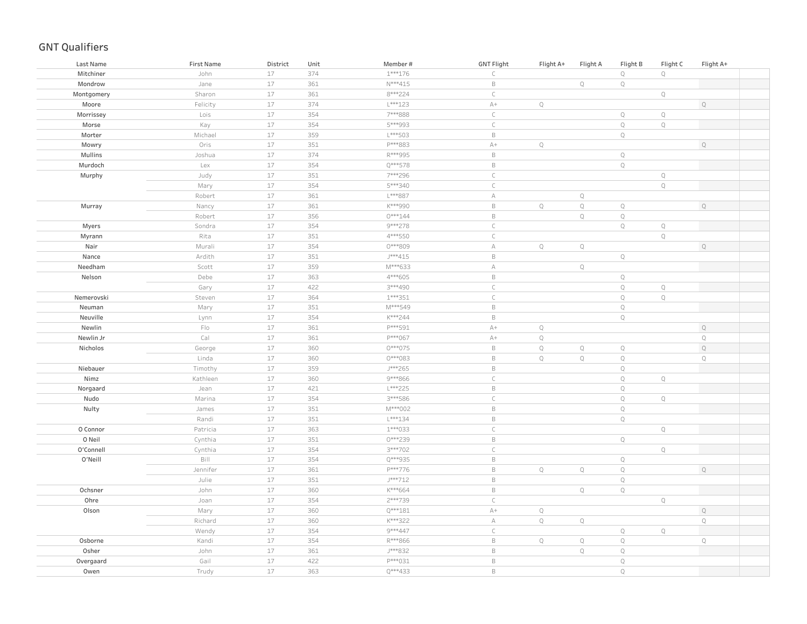| Last Name  | First Name                         | District | Unit | Member#   | <b>GNT Flight</b> | Flight A+    | Flight A    | Flight B     | Flight C    | Flight A+   |  |
|------------|------------------------------------|----------|------|-----------|-------------------|--------------|-------------|--------------|-------------|-------------|--|
| Mitchiner  | John                               | 17       | 374  | $1***176$ | $\subset$         |              |             | $\mathbb Q$  | $\mathbb Q$ |             |  |
| Mondrow    | Jane                               | 17       | 361  | $N***415$ | $\,$ B            |              | $\mathbb Q$ | Q            |             |             |  |
| Montgomery | Sharon                             | $17\,$   | 361  | 8***224   | $\mathsf C$       |              |             |              | $\mathbb Q$ |             |  |
| Moore      | Felicity                           | $17\,$   | 374  | $L***123$ | $A+$              | $\mathbb Q$  |             |              |             | $\mathbb Q$ |  |
| Morrissey  | Lois                               | $17\,$   | 354  | 7***888   | $\subset$         |              |             | $\mathbb Q$  | $\mathbb Q$ |             |  |
| Morse      | Kay                                | 17       | 354  | 5***993   | $\mathsf C$       |              |             | $\mathbb Q$  | $\mathbb Q$ |             |  |
| Morter     | Michael                            | $17$     | 359  | $L***503$ | $\,$ B            |              |             | $\mathbb Q$  |             |             |  |
| Mowry      | Oris                               | 17       | 351  | P***883   | $A+$              | $\mathbb Q$  |             |              |             | $\mathbb Q$ |  |
| Mullins    | Joshua                             | 17       | 374  | R***995   | $\,$ B            |              |             | $\mathbb Q$  |             |             |  |
| Murdoch    | Lex                                | $17\,$   | 354  | Q***578   | $\,$ B            |              |             | $\mathbb Q$  |             |             |  |
| Murphy     | Judy                               | 17       | 351  | 7***296   | $\mathsf C$       |              |             |              | $\mathbb Q$ |             |  |
|            | Mary                               | 17       | 354  | 5***340   | $\mathsf{C}$      |              |             |              | $\mathsf Q$ |             |  |
|            | Robert                             | 17       | 361  | L***887   | $\mathbb A$       |              | $\mathbf Q$ |              |             |             |  |
| Murray     | Nancy                              | $17\,$   | 361  | K***990   | $\,$ B            | $\mathbb{Q}$ | $\mathbf Q$ | $\mathbb Q$  |             | $\mathbb Q$ |  |
|            | Robert                             | 17       | 356  | $0***144$ | $\,$ B            |              | $\mathbb Q$ | $\mathbb Q$  |             |             |  |
| Myers      | Sondra                             | 17       | 354  | 9***278   | $\subset$         |              |             | $\mathbb Q$  | $\mathbb Q$ |             |  |
| Myrann     | Rita                               | 17       | 351  | 4 *** 550 | $\mathsf C$       |              |             |              | $\mathbb Q$ |             |  |
| Nair       | Murali                             | 17       | 354  | 0***809   | $\mathbb A$       | $\mathbb Q$  | $\mathbb Q$ |              |             | $\mathbb Q$ |  |
| Nance      | Ardith                             | 17       | 351  | J***415   | $\,$ B            |              |             | $\mathbb Q$  |             |             |  |
| Needham    | Scott                              | $17\,$   | 359  | M***633   | $\mathbb A$       |              | $\mathbb Q$ |              |             |             |  |
| Nelson     | Debe                               | 17       | 363  | 4 *** 605 | $\,$ B            |              |             | $\mathbb Q$  |             |             |  |
|            | Gary                               | $17\,$   | 422  | 3 *** 490 | $\mathsf C$       |              |             | $\mathbb Q$  | $\mathbb Q$ |             |  |
| Nemerovski | Steven                             | $17\,$   | 364  | $1***351$ | $\mathsf C$       |              |             | $\mathbb Q$  | $\mathbb Q$ |             |  |
| Neuman     | Mary                               | 17       | 351  | M***549   | $\,$ B            |              |             | $\mathbb Q$  |             |             |  |
| Neuville   | Lynn                               | 17       | 354  | K***244   | $\,$ B            |              |             | $\mathbb Q$  |             |             |  |
| Newlin     | $\mathsf{F} \mathsf{I} \mathsf{O}$ | 17       | 361  | P***591   | $A+$              | $\mathbb Q$  |             |              |             | $\mathbb Q$ |  |
| Newlin Jr  | Cal                                | $17\,$   | 361  | P***067   | $A+$              | $\mathbb Q$  |             |              |             | $\mathbf Q$ |  |
| Nicholos   | George                             | 17       | 360  | 0***075   | $\,$ B            | $\mathbb Q$  | $\mathbb Q$ | $\mathbb Q$  |             | $\mathbb Q$ |  |
|            | Linda                              | $17\,$   | 360  | 0***083   | $\,$ B            | Q            | $\mathbb Q$ | $\mathbb Q$  |             | $\mathbb Q$ |  |
| Niebauer   | Timothy                            | $17\,$   | 359  | J***265   | $\,$ B            |              |             | $\mathbb Q$  |             |             |  |
| Nimz       | Kathleen                           | $17\,$   | 360  | 9***866   | $\mathsf C$       |              |             | $\mathbb Q$  | Q           |             |  |
| Norgaard   | Jean                               | 17       | 421  | L***225   | $\,$ B            |              |             | $\mathbb Q$  |             |             |  |
| Nudo       | Marina                             | $17\,$   | 354  | 3***586   | $\subset$         |              |             | $\mathbb Q$  | $\mathbb Q$ |             |  |
| Nulty      | James                              | 17       | 351  | M***002   | $\,$ B            |              |             | $\mathbb Q$  |             |             |  |
|            | Randi                              | $17\,$   | 351  | L***134   | $\,$ B            |              |             | $\mathbb Q$  |             |             |  |
| O Connor   | Patricia                           | 17       | 363  | $1***033$ | $\mathsf C$       |              |             |              | $\mathbb Q$ |             |  |
| O Neil     | Cynthia                            | $17\,$   | 351  | 0***239   | $\,$ B            |              |             | $\mathbb Q$  |             |             |  |
| O'Connell  | Cynthia                            | 17       | 354  | 3 *** 702 | $\mathsf C$       |              |             |              | $\mathbb Q$ |             |  |
| O'Neill    | Bill                               | 17       | 354  | Q***935   | $\,$ B            |              |             | $\mathbb Q$  |             |             |  |
|            | Jennifer                           | 17       | 361  | P***776   | $\,$ B            | $\mathbb Q$  | $\mathsf Q$ | $\mathbb Q$  |             | $\mathbb Q$ |  |
|            | Julie                              | 17       | 351  | J***712   | $\,$ B            |              |             | $\mathbb Q$  |             |             |  |
| Ochsner    | John                               | 17       | 360  | K***664   | $\,$ B            |              | $\mathbb Q$ | $\mathbb Q$  |             |             |  |
| Ohre       | Joan                               | $17\,$   | 354  | 2 *** 739 | $\mathsf C$       |              |             |              | $\mathbb Q$ |             |  |
| Olson      | Mary                               | $17\,$   | 360  | $Q***181$ | $A+$              | $\mathbb Q$  |             |              |             | $\mathsf Q$ |  |
|            | Richard                            | $17\,$   | 360  | K***322   | А                 | $\mathbb{Q}$ | $\mathbb Q$ |              |             | $\mathbb Q$ |  |
|            | Wendy                              | $17\,$   | 354  | 9***447   | $\mathsf{C}$      |              |             | $\mathbb Q$  | $\mathbb Q$ |             |  |
| Osborne    | Kandi                              | $17\,$   | 354  | R***866   | $\,$ B            | $\mathbb Q$  | $\mathbb Q$ | $\mathbf Q$  |             | $\mathbb Q$ |  |
| Osher      | John                               | $17\,$   | 361  | J***832   | $\,$ B            |              | $\mathbf Q$ | $\mathbb Q$  |             |             |  |
| Overgaard  | Gail                               | 17       | 422  | P***031   | $\,$ B            |              |             | $\mathbb Q$  |             |             |  |
| Owen       | Trudy                              | 17       | 363  | $Q***433$ | $\,$ B            |              |             | $\mathbb{Q}$ |             |             |  |
|            |                                    |          |      |           |                   |              |             |              |             |             |  |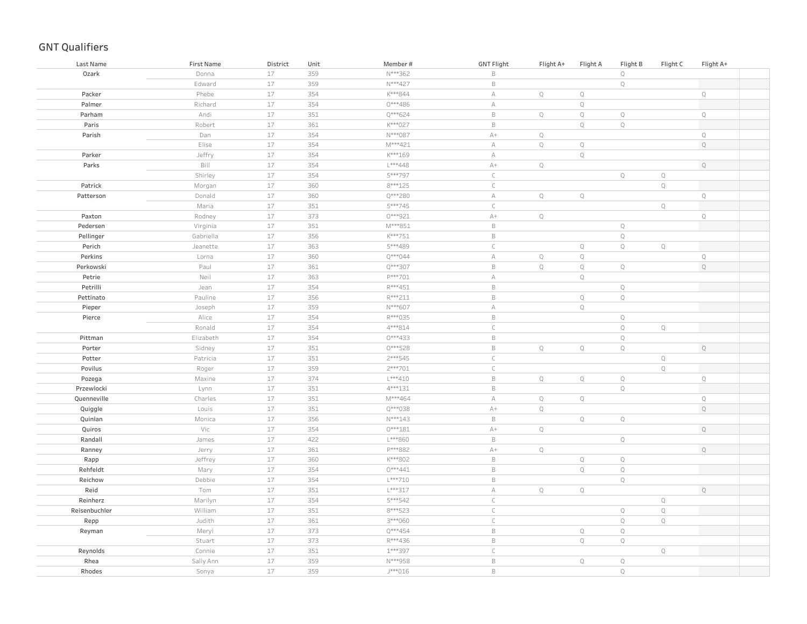| Last Name     | <b>First Name</b> | District | Unit | Member#   | <b>GNT Flight</b> | Flight A+    | Flight A    | Flight B    | Flight C    | Flight A+   |  |
|---------------|-------------------|----------|------|-----------|-------------------|--------------|-------------|-------------|-------------|-------------|--|
| Ozark         | Donna             | $17$     | 359  | N***362   | $\mathsf B$       |              |             | $\mathbb Q$ |             |             |  |
|               | Edward            | 17       | 359  | N***427   | $\mathsf B$       |              |             | $\mathbb Q$ |             |             |  |
| Packer        | Phebe             | $17$     | 354  | K***844   | $\mathbb A$       | $\mathbb Q$  | $\mathbb Q$ |             |             | $\mathsf Q$ |  |
| Palmer        | Richard           | 17       | 354  | $0***486$ | $\mathbb A$       |              | $\mathbb Q$ |             |             |             |  |
| Parham        | Andi              | 17       | 351  | $Q***624$ | $\,$ B            | $\mathbb Q$  | $\mathbb Q$ | $\mathbb Q$ |             | $\mathbb Q$ |  |
| Paris         | Robert            | $17$     | 361  | K***027   | $\mathsf B$       |              | $\mathbb Q$ | $\mathbb Q$ |             |             |  |
| Parish        | Dan               | 17       | 354  | N***087   | $A+$              | $\mathbb Q$  |             |             |             | $\mathbb Q$ |  |
|               | Elise             | 17       | 354  | M***421   | $\mathbb A$       | $\mathbb Q$  | $\mathbb Q$ |             |             | $\mathbb Q$ |  |
| Parker        | Jeffry            | 17       | 354  | $K***169$ | A                 |              | $\mathbf Q$ |             |             |             |  |
| Parks         | Bill              | $17\,$   | 354  | $L***448$ | $\mathbb{A}+$     | $\mathbb Q$  |             |             |             | $\mathbb Q$ |  |
|               | Shirley           | 17       | 354  | 5***797   | $\mathsf{C}$      |              |             | $\mathbb Q$ | $\mathbb Q$ |             |  |
| Patrick       | Morgan            | $17\,$   | 360  | $8***125$ | $\mathsf{C}$      |              |             |             | $\mathbf Q$ |             |  |
| Patterson     | Donald            | 17       | 360  | $Q***280$ | $\mathbb A$       | $\mathbb Q$  | $\mathsf Q$ |             |             | $\mathbb Q$ |  |
|               | Maria             | $17$     | 351  | 5***745   | $\mathsf C$       |              |             |             | $\mathbb Q$ |             |  |
| Paxton        | Rodney            | 17       | 373  | 0***921   | $A+$              | $\mathbb{Q}$ |             |             |             | $\mathbb Q$ |  |
| Pedersen      | Virginia          | $17$     | 351  | $M***851$ | $\mathsf B$       |              |             | $\mathbb Q$ |             |             |  |
| Pellinger     | Gabriella         | 17       | 356  | K***751   | $\mathsf B$       |              |             | $\mathbb Q$ |             |             |  |
| Perich        | Jeanette          | $17$     | 363  | 5***489   | $\subset$         |              | $\mathbb Q$ | $\mathbb Q$ | $\mathbb Q$ |             |  |
| Perkins       | Lorna             | 17       | 360  | $Q***044$ | $\mathbb A$       | $\mathbb Q$  | $\mathbb Q$ |             |             | $\mathbb Q$ |  |
| Perkowski     | Paul              | 17       | 361  | Q***307   | $\mathsf B$       | $\mathbb Q$  | $\mathbb Q$ | $\mathbb Q$ |             | $\mathbb Q$ |  |
| Petrie        | Neil              | 17       | 363  | P***701   | $\mathbb A$       |              | $\mathbb Q$ |             |             |             |  |
| Petrilli      | Jean              | 17       | 354  | R***451   | $\mathsf B$       |              |             | $\mathbb Q$ |             |             |  |
| Pettinato     | Pauline           | 17       | 356  | R***211   | $\mathsf B$       |              | $\mathbb Q$ | $\mathbb Q$ |             |             |  |
| Pieper        | Joseph            | 17       | 359  | N***607   | $\mathbb A$       |              | $\mathbf Q$ |             |             |             |  |
| Pierce        | Alice             | 17       | 354  | R***035   | $\mathsf B$       |              |             | $\mathbb Q$ |             |             |  |
|               | Ronald            | 17       | 354  | 4***814   | $\mathsf C$       |              |             | $\mathbb Q$ | $\mathbb Q$ |             |  |
| Pittman       | Elizabeth         | $17$     | 354  | 0***433   | $\mathsf B$       |              |             | $\mathbb Q$ |             |             |  |
| Porter        | Sidney            | 17       | 351  | 0***528   | $\mathsf B$       | $\mathbb Q$  | $\mathbb Q$ | $\mathbb Q$ |             | $\mathbb Q$ |  |
| Potter        | Patricia          | 17       | 351  | $2***545$ | $\mathsf C$       |              |             |             | $\mathbb Q$ |             |  |
| Povilus       | Roger             | $17$     | 359  | 2 *** 701 | $\subset$         |              |             |             | $\mathbb Q$ |             |  |
| Pozega        | Maxine            | $17$     | 374  | $L***410$ | $\mathsf B$       | $\mathbb Q$  | $\mathbb Q$ | $\mathbb Q$ |             | $\mathbb Q$ |  |
| Przewlocki    | Lynn              | $17$     | 351  | $4***131$ | $\mathsf B$       |              |             | $\mathbb Q$ |             |             |  |
| Quenneville   | Charles           | $17$     | 351  | M***464   | $\mathbb A$       | $\mathbb Q$  | $\mathbf Q$ |             |             | $\mathbb Q$ |  |
| Quiggle       | Louis             | $17$     | 351  | Q***038   | $A+$              | $\mathbb Q$  |             |             |             | $\mathbb Q$ |  |
| Quinlan       | Monica            | $17$     | 356  | $N***143$ | $\mathsf B$       |              | $\mathbb Q$ | $\mathbb Q$ |             |             |  |
| Quiros        | Vic               | $17$     | 354  | $0***181$ | $\mathbb{A}+$     | $\mathbb Q$  |             |             |             | $\mathbb Q$ |  |
| Randall       | James             | $17$     | 422  | L***860   | $\mathsf B$       |              |             | $\mathbb Q$ |             |             |  |
| Ranney        | Jerry             | $17$     | 361  | P***882   | $\mathbb{A}+$     | $\mathbb Q$  |             |             |             | $\mathbb Q$ |  |
| Rapp          | Jeffrey           | $17$     | 360  | K***802   | $\mathsf B$       |              | $\mathbf Q$ | $\mathbb Q$ |             |             |  |
| Rehfeldt      | Mary              | 17       | 354  | $0***441$ | $\mathsf B$       |              | $\mathbb Q$ | $\mathbb Q$ |             |             |  |
| Reichow       | Debbie            | 17       | 354  | $L***710$ | $\mathsf B$       |              |             | $\mathbb Q$ |             |             |  |
| Reid          | Tom               | 17       | 351  | L***317   | $\mathbb A$       | $\mathbb Q$  | $\mathbb Q$ |             |             | $\mathbb Q$ |  |
| Reinherz      | Marilyn           | 17       | 354  | 5***542   | $\subset$         |              |             |             | $\mathbb Q$ |             |  |
| Reisenbuchler | William           | $17$     | 351  | 8***523   | $\mathsf C$       |              |             | $\mathbb Q$ | $\mathbb Q$ |             |  |
| Repp          | Judith            | 17       | 361  | 3***060   | $\mathsf C$       |              |             | $\mathbb Q$ | $\mathbb Q$ |             |  |
| Reyman        | Meryl             | 17       | 373  | Q***454   | $\mathsf B$       |              | $\mathbb Q$ | $\mathbb Q$ |             |             |  |
|               | Stuart            | 17       | 373  | R***436   | $\mathsf B$       |              | $\mathbb Q$ | $\mathbb Q$ |             |             |  |
| Reynolds      | Connie            | $17$     | 351  | 1 *** 397 | $\mathsf C$       |              |             |             | $\mathbb Q$ |             |  |
| Rhea          | Sally Ann         | $17$     | 359  | N***958   | $\mathsf B$       |              | $\mathbb Q$ | $\mathbb Q$ |             |             |  |
| Rhodes        | Sonya             | 17       | 359  | J***016   | $\mathsf B$       |              |             | $\mathbb Q$ |             |             |  |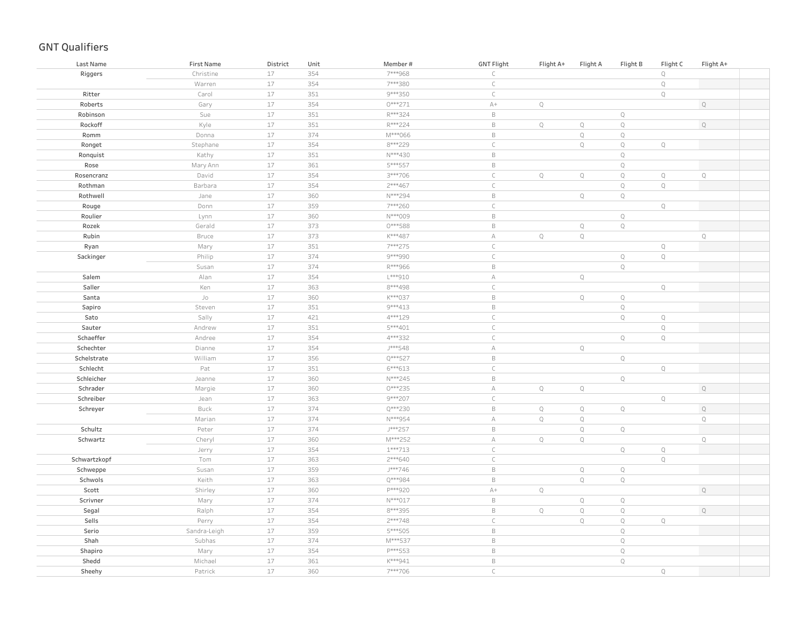| Last Name    | First Name   | District | Unit | Member#   | <b>GNT Flight</b> | Flight A+   | Flight A    | Flight B    | Flight C    | Flight A+   |  |
|--------------|--------------|----------|------|-----------|-------------------|-------------|-------------|-------------|-------------|-------------|--|
| Riggers      | Christine    | 17       | 354  | 7***968   | $\subset$         |             |             |             | $\mathbb Q$ |             |  |
|              | Warren       | 17       | 354  | 7***380   | $\subset$         |             |             |             | $\mathbb Q$ |             |  |
| Ritter       | Carol        | $17$     | 351  | 9 *** 350 | $\subset$         |             |             |             | $\mathbb Q$ |             |  |
| Roberts      | Gary         | 17       | 354  | 0 *** 271 | $\mathbb{A}+$     | $\mathbb Q$ |             |             |             | $\mathbb Q$ |  |
| Robinson     | Sue          | $17$     | 351  | R***324   | $\mathsf B$       |             |             | $\mathbb Q$ |             |             |  |
| Rockoff      | Kyle         | 17       | 351  | R***224   | $\,$ B            | $\mathbb Q$ | $\mathsf Q$ | $\mathbb Q$ |             | $\mathbb Q$ |  |
| Romm         | Donna        | $17$     | 374  | M***066   | $\,$ B            |             | $\mathbb Q$ | $\mathbb Q$ |             |             |  |
| Ronget       | Stephane     | $17$     | 354  | 8***229   | $\mathsf C$       |             | $\mathbb Q$ | $\mathbb Q$ | $\mathbb Q$ |             |  |
| Ronquist     | Kathy        | $17$     | 351  | N***430   | $\,$ B            |             |             | $\mathbb Q$ |             |             |  |
| Rose         | Mary Ann     | $17$     | 361  | 5***557   | $\,$ B            |             |             | $\mathbb Q$ |             |             |  |
| Rosencranz   | David        | $17$     | 354  | 3***706   | $\mathsf C$       | $\mathbb Q$ | $\mathbb Q$ | $\mathbb Q$ | $\mathbb Q$ | $\mathbb Q$ |  |
| Rothman      | Barbara      | $17$     | 354  | $2***467$ | $\mathsf C$       |             |             | $\mathbb Q$ | $\mathbb Q$ |             |  |
| Rothwell     | Jane         | $17\,$   | 360  | N***294   | $\,$ B            |             | $\mathbb Q$ | $\mathbb Q$ |             |             |  |
| Rouge        | Donn         | $17$     | 359  | 7***260   | $\mathsf C$       |             |             |             | $\mathbb Q$ |             |  |
| Roulier      | Lynn         | $17$     | 360  | N***009   | $\,$ B            |             |             | $\mathbb Q$ |             |             |  |
| Rozek        | Gerald       | $17$     | 373  | 0***588   | $\,$ B            |             | $\mathbb Q$ | $\mathbb Q$ |             |             |  |
| Rubin        | Bruce        | $17$     | 373  | K***487   | $\mathbb A$       | $\mathbb Q$ | $\mathbb Q$ |             |             | $\mathbb Q$ |  |
| Ryan         | Mary         | $17$     | 351  | 7***275   | $\subset$         |             |             |             | $\mathbb Q$ |             |  |
| Sackinger    | Philip       | 17       | 374  | 9***990   | $\subset$         |             |             | $\mathbb Q$ | $\mathbb Q$ |             |  |
|              | Susan        | $17$     | 374  | R***966   | $\,$ B            |             |             | $\mathbb Q$ |             |             |  |
| Salem        | Alan         | 17       | 354  | L***910   | $\forall$         |             | $\mathbb Q$ |             |             |             |  |
| Saller       | Ken          | $17$     | 363  | 8***498   | $\subset$         |             |             |             | $\mathbb Q$ |             |  |
| Santa        | Jo           | 17       | 360  | K***037   | $\,$ B            |             | $\mathbb Q$ | $\mathbb Q$ |             |             |  |
| Sapiro       | Steven       | $17$     | 351  | 9 *** 413 | $\,$ B            |             |             | $\mathbb Q$ |             |             |  |
| Sato         | Sally        | $17$     | 421  | 4 *** 129 | $\mathsf C$       |             |             | $\mathbb Q$ | $\mathbb Q$ |             |  |
| Sauter       | Andrew       | $17$     | 351  | 5***401   | $\subset$         |             |             |             | $\mathbb Q$ |             |  |
| Schaeffer    | Andree       | $17$     | 354  | 4***332   | $\subset$         |             |             | $\mathbb Q$ | $\mathbb Q$ |             |  |
| Schechter    | Dianne       | $17$     | 354  | J***548   | $\mathbb A$       |             | $\mathbb Q$ |             |             |             |  |
| Schelstrate  | William      | $17$     | 356  | Q***527   | $\,$ B            |             |             | $\mathbb Q$ |             |             |  |
| Schlecht     | Pat          | $17$     | 351  | $6***613$ | $\mathsf C$       |             |             |             | $\mathbb Q$ |             |  |
| Schleicher   | Jeanne       | $17$     | 360  | N***245   | $\,$ B            |             |             | $\mathbb Q$ |             |             |  |
| Schrader     | Margie       | $17$     | 360  | $0***235$ | $\mathbb A$       | $\mathbb Q$ | $\mathbb Q$ |             |             | $\mathbb Q$ |  |
| Schreiber    | Jean         | $17$     | 363  | 9***207   | $\mathsf C$       |             |             |             | $\mathbb Q$ |             |  |
| Schreyer     | Buck         | $17\,$   | 374  | Q***230   | $\,$ B            | $\mathbb Q$ | $\mathbb Q$ | $\mathbb Q$ |             | $\mathsf Q$ |  |
|              | Marian       | $17$     | 374  | N***954   | $\mathbb A$       | $\mathbb Q$ | $\mathbb Q$ |             |             | $\mathbb Q$ |  |
| Schultz      | Peter        | $17$     | 374  | J***257   | $\,$ B            |             | $\mathbb Q$ | $\mathbb Q$ |             |             |  |
| Schwartz     | Cheryl       | 17       | 360  | M***252   | $\mathbb A$       | $\mathbb Q$ | $\mathbb Q$ |             |             | $\mathbb Q$ |  |
|              | Jerry        | 17       | 354  | $1***713$ | $\subset$         |             |             | $\mathbb Q$ | $\mathbb Q$ |             |  |
| Schwartzkopf | Tom          | $17$     | 363  | 2 *** 640 | $\subset$         |             |             |             | $\mathbb Q$ |             |  |
| Schweppe     | Susan        | 17       | 359  | J***746   | $\,$ B            |             | $\mathbb Q$ | $\mathbf Q$ |             |             |  |
| Schwols      | Keith        | $17$     | 363  | Q***984   | $\,$ B            |             | $\mathbb Q$ | $\mathbb Q$ |             |             |  |
| Scott        | Shirley      | 17       | 360  | P***920   | $A+$              | $\mathbb Q$ |             |             |             | $\mathbb Q$ |  |
| Scrivner     | Mary         | 17       | 374  | $N***017$ | $\,$ B            |             | $\mathbb Q$ | $\mathbb Q$ |             |             |  |
| Segal        | Ralph        | $17$     | 354  | 8 *** 395 | $\,$ B            | $\mathbb Q$ | $\mathbb Q$ | $\mathbb Q$ |             | $\mathbb Q$ |  |
| Sells        | Perry        | $17$     | 354  | $2***748$ | $\subset$         |             | $\mathbb Q$ | $\mathbb Q$ | $\mathbb Q$ |             |  |
| Serio        | Sandra-Leigh | $17$     | 359  | 5***505   | $\,$ B            |             |             | $\mathbb Q$ |             |             |  |
| Shah         | Subhas       | $17$     | 374  | M***537   | $\,$ B            |             |             | $\mathbb Q$ |             |             |  |
| Shapiro      | Mary         | $17$     | 354  | P***553   | $\,$ B            |             |             | $\mathbb Q$ |             |             |  |
| Shedd        | Michael      | 17       | 361  | K***941   | $\,$ B            |             |             | $\mathbb Q$ |             |             |  |
| Sheehy       | Patrick      | 17       | 360  | 7***706   | $\mathsf{C}$      |             |             |             | $\mathbb Q$ |             |  |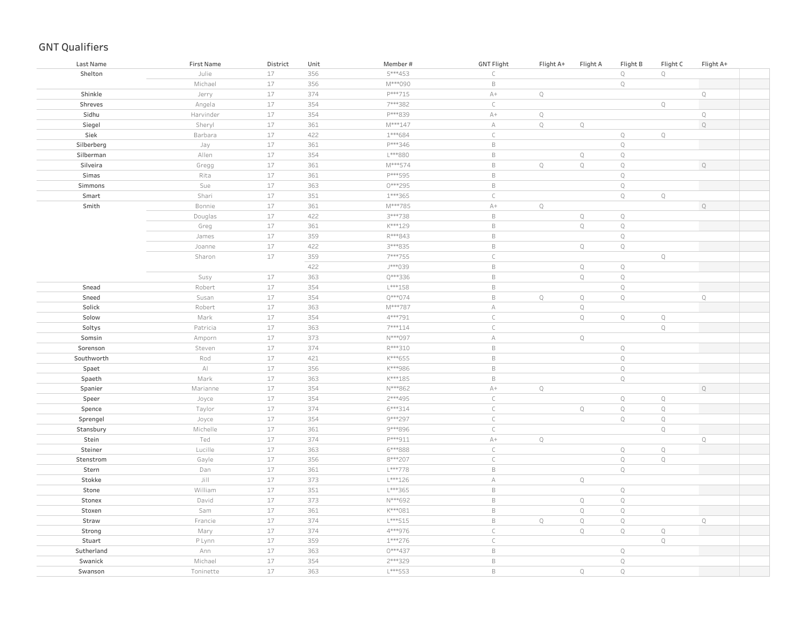| Last Name  | <b>First Name</b>      | District | Unit | Member#   | <b>GNT Flight</b> | Flight A+   | Flight A    | Flight B     | Flight C    | Flight A+   |  |
|------------|------------------------|----------|------|-----------|-------------------|-------------|-------------|--------------|-------------|-------------|--|
| Shelton    | Julie                  | 17       | 356  | 5***453   | $\subset$         |             |             | $\mathbb Q$  | $\mathbb Q$ |             |  |
|            | Michael                | 17       | 356  | M***090   | $\mathsf B$       |             |             | $\mathbb Q$  |             |             |  |
| Shinkle    | Jerry                  | 17       | 374  | P***715   | $\mathbb{A}+$     | $\mathbb Q$ |             |              |             | $\mathbb Q$ |  |
| Shreves    | Angela                 | $17$     | 354  | 7***382   | $\subset$         |             |             |              | $\mathbb Q$ |             |  |
| Sidhu      | Harvinder              | $17$     | 354  | P***839   | $\mathbb{A}+$     | $\mathbb Q$ |             |              |             | $\mathbf Q$ |  |
| Siegel     | Sheryl                 | $17$     | 361  | $M***147$ | $\mathbb A$       | $\mathbb Q$ | $\mathbb Q$ |              |             | $\mathbb Q$ |  |
| Siek       | Barbara                | $17$     | 422  | $1***684$ | $\subset$         |             |             | $\mathbb Q$  | $\mathbb Q$ |             |  |
| Silberberg | Jay                    | 17       | 361  | P***346   | $\,$ B            |             |             | $\mathbb Q$  |             |             |  |
| Silberman  | Allen                  | $17$     | 354  | L***880   | $\,$ B            |             | $\mathbb Q$ | $\mathbb Q$  |             |             |  |
| Silveira   | Gregg                  | $17\,$   | 361  | M***574   | $\mathsf B$       | $\mathbb Q$ | $\mathbb Q$ | $\mathbb Q$  |             | $\mathbb Q$ |  |
| Simas      | Rita                   | $17$     | 361  | P***595   | $\,$ B            |             |             | $\mathbb Q$  |             |             |  |
| Simmons    | Sue                    | $17\,$   | 363  | 0***295   | $\,$ B            |             |             | $\mathbb Q$  |             |             |  |
| Smart      | Shari                  | $17$     | 351  | $1***365$ | $\mathsf C$       |             |             | $\mathbb Q$  | $\mathbb Q$ |             |  |
| Smith      | Bonnie                 | $17$     | 361  | M***785   | $\mathbb{A}+$     | $\mathbb Q$ |             |              |             | $\mathbb Q$ |  |
|            | Douglas                | $17$     | 422  | 3***738   | $\,$ B            |             | $\mathbb Q$ | $\mathbb Q$  |             |             |  |
|            | Greg                   | $17\,$   | 361  | K***129   | $\mathsf B$       |             | $\mathbb Q$ | $\mathbb Q$  |             |             |  |
|            | James                  | $17$     | 359  | R***843   | $\,$ B            |             |             | $\mathbb Q$  |             |             |  |
|            | Joanne                 | $17\,$   | 422  | 3 *** 835 | $\mathsf B$       |             | $\mathbb Q$ | $\mathbb Q$  |             |             |  |
|            | Sharon                 | $17$     | 359  | 7***755   | $\subset$         |             |             |              | $\mathbb Q$ |             |  |
|            |                        |          | 422  | J***039   | $\mathsf B$       |             | $\mathbb Q$ | $\mathbb Q$  |             |             |  |
|            | Susy                   | 17       | 363  | Q***336   | $\,$ B            |             | $\mathbb Q$ | $\mathbb Q$  |             |             |  |
| Snead      | Robert                 | $17$     | 354  | $L***158$ | $\,$ B            |             |             | $\mathbb Q$  |             |             |  |
| Sneed      | Susan                  | $17$     | 354  | Q***074   | $\,$ B            | $\mathbb Q$ | $\mathbb Q$ | $\mathbb Q$  |             | $\mathbf Q$ |  |
| Solick     | Robert                 | $17$     | 363  | M***787   | $\mathbb A$       |             | $\mathbb Q$ |              |             |             |  |
| Solow      | Mark                   | $17$     | 354  | 4 *** 791 | $\subset$         |             | $\mathbb Q$ | $\mathbb Q$  | $\mathbb Q$ |             |  |
| Soltys     | Patricia               | $17$     | 363  | 7***114   | $\mathsf C$       |             |             |              | $\mathbb Q$ |             |  |
| Somsin     | Amporn                 | $17$     | 373  | N***097   | $\forall$         |             | $\mathbb Q$ |              |             |             |  |
| Sorenson   | Steven                 | $17$     | 374  | R***310   | $\,$ B            |             |             | $\mathbb Q$  |             |             |  |
| Southworth | Rod                    | $17$     | 421  | $K***655$ | $\,$ B            |             |             | $\mathbb Q$  |             |             |  |
| Spaet      | $\mathbb{A}\mathbb{I}$ | $17$     | 356  | K***986   | $\,$ B            |             |             | $\mathbb Q$  |             |             |  |
| Spaeth     | Mark                   | $17$     | 363  | $K***185$ | $\,$ B            |             |             | $\mathbb Q$  |             |             |  |
| Spanier    | Marianne               | $17$     | 354  | N***862   | $\mathbb{A}+$     | $\mathbb Q$ |             |              |             | $\mathbb Q$ |  |
| Speer      | Joyce                  | $17$     | 354  | 2 *** 495 | $\subset$         |             |             | $\mathbb Q$  | $\mathbb Q$ |             |  |
| Spence     | Taylor                 | $17$     | 374  | 6***314   | $\subset$         |             | $\mathbb Q$ | $\mathbb Q$  | $\mathbb Q$ |             |  |
| Sprengel   | Joyce                  | $17$     | 354  | 9***297   | $\subset$         |             |             | $\mathbb Q$  | $\mathbb Q$ |             |  |
| Stansbury  | Michelle               | $17$     | 361  | 9***896   | $\mathsf C$       |             |             |              | $\mathbb Q$ |             |  |
| Stein      | Ted                    | $17$     | 374  | P***911   | $\mathbb{A}+$     | $\mathbb Q$ |             |              |             | $\mathbb Q$ |  |
| Steiner    | Lucille                | $17$     | 363  | 6***888   | $\subset$         |             |             | $\mathbb Q$  | $\mathbb Q$ |             |  |
| Stenstrom  | Gayle                  | 17       | 356  | 8***207   | $\subset$         |             |             | $\mathbb Q$  | $\mathbb Q$ |             |  |
| Stern      | Dan                    | 17       | 361  | $L***778$ | $\,$ B            |             |             | $\mathbb Q$  |             |             |  |
| Stokke     | J                      | $17$     | 373  | $L***126$ | $\mathbb A$       |             | $\mathbb Q$ |              |             |             |  |
| Stone      | William                | $17$     | 351  | L***365   | $\,$ B            |             |             | $\mathbb Q$  |             |             |  |
| Stonex     | David                  | $17$     | 373  | N***692   | $\,$ B            |             | $\mathbb Q$ | $\mathbb Q$  |             |             |  |
| Stoxen     | Sam                    | $17$     | 361  | $K***081$ | $\,$ B            |             | $\mathbb Q$ | $\mathbb Q$  |             |             |  |
| Straw      | Francie                | $17$     | 374  | $L***515$ | $\,$ B            | $\mathbb Q$ | $\mathbb Q$ | $\mathbb Q$  |             | $\mathbb Q$ |  |
| Strong     | Mary                   | $17\,$   | 374  | 4***976   | $\mathsf C$       |             | $\mathbb Q$ | $\mathbb Q$  | $\mathbb Q$ |             |  |
| Stuart     | P Lynn                 | $17$     | 359  | $1***276$ | $\mathsf C$       |             |             |              | $\mathbb Q$ |             |  |
| Sutherland | Ann                    | $17$     | 363  | 0***437   | $\,$ B            |             |             | $\mathbb Q$  |             |             |  |
| Swanick    | Michael                | $17$     | 354  | 2 *** 329 | $\,$ B            |             |             | $\mathbb Q$  |             |             |  |
| Swanson    | Toninette              | 17       | 363  | L***553   | $\,$ B            |             | $\mathbb Q$ | $\mathbb{Q}$ |             |             |  |
|            |                        |          |      |           |                   |             |             |              |             |             |  |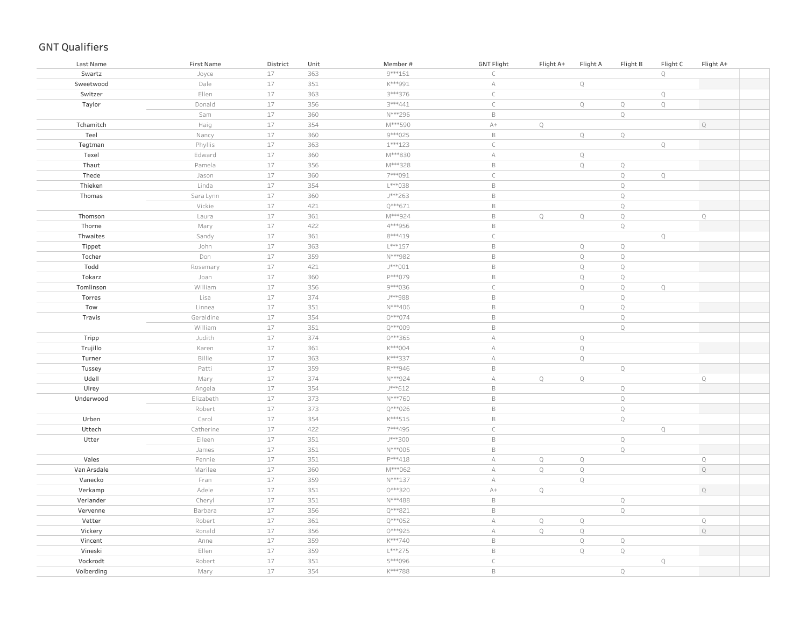| Last Name   | <b>First Name</b> | District | Unit | Member#   | <b>GNT Flight</b> | Flight A+   | Flight A     | Flight B    | Flight C    | Flight A+   |
|-------------|-------------------|----------|------|-----------|-------------------|-------------|--------------|-------------|-------------|-------------|
| Swartz      | Joyce             | $17\,$   | 363  | $9***151$ | $\subset$         |             |              |             | $\mathbb Q$ |             |
| Sweetwood   | Dale              | 17       | 351  | K***991   | $\mathbb A$       |             | $\mathbb Q$  |             |             |             |
| Switzer     | Ellen             | 17       | 363  | 3 *** 376 | $\subset$         |             |              |             | $\mathbb Q$ |             |
| Taylor      | Donald            | 17       | 356  | 3 *** 441 | $\subset$         |             | $\mathbb Q$  | $\mathbb Q$ | $\mathbb Q$ |             |
|             | Sam               | 17       | 360  | N***296   | $\,$ B            |             |              | $\mathbb Q$ |             |             |
| Tchamitch   | Haig              | 17       | 354  | M***590   | $\mathbb{A}+$     | $\mathbb Q$ |              |             |             | $\mathbb Q$ |
| Teel        | Nancy             | 17       | 360  | 9***025   | $\,$ B            |             | $\mathbb Q$  | $\mathbb Q$ |             |             |
| Tegtman     | Phyllis           | 17       | 363  | $1***123$ | $\mathsf C$       |             |              |             | $\mathbb Q$ |             |
| Texel       | Edward            | 17       | 360  | M***830   | $\mathbb A$       |             | $\mathbb Q$  |             |             |             |
| Thaut       | Pamela            | $17\,$   | 356  | M***328   | $\,$ B            |             | $\mathbb Q$  | $\mathbb Q$ |             |             |
| Thede       | Jason             | 17       | 360  | 7***091   | $\mathsf C$       |             |              | $\mathbb Q$ | $\mathbb Q$ |             |
| Thieken     | Linda             | 17       | 354  | L***038   | $\,$ B            |             |              | $\mathbb Q$ |             |             |
| Thomas      | Sara Lynn         | 17       | 360  | J***263   | $\,$ B            |             |              | $\mathbb Q$ |             |             |
|             | Vickie            | 17       | 421  | Q***671   | $\,$ B            |             |              | $\mathbb Q$ |             |             |
| Thomson     | Laura             | 17       | 361  | M***924   | $\,$ B            | $\mathbb Q$ | $\mathbb Q$  | $\mathbb Q$ |             | Q           |
| Thorne      | Mary              | 17       | 422  | 4***956   | $\mathsf B$       |             |              | $\mathbb Q$ |             |             |
| Thwaites    | Sandy             | 17       | 361  | 8***419   | $\subset$         |             |              |             | $\mathbb Q$ |             |
| Tippet      | John              | 17       | 363  | L***157   | $\mathsf B$       |             | $\mathbb Q$  | $\mathbb Q$ |             |             |
| Tocher      | Don               | 17       | 359  | N***982   | $\,$ B            |             | $\mathbb Q$  | $\mathbb Q$ |             |             |
| Todd        | Rosemary          | 17       | 421  | J***001   | $\,$ B            |             | $\mathbb Q$  | $\mathbb Q$ |             |             |
| Tokarz      | Joan              | 17       | 360  | P***079   | $\,$ B            |             | $\mathbb Q$  | $\mathbb Q$ |             |             |
| Tomlinson   | William           | 17       | 356  | 9***036   | $\mathsf C$       |             | $\mathbb Q$  | $\mathbb Q$ | $\mathbb Q$ |             |
| Torres      | Lisa              | 17       | 374  | J***988   | $\,$ B            |             |              | $\mathbb Q$ |             |             |
| Tow         | Linnea            | 17       | 351  | N***406   | $\,$ B            |             | $\mathbb Q$  | $\mathbb Q$ |             |             |
| Travis      | Geraldine         | 17       | 354  | 0***074   | $\,$ B            |             |              | $\mathbb Q$ |             |             |
|             | William           | 17       | 351  | Q***009   | $\,$ B            |             |              | $\mathbb Q$ |             |             |
| Tripp       | Judith            | 17       | 374  | 0***365   | $\mathbb A$       |             | $\mathbb Q$  |             |             |             |
| Trujillo    | Karen             | 17       | 361  | $K***004$ | $\mathbb A$       |             | $\mathbb Q$  |             |             |             |
| Turner      | Billie            | $17$     | 363  | K***337   | $\mathbb A$       |             | $\mathbb Q$  |             |             |             |
| Tussey      | Patti             | 17       | 359  | R***946   | $\,$ B            |             |              | $\mathbb Q$ |             |             |
| Udell       | Mary              | 17       | 374  | N***924   | $\mathbb A$       | $\mathbb Q$ | $\mathbb Q$  |             |             | $\mathbb Q$ |
| Ulrey       | Angela            | 17       | 354  | J***612   | $\,$ B            |             |              | $\mathbb Q$ |             |             |
| Underwood   | Elizabeth         | 17       | 373  | N***760   | $\,$ B            |             |              | $\mathbb Q$ |             |             |
|             | Robert            | 17       | 373  | Q***026   | $\,$ B            |             |              | $\mathbb Q$ |             |             |
| Urben       | Carol             | 17       | 354  | $K***515$ | $\,$ B            |             |              | $\mathbb Q$ |             |             |
| Uttech      | Catherine         | 17       | 422  | 7***495   | $\mathsf C$       |             |              |             | $\mathbb Q$ |             |
| Utter       | Eileen            | 17       | 351  | J***300   | $\mathsf B$       |             |              | $\mathbb Q$ |             |             |
|             | James             | 17       | 351  | N***005   | $\,$ B            |             |              | $\mathbb Q$ |             |             |
| Vales       | Pennie            | 17       | 351  | P***418   | $\mathbb A$       | $\mathbb Q$ | $\mathbb Q$  |             |             | $\mathbf Q$ |
| Van Arsdale | Marilee           | 17       | 360  | M***062   | $\mathbb A$       | $\mathbb Q$ | $\mathbb{Q}$ |             |             | $\mathbb Q$ |
| Vanecko     | Fran              | 17       | 359  | N***137   | $\mathbb A$       |             | $\mathbb Q$  |             |             |             |
| Verkamp     | Adele             | 17       | 351  | 0***320   | $A+$              | $\mathbb Q$ |              |             |             | $\mathbb Q$ |
| Verlander   | Cheryl            | 17       | 351  | N***488   | $\,$ B            |             |              | $\mathbb Q$ |             |             |
| Vervenne    | Barbara           | $17\,$   | 356  | Q***821   | $\,$ B            |             |              | $\mathbb Q$ |             |             |
| Vetter      | Robert            | 17       | 361  | Q***052   | $\mathbb A$       | $\mathbb Q$ | $\mathbb Q$  |             |             | $\mathbb Q$ |
| Vickery     | Ronald            | 17       | 356  | 0***925   | $\forall$         | $\mathbb Q$ | $\mathbb Q$  |             |             | $\mathbf Q$ |
| Vincent     | Anne              | 17       | 359  | K***740   | $\,$ B            |             | $\mathbb Q$  | $\mathbb Q$ |             |             |
| Vineski     | Ellen             | $17\,$   | 359  | L***275   | $\,$ B            |             | $\mathbb Q$  | $\mathbb Q$ |             |             |
| Vockrodt    | Robert            | 17       | 351  | 5***096   | $\mathsf C$       |             |              |             | $\mathbb Q$ |             |
| Volberding  | Mary              | 17       | 354  | K***788   | $\,$ B            |             |              | $\mathbb Q$ |             |             |
|             |                   |          |      |           |                   |             |              |             |             |             |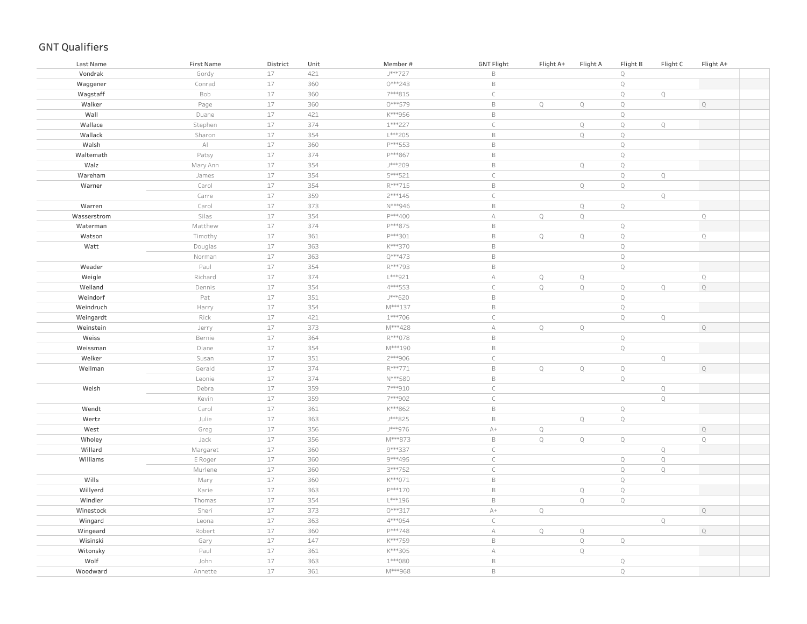| Last Name   | First Name             | District | Unit | Member#   | <b>GNT Flight</b> | Flight A+    | Flight A    | Flight B     | Flight C    | Flight A+    |  |
|-------------|------------------------|----------|------|-----------|-------------------|--------------|-------------|--------------|-------------|--------------|--|
| Vondrak     | Gordy                  | 17       | 421  | J***727   | $\,$ B            |              |             | $\mathbb Q$  |             |              |  |
| Waggener    | Conrad                 | 17       | 360  | 0***243   | $\,$ B            |              |             | $\mathbb Q$  |             |              |  |
| Wagstaff    | Bob                    | $17$     | 360  | 7***815   | $\subset$         |              |             | $\mathbb Q$  | Q           |              |  |
| Walker      | Page                   | 17       | 360  | $0***579$ | $\mathsf B$       | $\mathbf Q$  | $\mathbb Q$ | $\mathbb Q$  |             | $\mathbb Q$  |  |
| Wall        | Duane                  | 17       | 421  | K***956   | $\,$ B            |              |             | $\mathbf Q$  |             |              |  |
| Wallace     | Stephen                | 17       | 374  | 1 *** 227 | $\mathsf C$       |              | $\mathbb Q$ | $\mathbb Q$  | $\mathbb Q$ |              |  |
| Wallack     | Sharon                 | 17       | 354  | L***205   | $\,$ B            |              | $\mathbb Q$ | $\mathbb Q$  |             |              |  |
| Walsh       | $\mathbb{A}\mathbb{I}$ | 17       | 360  | P***553   | $\,$ B            |              |             | $\mathbb Q$  |             |              |  |
| Waltemath   | Patsy                  | $17$     | 374  | P***867   | $\,$ B            |              |             | $\mathbb Q$  |             |              |  |
| Walz        | Mary Ann               | $17$     | 354  | J***209   | $\,$ B            |              | $\mathbb Q$ | $\mathbb Q$  |             |              |  |
| Wareham     | James                  | $17$     | 354  | 5***521   | $\mathsf C$       |              |             | $\mathbb Q$  | $\mathbb Q$ |              |  |
| Warner      | Carol                  | $17$     | 354  | R***715   | $\,$ B            |              | $\mathbb Q$ | $\mathbb Q$  |             |              |  |
|             | Carre                  | $17$     | 359  | $2***145$ | $\mathsf C$       |              |             |              | Q           |              |  |
| Warren      | Carol                  | $17$     | 373  | N***946   | $\,$ B            |              | $\mathbb Q$ | $\mathbb Q$  |             |              |  |
| Wasserstrom | Silas                  | 17       | 354  | P***400   | $\mathbb A$       | $\mathbb Q$  | $\mathbb Q$ |              |             | $\mathsf{Q}$ |  |
| Waterman    | Matthew                | 17       | 374  | P***875   | $\,$ B            |              |             | $\mathbb Q$  |             |              |  |
| Watson      | Timothy                | 17       | 361  | P***301   | $\mathsf B$       | $\mathbb{Q}$ | $\mathbb Q$ | $\mathbb{Q}$ |             | $\mathbb Q$  |  |
| Watt        | Douglas                | $17\,$   | 363  | K***370   | $\mathsf B$       |              |             | $\mathbb Q$  |             |              |  |
|             | Norman                 | 17       | 363  | Q***473   | $\mathsf B$       |              |             | $\mathbb Q$  |             |              |  |
| Weader      | Paul                   | $17$     | 354  | R***793   | $\,$ B            |              |             | $\mathbb Q$  |             |              |  |
| Weigle      | Richard                | 17       | 374  | L***921   | А                 | $\mathbb Q$  | $\mathbb Q$ |              |             | $\mathbf Q$  |  |
| Weiland     | Dennis                 | $17$     | 354  | 4 *** 553 | $\subset$         | $\mathbb Q$  | $\mathbb Q$ | $\mathbb Q$  | $\mathbb Q$ | $\mathbb Q$  |  |
| Weindorf    | Pat                    | 17       | 351  | J***620   | $\,$ B            |              |             | $\mathbb Q$  |             |              |  |
| Weindruch   | Harry                  | $17$     | 354  | M***137   | $\,$ B            |              |             | $\mathbb Q$  |             |              |  |
| Weingardt   | Rick                   | 17       | 421  | 1 *** 706 | $\subset$         |              |             | $\mathbb Q$  | $\mathbb Q$ |              |  |
| Weinstein   | Jerry                  | $17$     | 373  | M***428   | $\mathbb A$       | $\mathbb Q$  | $\mathbb Q$ |              |             | Q            |  |
| Weiss       | Bernie                 | $17$     | 364  | R***078   | $\,$ B            |              |             | $\mathbb Q$  |             |              |  |
| Weissman    | Diane                  | $17$     | 354  | M***190   | $\,$ B            |              |             | $\mathbb Q$  |             |              |  |
| Welker      | Susan                  | $17$     | 351  | 2 *** 906 | $\mathsf C$       |              |             |              | $\mathbb Q$ |              |  |
| Wellman     | Gerald                 | $17$     | 374  | R***771   | $\,$ B            | $\mathbb Q$  | $\mathbb Q$ | $\mathbb Q$  |             | $\mathbb Q$  |  |
|             | Leonie                 | $17$     | 374  | N***580   | $\,$ B            |              |             | $\mathbb Q$  |             |              |  |
| Welsh       | Debra                  | $17$     | 359  | 7***910   | $\mathsf C$       |              |             |              | $\mathbb Q$ |              |  |
|             | Kevin                  | $17$     | 359  | 7***902   | $\mathsf C$       |              |             |              | $\mathbb Q$ |              |  |
| Wendt       | Carol                  | 17       | 361  | K***862   | $\,$ B            |              |             | $\mathbb Q$  |             |              |  |
| Wertz       | Julie                  | $17$     | 363  | J***825   | $\,$ B            |              | $\mathbb Q$ | $\mathbb Q$  |             |              |  |
| West        | Greg                   | $17$     | 356  | J***976   | $A+$              | $\mathbb Q$  |             |              |             | $\mathbb Q$  |  |
| Wholey      | Jack                   | $17$     | 356  | M***873   | $\,$ B            | $\mathbb Q$  | $\mathbb Q$ | $\mathbb Q$  |             | $\mathbb Q$  |  |
| Willard     | Margaret               | $17$     | 360  | 9 *** 337 | $\subset$         |              |             |              | $\mathbb Q$ |              |  |
| Williams    | E Roger                | 17       | 360  | 9***495   | $\subset$         |              |             | $\mathbb Q$  | $\mathbb Q$ |              |  |
|             | Murlene                | 17       | 360  | 3 *** 752 | $\mathsf C$       |              |             | $\mathbb{Q}$ | $\mathbb Q$ |              |  |
| Wills       | Mary                   | 17       | 360  | K***071   | $\mathsf B$       |              |             | $\mathbb Q$  |             |              |  |
| Willyerd    | Karie                  | 17       | 363  | P***170   | $\mathsf B$       |              | $\mathbb Q$ | $\mathbb Q$  |             |              |  |
| Windler     | Thomas                 | 17       | 354  | L***196   | $\,$ B            |              | $\mathbb Q$ | $\mathbb Q$  |             |              |  |
| Winestock   | Sheri                  | $17$     | 373  | 0***317   | $A+$              | $\mathbb Q$  |             |              |             | $\mathbb Q$  |  |
| Wingard     | Leona                  | 17       | 363  | 4 *** 054 | $\subset$         |              |             |              | $\mathbb Q$ |              |  |
| Wingeard    | Robert                 | $17\,$   | 360  | P***748   | А                 | $\mathbb Q$  | $\mathbb Q$ |              |             | $\mathbb Q$  |  |
| Wisinski    | Gary                   | $17$     | 147  | K***759   | $\,$ B            |              | $\mathbb Q$ | $\mathbb Q$  |             |              |  |
| Witonsky    | Paul                   | $17$     | 361  | K***305   | $\forall$         |              | $\mathbb Q$ |              |             |              |  |
| Wolf        | John                   | 17       | 363  | $1***080$ | $\,$ B            |              |             | $\mathbb Q$  |             |              |  |
| Woodward    | Annette                | 17       | 361  | M***968   | $\,$ B            |              |             | $\mathbb{Q}$ |             |              |  |